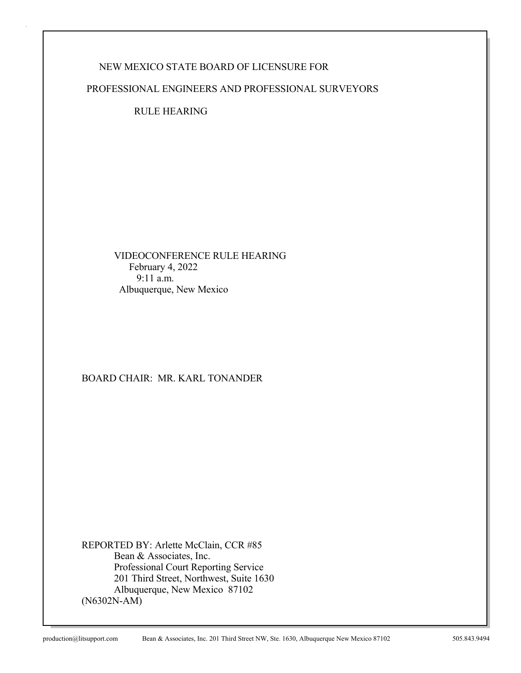## NEW MEXICO STATE BOARD OF LICENSURE FOR

PROFESSIONAL ENGINEERS AND PROFESSIONAL SURVEYORS

RULE HEARING

 VIDEOCONFERENCE RULE HEARING February 4, 2022 9:11 a.m. Albuquerque, New Mexico

### BOARD CHAIR: MR. KARL TONANDER

REPORTED BY: Arlette McClain, CCR #85 Bean & Associates, Inc. Professional Court Reporting Service 201 Third Street, Northwest, Suite 1630 Albuquerque, New Mexico 87102 (N6302N-AM)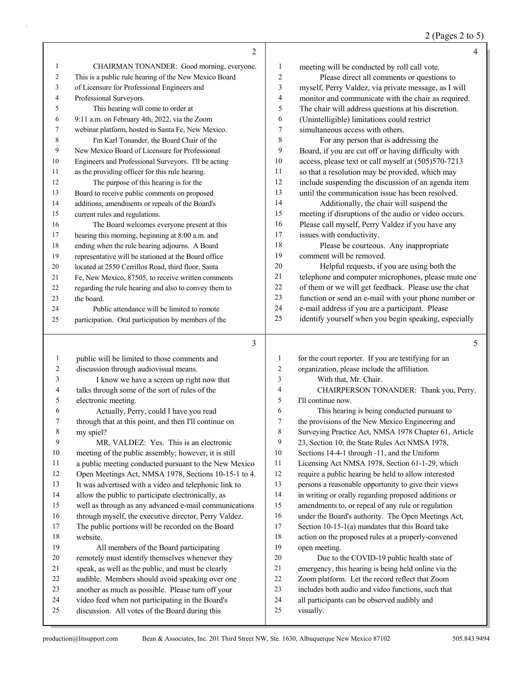2 (Pages 2 to 5)

|              | 2                                                                                                  |              | 4                                                         |
|--------------|----------------------------------------------------------------------------------------------------|--------------|-----------------------------------------------------------|
| 1            | CHAIRMAN TONANDER: Good morning, everyone.                                                         | 1            | meeting will be conducted by roll call vote.              |
| 2            | This is a public rule hearing of the New Mexico Board                                              | 2            | Please direct all comments or questions to                |
| 3            | of Licensure for Professional Engineers and                                                        | 3            | myself, Perry Valdez, via private message, as I will      |
| 4            | Professional Surveyors.                                                                            | 4            | monitor and communicate with the chair as required.       |
| 5            | This hearing will come to order at                                                                 | 5            | The chair will address questions at his discretion.       |
| 6            | 9:11 a.m. on February 4th, 2022, via the Zoom                                                      | 6            | (Unintelligible) limitations could restrict               |
| 7            | webinar platform, hosted in Santa Fe, New Mexico.                                                  | 7            | simultaneous access with others.                          |
| 8            | I'm Karl Tonander, the Board Chair of the                                                          | 8            | For any person that is addressing the                     |
| 9            | New Mexico Board of Licensure for Professional                                                     | 9            | Board, if you are cut off or having difficulty with       |
| 10           | Engineers and Professional Surveyors. I'll be acting                                               | 10           | access, please text or call myself at (505)570-7213       |
| 11           | as the providing officer for this rule hearing.                                                    | 11           | so that a resolution may be provided, which may           |
| 12           | The purpose of this hearing is for the                                                             | 12           | include suspending the discussion of an agenda item       |
| 13           | Board to receive public comments on proposed                                                       | 13           | until the communication issue has been resolved.          |
| 14           | additions, amendments or repeals of the Board's                                                    | 14           | Additionally, the chair will suspend the                  |
| 15           | current rules and regulations.                                                                     | 15           | meeting if disruptions of the audio or video occurs.      |
| 16           | The Board welcomes everyone present at this                                                        | 16           | Please call myself, Perry Valdez if you have any          |
| 17           | hearing this morning, beginning at 8:00 a.m. and                                                   | 17           | issues with conductivity.                                 |
| 18           | ending when the rule hearing adjourns. A Board                                                     | 18           | Please be courteous. Any inappropriate                    |
| 19           | representative will be stationed at the Board office                                               | 19           | comment will be removed.                                  |
| 20           | located at 2550 Cerrillos Road, third floor, Santa                                                 | 20           | Helpful requests, if you are using both the               |
| 21           | Fe, New Mexico, 87505, to receive written comments                                                 | $21\,$       | telephone and computer microphones, please mute one       |
| 22           | regarding the rule hearing and also to convey them to                                              | 22           | of them or we will get feedback. Please use the chat      |
| 23           | the board.                                                                                         | 23           | function or send an e-mail with your phone number or      |
| 24           | Public attendance will be limited to remote                                                        | 24           | e-mail address if you are a participant. Please           |
| 25           | participation. Oral participation by members of the                                                | 25           | identify yourself when you begin speaking, especially     |
|              |                                                                                                    |              |                                                           |
|              |                                                                                                    |              |                                                           |
|              | 3                                                                                                  |              | 5                                                         |
| $\mathbf{1}$ | public will be limited to those comments and                                                       | 1            | for the court reporter. If you are testifying for an      |
| 2            | discussion through audiovisual means.                                                              | 2            | organization, please include the affiliation.             |
| 3            | I know we have a screen up right now that                                                          | 3            | With that, Mr. Chair.                                     |
| 4            | talks through some of the sort of rules of the                                                     | 4            | CHAIRPERSON TONANDER: Thank you, Perry.                   |
| 5            | electronic meeting.                                                                                | 5            | I'll continue now.                                        |
| 6            | Actually, Perry, could I have you read                                                             | 6            | This hearing is being conducted pursuant to               |
| 7            | through that at this point, and then I'll continue on                                              | 7            | the provisions of the New Mexico Engineering and          |
| 8            | my spiel?                                                                                          | 8            | Surveying Practice Act, NMSA 1978 Chapter 61, Article     |
| 9            | MR. VALDEZ: Yes. This is an electronic                                                             | 9            | 23, Section 10; the State Rules Act NMSA 1978,            |
| 10           | meeting of the public assembly; however, it is still                                               | 10           | Sections 14-4-1 through -11, and the Uniform              |
| 11           | a public meeting conducted pursuant to the New Mexico                                              | 11           | Licensing Act NMSA 1978, Section 61-1-29, which           |
| 12           | Open Meetings Act, NMSA 1978, Sections 10-15-1 to 4.                                               | 12           | require a public hearing be held to allow interested      |
| 13           | It was advertised with a video and telephonic link to                                              | 13           | persons a reasonable opportunity to give their views      |
| 14           | allow the public to participate electronically, as                                                 | $14$         | in writing or orally regarding proposed additions or      |
| 15           | well as through as any advanced e-mail communications                                              | 15           | amendments to, or repeal of any rule or regulation        |
| 16           | through myself, the executive director, Perry Valdez.                                              | 16           | under the Board's authority. The Open Meetings Act,       |
| 17           | The public portions will be recorded on the Board                                                  | 17           | Section $10-15-1(a)$ mandates that this Board take        |
| 18           | website.                                                                                           | $18\,$       | action on the proposed rules at a properly-convened       |
| 19           | All members of the Board participating                                                             | 19           | open meeting.                                             |
| 20           | remotely must identify themselves whenever they                                                    | 20           | Due to the COVID-19 public health state of                |
| 21           | speak, as well as the public, and must be clearly                                                  | 21           | emergency, this hearing is being held online via the      |
| 22           | audible. Members should avoid speaking over one                                                    | $22\,$       | Zoom platform. Let the record reflect that Zoom           |
| 23<br>24     | another as much as possible. Please turn off your                                                  | $23\,$       | includes both audio and video functions, such that        |
| 25           | video feed when not participating in the Board's<br>discussion. All votes of the Board during this | 24<br>$25\,$ | all participants can be observed audibly and<br>visually. |

J.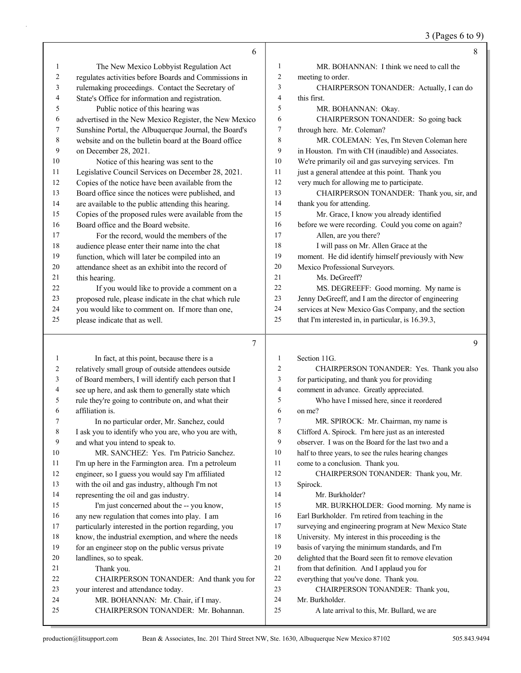## 3 (Pages 6 to 9)

|              | 6                                                                         |                          | 8                                                     |
|--------------|---------------------------------------------------------------------------|--------------------------|-------------------------------------------------------|
| 1            | The New Mexico Lobbyist Regulation Act                                    | 1                        | MR. BOHANNAN: I think we need to call the             |
| 2            | regulates activities before Boards and Commissions in                     | 2                        | meeting to order.                                     |
| 3            | rulemaking proceedings. Contact the Secretary of                          | 3                        | CHAIRPERSON TONANDER: Actually, I can do              |
| 4            | State's Office for information and registration.                          | 4                        | this first.                                           |
| 5            | Public notice of this hearing was                                         | 5                        | MR. BOHANNAN: Okay.                                   |
| 6            | advertised in the New Mexico Register, the New Mexico                     | 6                        | CHAIRPERSON TONANDER: So going back                   |
| 7            | Sunshine Portal, the Albuquerque Journal, the Board's                     | 7                        | through here. Mr. Coleman?                            |
| 8            | website and on the bulletin board at the Board office                     | 8                        | MR. COLEMAN: Yes, I'm Steven Coleman here             |
| 9            | on December 28, 2021.                                                     | 9                        | in Houston. I'm with CH (inaudible) and Associates.   |
| 10           | Notice of this hearing was sent to the                                    | 10                       | We're primarily oil and gas surveying services. I'm   |
| 11           | Legislative Council Services on December 28, 2021.                        | 11                       | just a general attendee at this point. Thank you      |
| 12           | Copies of the notice have been available from the                         | 12                       | very much for allowing me to participate.             |
| 13           | Board office since the notices were published, and                        | 13                       | CHAIRPERSON TONANDER: Thank you, sir, and             |
| 14           | are available to the public attending this hearing.                       | 14                       | thank you for attending.                              |
| 15           | Copies of the proposed rules were available from the                      | 15                       | Mr. Grace, I know you already identified              |
| 16           | Board office and the Board website.                                       | 16                       | before we were recording. Could you come on again?    |
| 17           | For the record, would the members of the                                  | 17                       | Allen, are you there?                                 |
| 18           | audience please enter their name into the chat                            | 18                       | I will pass on Mr. Allen Grace at the                 |
| 19           | function, which will later be compiled into an                            | 19                       | moment. He did identify himself previously with New   |
| 20           | attendance sheet as an exhibit into the record of                         | 20                       | Mexico Professional Surveyors.                        |
| 21           | this hearing.                                                             | 21                       | Ms. DeGreeff?                                         |
| 22           | If you would like to provide a comment on a                               | 22                       | MS. DEGREEFF: Good morning. My name is                |
| 23           | proposed rule, please indicate in the chat which rule                     | 23                       | Jenny DeGreeff, and I am the director of engineering  |
| 24           | you would like to comment on. If more than one,                           | 24                       | services at New Mexico Gas Company, and the section   |
| 25           | please indicate that as well.                                             | 25                       | that I'm interested in, in particular, is 16.39.3,    |
|              |                                                                           |                          |                                                       |
|              |                                                                           |                          |                                                       |
|              | 7                                                                         |                          | 9                                                     |
|              |                                                                           |                          |                                                       |
| $\mathbf{1}$ | In fact, at this point, because there is a                                | 1                        | Section 11G.                                          |
| 2            | relatively small group of outside attendees outside                       | $\overline{c}$           | CHAIRPERSON TONANDER: Yes. Thank you also             |
| 3            | of Board members, I will identify each person that I                      | 3                        | for participating, and thank you for providing        |
| 4            | see up here, and ask them to generally state which                        | $\overline{\mathcal{L}}$ | comment in advance. Greatly appreciated.              |
| 5            | rule they're going to contribute on, and what their                       | 5                        | Who have I missed here, since it reordered            |
| 6            | affiliation is.                                                           | 6                        | on me?                                                |
| 7            | In no particular order, Mr. Sanchez, could                                | 7                        | MR. SPIROCK: Mr. Chairman, my name is                 |
| $\,$ 8 $\,$  | I ask you to identify who you are, who you are with,                      | $\,8$                    | Clifford A. Spirock. I'm here just as an interested   |
| 9            | and what you intend to speak to.                                          | 9                        | observer. I was on the Board for the last two and a   |
| 10           | MR. SANCHEZ: Yes. I'm Patricio Sanchez.                                   | $10\,$                   | half to three years, to see the rules hearing changes |
| 11           | I'm up here in the Farmington area. I'm a petroleum                       | 11                       | come to a conclusion. Thank you.                      |
| 12           | engineer, so I guess you would say I'm affiliated                         | 12                       | CHAIRPERSON TONANDER: Thank you, Mr.                  |
| 13           | with the oil and gas industry, although I'm not                           | 13                       | Spirock.                                              |
| 14           | representing the oil and gas industry.                                    | 14                       | Mr. Burkholder?                                       |
| 15           | I'm just concerned about the -- you know,                                 | 15                       | MR. BURKHOLDER: Good morning. My name is              |
| 16           | any new regulation that comes into play. I am                             | 16                       | Earl Burkholder. I'm retired from teaching in the     |
| 17           | particularly interested in the portion regarding, you                     | 17                       | surveying and engineering program at New Mexico State |
| 18           | know, the industrial exemption, and where the needs                       | 18                       | University. My interest in this proceeding is the     |
| 19           | for an engineer stop on the public versus private                         | 19                       | basis of varying the minimum standards, and I'm       |
| 20           | landlines, so to speak.                                                   | 20<br>21                 | delighted that the Board seen fit to remove elevation |
| 21           | Thank you.                                                                |                          | from that definition. And I applaud you for           |
| 22           | CHAIRPERSON TONANDER: And thank you for                                   | $22\,$                   | everything that you've done. Thank you.               |
| 23<br>24     | your interest and attendance today.<br>MR. BOHANNAN: Mr. Chair, if I may. | 23<br>24                 | CHAIRPERSON TONANDER: Thank you,<br>Mr. Burkholder.   |

- 24 MR. BOHANNAN: Mr. Chair, if I may.<br>25 CHAIRPERSON TONANDER: Mr. Bol
- 25 CHAIRPERSON TONANDER: Mr. Bohannan.

A late arrival to this, Mr. Bullard, we are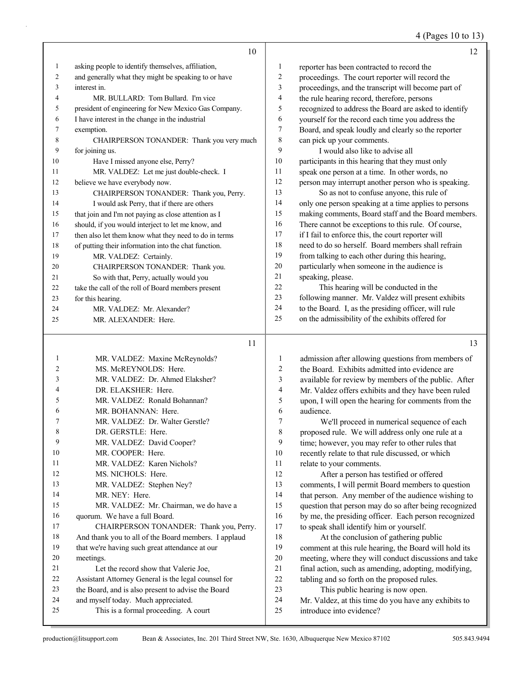4 (Pages 10 to 13)

|    | 10                                                    |                | 12                                                                                                      |
|----|-------------------------------------------------------|----------------|---------------------------------------------------------------------------------------------------------|
| 1  | asking people to identify themselves, affiliation,    | 1              | reporter has been contracted to record the                                                              |
| 2  | and generally what they might be speaking to or have  | $\overline{c}$ | proceedings. The court reporter will record the                                                         |
| 3  | interest in.                                          | 3              | proceedings, and the transcript will become part of                                                     |
| 4  | MR. BULLARD: Tom Bullard. I'm vice                    | 4              | the rule hearing record, therefore, persons                                                             |
| 5  | president of engineering for New Mexico Gas Company.  | 5              | recognized to address the Board are asked to identify                                                   |
| 6  | I have interest in the change in the industrial       | 6              | yourself for the record each time you address the                                                       |
| 7  | exemption.                                            | 7              | Board, and speak loudly and clearly so the reporter                                                     |
| 8  | CHAIRPERSON TONANDER: Thank you very much             | 8              | can pick up your comments.                                                                              |
| 9  | for joining us.                                       | 9              | I would also like to advise all                                                                         |
| 10 | Have I missed anyone else, Perry?                     | $10\,$         | participants in this hearing that they must only                                                        |
| 11 | MR. VALDEZ: Let me just double-check. I               | 11             | speak one person at a time. In other words, no                                                          |
| 12 | believe we have everybody now.                        | 12             | person may interrupt another person who is speaking.                                                    |
| 13 | CHAIRPERSON TONANDER: Thank you, Perry.               | 13             | So as not to confuse anyone, this rule of                                                               |
| 14 | I would ask Perry, that if there are others           | 14             | only one person speaking at a time applies to persons                                                   |
| 15 | that join and I'm not paying as close attention as I  | 15             | making comments, Board staff and the Board members.                                                     |
| 16 | should, if you would interject to let me know, and    | 16             | There cannot be exceptions to this rule. Of course,                                                     |
| 17 | then also let them know what they need to do in terms | 17             | if I fail to enforce this, the court reporter will                                                      |
| 18 | of putting their information into the chat function.  | $18\,$         | need to do so herself. Board members shall refrain                                                      |
| 19 | MR. VALDEZ: Certainly.                                | 19             | from talking to each other during this hearing,                                                         |
| 20 | CHAIRPERSON TONANDER: Thank you.                      | 20             | particularly when someone in the audience is                                                            |
| 21 | So with that, Perry, actually would you               | $21\,$         | speaking, please.                                                                                       |
| 22 | take the call of the roll of Board members present    | $22\,$         | This hearing will be conducted in the                                                                   |
| 23 | for this hearing.                                     | 23             | following manner. Mr. Valdez will present exhibits                                                      |
| 24 | MR. VALDEZ: Mr. Alexander?                            | 24             | to the Board. I, as the presiding officer, will rule                                                    |
| 25 | MR. ALEXANDER: Here.                                  | 25             | on the admissibility of the exhibits offered for                                                        |
|    | 11                                                    |                | 13                                                                                                      |
| 1  | MR. VALDEZ: Maxine McReynolds?                        | 1              | admission after allowing questions from members of                                                      |
| 2  | MS. McREYNOLDS: Here.                                 | 2              | the Board. Exhibits admitted into evidence are                                                          |
| 3  | MR. VALDEZ: Dr. Ahmed Elaksher?                       | 3              | available for review by members of the public. After                                                    |
| 4  | DR. ELAKSHER: Here.                                   | 4              | Mr. Valdez offers exhibits and they have been ruled                                                     |
| 5  | MR. VALDEZ: Ronald Bohannan?                          | 5              | upon, I will open the hearing for comments from the                                                     |
| 6  | MR. BOHANNAN: Here.                                   | 6              | audience.                                                                                               |
| 7  | MR. VALDEZ: Dr. Walter Gerstle?                       | $\overline{7}$ | We'll proceed in numerical sequence of each                                                             |
| 8  | DR. GERSTLE: Here.                                    | 8              | proposed rule. We will address only one rule at a                                                       |
| 9  | MR. VALDEZ: David Cooper?                             | 9              | time; however, you may refer to other rules that                                                        |
| 10 |                                                       |                |                                                                                                         |
| 11 | MR. COOPER: Here.                                     | 10             | recently relate to that rule discussed, or which                                                        |
| 12 | MR. VALDEZ: Karen Nichols?                            | 11             |                                                                                                         |
|    | MS. NICHOLS: Here.                                    | 12             | relate to your comments.                                                                                |
| 13 | MR. VALDEZ: Stephen Ney?                              | 13             | After a person has testified or offered                                                                 |
| 14 | MR. NEY: Here.                                        | 14             | comments, I will permit Board members to question<br>that person. Any member of the audience wishing to |
| 15 | MR. VALDEZ: Mr. Chairman, we do have a                | 15             | question that person may do so after being recognized                                                   |
| 16 | quorum. We have a full Board.                         | 16             | by me, the presiding officer. Each person recognized                                                    |
| 17 | CHAIRPERSON TONANDER: Thank you, Perry.               | 17             | to speak shall identify him or yourself.                                                                |
| 18 | And thank you to all of the Board members. I applaud  | 18             | At the conclusion of gathering public                                                                   |
| 19 | that we're having such great attendance at our        | 19             | comment at this rule hearing, the Board will hold its                                                   |
| 20 | meetings.                                             | 20             | meeting, where they will conduct discussions and take                                                   |
| 21 | Let the record show that Valerie Joe,                 | 21             | final action, such as amending, adopting, modifying,                                                    |
| 22 | Assistant Attorney General is the legal counsel for   | $22\,$         | tabling and so forth on the proposed rules.                                                             |
| 23 | the Board, and is also present to advise the Board    | 23             | This public hearing is now open.                                                                        |
| 24 | and myself today. Much appreciated.                   | 24             | Mr. Valdez, at this time do you have any exhibits to                                                    |
| 25 | This is a formal proceeding. A court                  | $25\,$         | introduce into evidence?                                                                                |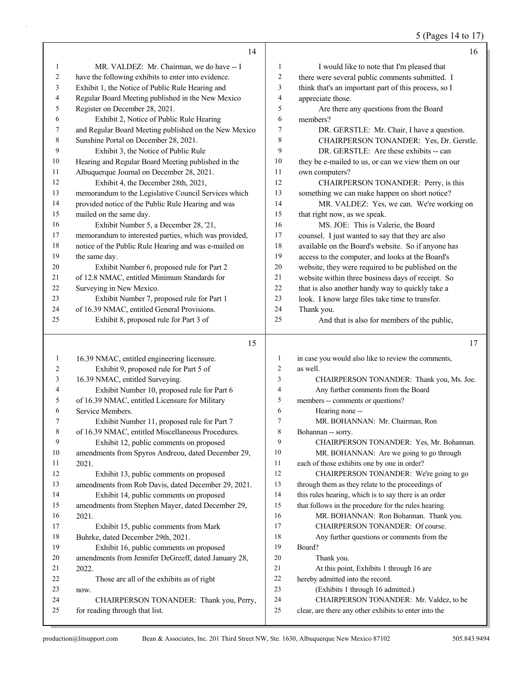5 (Pages 14 to 17)

| MR. VALDEZ: Mr. Chairman, we do have -- I<br>1<br>I would like to note that I'm pleased that<br>1<br>$\overline{c}$<br>have the following exhibits to enter into evidence.<br>there were several public comments submitted. I<br>2<br>think that's an important part of this process, so I<br>Exhibit 1, the Notice of Public Rule Hearing and<br>3<br>3<br>Regular Board Meeting published in the New Mexico<br>4<br>appreciate those.<br>4<br>5<br>5<br>Register on December 28, 2021.<br>Are there any questions from the Board<br>6<br>6<br>Exhibit 2, Notice of Public Rule Hearing<br>members?<br>and Regular Board Meeting published on the New Mexico<br>7<br>7<br>DR. GERSTLE: Mr. Chair, I have a question.<br>8<br>Sunshine Portal on December 28, 2021.<br>$\,8\,$<br>CHAIRPERSON TONANDER: Yes, Dr. Gerstle.<br>9<br>9<br>Exhibit 3, the Notice of Public Rule<br>DR. GERSTLE: Are these exhibits -- can<br>Hearing and Regular Board Meeting published in the<br>10<br>10<br>they be e-mailed to us, or can we view them on our<br>Albuquerque Journal on December 28, 2021.<br>11<br>own computers?<br>11<br>12<br>12<br>Exhibit 4, the December 28th, 2021,<br>CHAIRPERSON TONANDER: Perry, is this<br>13<br>memorandum to the Legislative Council Services which<br>something we can make happen on short notice?<br>13<br>provided notice of the Public Rule Hearing and was<br>14<br>MR. VALDEZ: Yes, we can. We're working on<br>14<br>mailed on the same day.<br>15<br>15<br>that right now, as we speak.<br>16<br>16<br>MS. JOE: This is Valerie, the Board<br>Exhibit Number 5, a December 28, '21,<br>memorandum to interested parties, which was provided,<br>17<br>17<br>counsel. I just wanted to say that they are also<br>notice of the Public Rule Hearing and was e-mailed on<br>18<br>18<br>available on the Board's website. So if anyone has<br>19<br>19<br>the same day.<br>access to the computer, and looks at the Board's<br>20<br>website, they were required to be published on the<br>20<br>Exhibit Number 6, proposed rule for Part 2<br>website within three business days of receipt. So<br>of 12.8 NMAC, entitled Minimum Standards for<br>21<br>21<br>22<br>that is also another handy way to quickly take a<br>22<br>Surveying in New Mexico.<br>23<br>23<br>look. I know large files take time to transfer.<br>Exhibit Number 7, proposed rule for Part 1<br>of 16.39 NMAC, entitled General Provisions.<br>24<br>24<br>Thank you.<br>Exhibit 8, proposed rule for Part 3 of<br>25<br>25<br>And that is also for members of the public,<br>15<br>17<br>16.39 NMAC, entitled engineering licensure.<br>in case you would also like to review the comments,<br>$\mathbf{1}$<br>$\mathbf{1}$<br>$\overline{c}$<br>$\overline{2}$<br>Exhibit 9, proposed rule for Part 5 of<br>as well.<br>3<br>16.39 NMAC, entitled Surveying.<br>3<br>CHAIRPERSON TONANDER: Thank you, Ms. Joe.<br>Exhibit Number 10, proposed rule for Part 6<br>Any further comments from the Board<br>4<br>$\overline{4}$<br>of 16.39 NMAC, entitled Licensure for Military<br>members -- comments or questions?<br>5<br>5<br>Hearing none --<br>6<br>Service Members.<br>6<br>7<br>7<br>Exhibit Number 11, proposed rule for Part 7<br>MR. BOHANNAN: Mr. Chairman, Ron<br>of 16.39 NMAC, entitled Miscellaneous Procedures.<br>8<br>8<br>Bohannan -- sorry.<br>9<br>9<br>Exhibit 12, public comments on proposed<br>CHAIRPERSON TONANDER: Yes, Mr. Bohannan.<br>10<br>10<br>amendments from Spyros Andreou, dated December 29,<br>MR. BOHANNAN: Are we going to go through<br>each of those exhibits one by one in order?<br>2021.<br>11<br>11<br>12<br>12<br>Exhibit 13, public comments on proposed<br>CHAIRPERSON TONANDER: We're going to go<br>through them as they relate to the proceedings of<br>13<br>amendments from Rob Davis, dated December 29, 2021.<br>13<br>14<br>this rules hearing, which is to say there is an order<br>14<br>Exhibit 14, public comments on proposed<br>15<br>that follows in the procedure for the rules hearing.<br>15<br>amendments from Stephen Mayer, dated December 29,<br>16<br>MR. BOHANNAN: Ron Bohannan. Thank you.<br>16<br>2021.<br>17<br>CHAIRPERSON TONANDER: Of course.<br>17<br>Exhibit 15, public comments from Mark<br>Buhrke, dated December 29th, 2021.<br>18<br>18<br>Any further questions or comments from the<br>19<br>19<br>Exhibit 16, public comments on proposed<br>Board?<br>20<br>20<br>amendments from Jennifer DeGreeff, dated January 28,<br>Thank you.<br>21<br>At this point, Exhibits 1 through 16 are<br>21<br>2022.<br>$22\,$<br>hereby admitted into the record.<br>22<br>Those are all of the exhibits as of right<br>23<br>23<br>(Exhibits 1 through 16 admitted.)<br>now.<br>24<br>CHAIRPERSON TONANDER: Mr. Valdez, to be<br>24<br>CHAIRPERSON TONANDER: Thank you, Perry,<br>25<br>clear, are there any other exhibits to enter into the<br>25<br>for reading through that list. | 14 | 16 |
|------------------------------------------------------------------------------------------------------------------------------------------------------------------------------------------------------------------------------------------------------------------------------------------------------------------------------------------------------------------------------------------------------------------------------------------------------------------------------------------------------------------------------------------------------------------------------------------------------------------------------------------------------------------------------------------------------------------------------------------------------------------------------------------------------------------------------------------------------------------------------------------------------------------------------------------------------------------------------------------------------------------------------------------------------------------------------------------------------------------------------------------------------------------------------------------------------------------------------------------------------------------------------------------------------------------------------------------------------------------------------------------------------------------------------------------------------------------------------------------------------------------------------------------------------------------------------------------------------------------------------------------------------------------------------------------------------------------------------------------------------------------------------------------------------------------------------------------------------------------------------------------------------------------------------------------------------------------------------------------------------------------------------------------------------------------------------------------------------------------------------------------------------------------------------------------------------------------------------------------------------------------------------------------------------------------------------------------------------------------------------------------------------------------------------------------------------------------------------------------------------------------------------------------------------------------------------------------------------------------------------------------------------------------------------------------------------------------------------------------------------------------------------------------------------------------------------------------------------------------------------------------------------------------------------------------------------------------------------------------------------------------------------------------------------------------------------------------------------------------------------------------------------------------------------------------------------------------------------------------------------------------------------------------------------------------------------------------------------------------------------------------------------------------------------------------------------------------------------------------------------------------------------------------------------------------------------------------------------------------------------------------------------------------------------------------------------------------------------------------------------------------------------------------------------------------------------------------------------------------------------------------------------------------------------------------------------------------------------------------------------------------------------------------------------------------------------------------------------------------------------------------------------------------------------------------------------------------------------------------------------------------------------------------------------------------------------------------------------------------------------------------------------------------------------------------------------------------------------------------------------------------------------------------------------------------------------------------------------------------------------------------------------------------------------------------------------------------------------------------------------------------------------------------------------------------------------------------------------------------------------------------------------------------------------------------------------------------------------------|----|----|
|                                                                                                                                                                                                                                                                                                                                                                                                                                                                                                                                                                                                                                                                                                                                                                                                                                                                                                                                                                                                                                                                                                                                                                                                                                                                                                                                                                                                                                                                                                                                                                                                                                                                                                                                                                                                                                                                                                                                                                                                                                                                                                                                                                                                                                                                                                                                                                                                                                                                                                                                                                                                                                                                                                                                                                                                                                                                                                                                                                                                                                                                                                                                                                                                                                                                                                                                                                                                                                                                                                                                                                                                                                                                                                                                                                                                                                                                                                                                                                                                                                                                                                                                                                                                                                                                                                                                                                                                                                                                                                                                                                                                                                                                                                                                                                                                                                                                                                                                                                                    |    |    |
|                                                                                                                                                                                                                                                                                                                                                                                                                                                                                                                                                                                                                                                                                                                                                                                                                                                                                                                                                                                                                                                                                                                                                                                                                                                                                                                                                                                                                                                                                                                                                                                                                                                                                                                                                                                                                                                                                                                                                                                                                                                                                                                                                                                                                                                                                                                                                                                                                                                                                                                                                                                                                                                                                                                                                                                                                                                                                                                                                                                                                                                                                                                                                                                                                                                                                                                                                                                                                                                                                                                                                                                                                                                                                                                                                                                                                                                                                                                                                                                                                                                                                                                                                                                                                                                                                                                                                                                                                                                                                                                                                                                                                                                                                                                                                                                                                                                                                                                                                                                    |    |    |
|                                                                                                                                                                                                                                                                                                                                                                                                                                                                                                                                                                                                                                                                                                                                                                                                                                                                                                                                                                                                                                                                                                                                                                                                                                                                                                                                                                                                                                                                                                                                                                                                                                                                                                                                                                                                                                                                                                                                                                                                                                                                                                                                                                                                                                                                                                                                                                                                                                                                                                                                                                                                                                                                                                                                                                                                                                                                                                                                                                                                                                                                                                                                                                                                                                                                                                                                                                                                                                                                                                                                                                                                                                                                                                                                                                                                                                                                                                                                                                                                                                                                                                                                                                                                                                                                                                                                                                                                                                                                                                                                                                                                                                                                                                                                                                                                                                                                                                                                                                                    |    |    |
|                                                                                                                                                                                                                                                                                                                                                                                                                                                                                                                                                                                                                                                                                                                                                                                                                                                                                                                                                                                                                                                                                                                                                                                                                                                                                                                                                                                                                                                                                                                                                                                                                                                                                                                                                                                                                                                                                                                                                                                                                                                                                                                                                                                                                                                                                                                                                                                                                                                                                                                                                                                                                                                                                                                                                                                                                                                                                                                                                                                                                                                                                                                                                                                                                                                                                                                                                                                                                                                                                                                                                                                                                                                                                                                                                                                                                                                                                                                                                                                                                                                                                                                                                                                                                                                                                                                                                                                                                                                                                                                                                                                                                                                                                                                                                                                                                                                                                                                                                                                    |    |    |
|                                                                                                                                                                                                                                                                                                                                                                                                                                                                                                                                                                                                                                                                                                                                                                                                                                                                                                                                                                                                                                                                                                                                                                                                                                                                                                                                                                                                                                                                                                                                                                                                                                                                                                                                                                                                                                                                                                                                                                                                                                                                                                                                                                                                                                                                                                                                                                                                                                                                                                                                                                                                                                                                                                                                                                                                                                                                                                                                                                                                                                                                                                                                                                                                                                                                                                                                                                                                                                                                                                                                                                                                                                                                                                                                                                                                                                                                                                                                                                                                                                                                                                                                                                                                                                                                                                                                                                                                                                                                                                                                                                                                                                                                                                                                                                                                                                                                                                                                                                                    |    |    |
|                                                                                                                                                                                                                                                                                                                                                                                                                                                                                                                                                                                                                                                                                                                                                                                                                                                                                                                                                                                                                                                                                                                                                                                                                                                                                                                                                                                                                                                                                                                                                                                                                                                                                                                                                                                                                                                                                                                                                                                                                                                                                                                                                                                                                                                                                                                                                                                                                                                                                                                                                                                                                                                                                                                                                                                                                                                                                                                                                                                                                                                                                                                                                                                                                                                                                                                                                                                                                                                                                                                                                                                                                                                                                                                                                                                                                                                                                                                                                                                                                                                                                                                                                                                                                                                                                                                                                                                                                                                                                                                                                                                                                                                                                                                                                                                                                                                                                                                                                                                    |    |    |
|                                                                                                                                                                                                                                                                                                                                                                                                                                                                                                                                                                                                                                                                                                                                                                                                                                                                                                                                                                                                                                                                                                                                                                                                                                                                                                                                                                                                                                                                                                                                                                                                                                                                                                                                                                                                                                                                                                                                                                                                                                                                                                                                                                                                                                                                                                                                                                                                                                                                                                                                                                                                                                                                                                                                                                                                                                                                                                                                                                                                                                                                                                                                                                                                                                                                                                                                                                                                                                                                                                                                                                                                                                                                                                                                                                                                                                                                                                                                                                                                                                                                                                                                                                                                                                                                                                                                                                                                                                                                                                                                                                                                                                                                                                                                                                                                                                                                                                                                                                                    |    |    |
|                                                                                                                                                                                                                                                                                                                                                                                                                                                                                                                                                                                                                                                                                                                                                                                                                                                                                                                                                                                                                                                                                                                                                                                                                                                                                                                                                                                                                                                                                                                                                                                                                                                                                                                                                                                                                                                                                                                                                                                                                                                                                                                                                                                                                                                                                                                                                                                                                                                                                                                                                                                                                                                                                                                                                                                                                                                                                                                                                                                                                                                                                                                                                                                                                                                                                                                                                                                                                                                                                                                                                                                                                                                                                                                                                                                                                                                                                                                                                                                                                                                                                                                                                                                                                                                                                                                                                                                                                                                                                                                                                                                                                                                                                                                                                                                                                                                                                                                                                                                    |    |    |
|                                                                                                                                                                                                                                                                                                                                                                                                                                                                                                                                                                                                                                                                                                                                                                                                                                                                                                                                                                                                                                                                                                                                                                                                                                                                                                                                                                                                                                                                                                                                                                                                                                                                                                                                                                                                                                                                                                                                                                                                                                                                                                                                                                                                                                                                                                                                                                                                                                                                                                                                                                                                                                                                                                                                                                                                                                                                                                                                                                                                                                                                                                                                                                                                                                                                                                                                                                                                                                                                                                                                                                                                                                                                                                                                                                                                                                                                                                                                                                                                                                                                                                                                                                                                                                                                                                                                                                                                                                                                                                                                                                                                                                                                                                                                                                                                                                                                                                                                                                                    |    |    |
|                                                                                                                                                                                                                                                                                                                                                                                                                                                                                                                                                                                                                                                                                                                                                                                                                                                                                                                                                                                                                                                                                                                                                                                                                                                                                                                                                                                                                                                                                                                                                                                                                                                                                                                                                                                                                                                                                                                                                                                                                                                                                                                                                                                                                                                                                                                                                                                                                                                                                                                                                                                                                                                                                                                                                                                                                                                                                                                                                                                                                                                                                                                                                                                                                                                                                                                                                                                                                                                                                                                                                                                                                                                                                                                                                                                                                                                                                                                                                                                                                                                                                                                                                                                                                                                                                                                                                                                                                                                                                                                                                                                                                                                                                                                                                                                                                                                                                                                                                                                    |    |    |
|                                                                                                                                                                                                                                                                                                                                                                                                                                                                                                                                                                                                                                                                                                                                                                                                                                                                                                                                                                                                                                                                                                                                                                                                                                                                                                                                                                                                                                                                                                                                                                                                                                                                                                                                                                                                                                                                                                                                                                                                                                                                                                                                                                                                                                                                                                                                                                                                                                                                                                                                                                                                                                                                                                                                                                                                                                                                                                                                                                                                                                                                                                                                                                                                                                                                                                                                                                                                                                                                                                                                                                                                                                                                                                                                                                                                                                                                                                                                                                                                                                                                                                                                                                                                                                                                                                                                                                                                                                                                                                                                                                                                                                                                                                                                                                                                                                                                                                                                                                                    |    |    |
|                                                                                                                                                                                                                                                                                                                                                                                                                                                                                                                                                                                                                                                                                                                                                                                                                                                                                                                                                                                                                                                                                                                                                                                                                                                                                                                                                                                                                                                                                                                                                                                                                                                                                                                                                                                                                                                                                                                                                                                                                                                                                                                                                                                                                                                                                                                                                                                                                                                                                                                                                                                                                                                                                                                                                                                                                                                                                                                                                                                                                                                                                                                                                                                                                                                                                                                                                                                                                                                                                                                                                                                                                                                                                                                                                                                                                                                                                                                                                                                                                                                                                                                                                                                                                                                                                                                                                                                                                                                                                                                                                                                                                                                                                                                                                                                                                                                                                                                                                                                    |    |    |
|                                                                                                                                                                                                                                                                                                                                                                                                                                                                                                                                                                                                                                                                                                                                                                                                                                                                                                                                                                                                                                                                                                                                                                                                                                                                                                                                                                                                                                                                                                                                                                                                                                                                                                                                                                                                                                                                                                                                                                                                                                                                                                                                                                                                                                                                                                                                                                                                                                                                                                                                                                                                                                                                                                                                                                                                                                                                                                                                                                                                                                                                                                                                                                                                                                                                                                                                                                                                                                                                                                                                                                                                                                                                                                                                                                                                                                                                                                                                                                                                                                                                                                                                                                                                                                                                                                                                                                                                                                                                                                                                                                                                                                                                                                                                                                                                                                                                                                                                                                                    |    |    |
|                                                                                                                                                                                                                                                                                                                                                                                                                                                                                                                                                                                                                                                                                                                                                                                                                                                                                                                                                                                                                                                                                                                                                                                                                                                                                                                                                                                                                                                                                                                                                                                                                                                                                                                                                                                                                                                                                                                                                                                                                                                                                                                                                                                                                                                                                                                                                                                                                                                                                                                                                                                                                                                                                                                                                                                                                                                                                                                                                                                                                                                                                                                                                                                                                                                                                                                                                                                                                                                                                                                                                                                                                                                                                                                                                                                                                                                                                                                                                                                                                                                                                                                                                                                                                                                                                                                                                                                                                                                                                                                                                                                                                                                                                                                                                                                                                                                                                                                                                                                    |    |    |
|                                                                                                                                                                                                                                                                                                                                                                                                                                                                                                                                                                                                                                                                                                                                                                                                                                                                                                                                                                                                                                                                                                                                                                                                                                                                                                                                                                                                                                                                                                                                                                                                                                                                                                                                                                                                                                                                                                                                                                                                                                                                                                                                                                                                                                                                                                                                                                                                                                                                                                                                                                                                                                                                                                                                                                                                                                                                                                                                                                                                                                                                                                                                                                                                                                                                                                                                                                                                                                                                                                                                                                                                                                                                                                                                                                                                                                                                                                                                                                                                                                                                                                                                                                                                                                                                                                                                                                                                                                                                                                                                                                                                                                                                                                                                                                                                                                                                                                                                                                                    |    |    |
|                                                                                                                                                                                                                                                                                                                                                                                                                                                                                                                                                                                                                                                                                                                                                                                                                                                                                                                                                                                                                                                                                                                                                                                                                                                                                                                                                                                                                                                                                                                                                                                                                                                                                                                                                                                                                                                                                                                                                                                                                                                                                                                                                                                                                                                                                                                                                                                                                                                                                                                                                                                                                                                                                                                                                                                                                                                                                                                                                                                                                                                                                                                                                                                                                                                                                                                                                                                                                                                                                                                                                                                                                                                                                                                                                                                                                                                                                                                                                                                                                                                                                                                                                                                                                                                                                                                                                                                                                                                                                                                                                                                                                                                                                                                                                                                                                                                                                                                                                                                    |    |    |
|                                                                                                                                                                                                                                                                                                                                                                                                                                                                                                                                                                                                                                                                                                                                                                                                                                                                                                                                                                                                                                                                                                                                                                                                                                                                                                                                                                                                                                                                                                                                                                                                                                                                                                                                                                                                                                                                                                                                                                                                                                                                                                                                                                                                                                                                                                                                                                                                                                                                                                                                                                                                                                                                                                                                                                                                                                                                                                                                                                                                                                                                                                                                                                                                                                                                                                                                                                                                                                                                                                                                                                                                                                                                                                                                                                                                                                                                                                                                                                                                                                                                                                                                                                                                                                                                                                                                                                                                                                                                                                                                                                                                                                                                                                                                                                                                                                                                                                                                                                                    |    |    |
|                                                                                                                                                                                                                                                                                                                                                                                                                                                                                                                                                                                                                                                                                                                                                                                                                                                                                                                                                                                                                                                                                                                                                                                                                                                                                                                                                                                                                                                                                                                                                                                                                                                                                                                                                                                                                                                                                                                                                                                                                                                                                                                                                                                                                                                                                                                                                                                                                                                                                                                                                                                                                                                                                                                                                                                                                                                                                                                                                                                                                                                                                                                                                                                                                                                                                                                                                                                                                                                                                                                                                                                                                                                                                                                                                                                                                                                                                                                                                                                                                                                                                                                                                                                                                                                                                                                                                                                                                                                                                                                                                                                                                                                                                                                                                                                                                                                                                                                                                                                    |    |    |
|                                                                                                                                                                                                                                                                                                                                                                                                                                                                                                                                                                                                                                                                                                                                                                                                                                                                                                                                                                                                                                                                                                                                                                                                                                                                                                                                                                                                                                                                                                                                                                                                                                                                                                                                                                                                                                                                                                                                                                                                                                                                                                                                                                                                                                                                                                                                                                                                                                                                                                                                                                                                                                                                                                                                                                                                                                                                                                                                                                                                                                                                                                                                                                                                                                                                                                                                                                                                                                                                                                                                                                                                                                                                                                                                                                                                                                                                                                                                                                                                                                                                                                                                                                                                                                                                                                                                                                                                                                                                                                                                                                                                                                                                                                                                                                                                                                                                                                                                                                                    |    |    |
|                                                                                                                                                                                                                                                                                                                                                                                                                                                                                                                                                                                                                                                                                                                                                                                                                                                                                                                                                                                                                                                                                                                                                                                                                                                                                                                                                                                                                                                                                                                                                                                                                                                                                                                                                                                                                                                                                                                                                                                                                                                                                                                                                                                                                                                                                                                                                                                                                                                                                                                                                                                                                                                                                                                                                                                                                                                                                                                                                                                                                                                                                                                                                                                                                                                                                                                                                                                                                                                                                                                                                                                                                                                                                                                                                                                                                                                                                                                                                                                                                                                                                                                                                                                                                                                                                                                                                                                                                                                                                                                                                                                                                                                                                                                                                                                                                                                                                                                                                                                    |    |    |
|                                                                                                                                                                                                                                                                                                                                                                                                                                                                                                                                                                                                                                                                                                                                                                                                                                                                                                                                                                                                                                                                                                                                                                                                                                                                                                                                                                                                                                                                                                                                                                                                                                                                                                                                                                                                                                                                                                                                                                                                                                                                                                                                                                                                                                                                                                                                                                                                                                                                                                                                                                                                                                                                                                                                                                                                                                                                                                                                                                                                                                                                                                                                                                                                                                                                                                                                                                                                                                                                                                                                                                                                                                                                                                                                                                                                                                                                                                                                                                                                                                                                                                                                                                                                                                                                                                                                                                                                                                                                                                                                                                                                                                                                                                                                                                                                                                                                                                                                                                                    |    |    |
|                                                                                                                                                                                                                                                                                                                                                                                                                                                                                                                                                                                                                                                                                                                                                                                                                                                                                                                                                                                                                                                                                                                                                                                                                                                                                                                                                                                                                                                                                                                                                                                                                                                                                                                                                                                                                                                                                                                                                                                                                                                                                                                                                                                                                                                                                                                                                                                                                                                                                                                                                                                                                                                                                                                                                                                                                                                                                                                                                                                                                                                                                                                                                                                                                                                                                                                                                                                                                                                                                                                                                                                                                                                                                                                                                                                                                                                                                                                                                                                                                                                                                                                                                                                                                                                                                                                                                                                                                                                                                                                                                                                                                                                                                                                                                                                                                                                                                                                                                                                    |    |    |
|                                                                                                                                                                                                                                                                                                                                                                                                                                                                                                                                                                                                                                                                                                                                                                                                                                                                                                                                                                                                                                                                                                                                                                                                                                                                                                                                                                                                                                                                                                                                                                                                                                                                                                                                                                                                                                                                                                                                                                                                                                                                                                                                                                                                                                                                                                                                                                                                                                                                                                                                                                                                                                                                                                                                                                                                                                                                                                                                                                                                                                                                                                                                                                                                                                                                                                                                                                                                                                                                                                                                                                                                                                                                                                                                                                                                                                                                                                                                                                                                                                                                                                                                                                                                                                                                                                                                                                                                                                                                                                                                                                                                                                                                                                                                                                                                                                                                                                                                                                                    |    |    |
|                                                                                                                                                                                                                                                                                                                                                                                                                                                                                                                                                                                                                                                                                                                                                                                                                                                                                                                                                                                                                                                                                                                                                                                                                                                                                                                                                                                                                                                                                                                                                                                                                                                                                                                                                                                                                                                                                                                                                                                                                                                                                                                                                                                                                                                                                                                                                                                                                                                                                                                                                                                                                                                                                                                                                                                                                                                                                                                                                                                                                                                                                                                                                                                                                                                                                                                                                                                                                                                                                                                                                                                                                                                                                                                                                                                                                                                                                                                                                                                                                                                                                                                                                                                                                                                                                                                                                                                                                                                                                                                                                                                                                                                                                                                                                                                                                                                                                                                                                                                    |    |    |
|                                                                                                                                                                                                                                                                                                                                                                                                                                                                                                                                                                                                                                                                                                                                                                                                                                                                                                                                                                                                                                                                                                                                                                                                                                                                                                                                                                                                                                                                                                                                                                                                                                                                                                                                                                                                                                                                                                                                                                                                                                                                                                                                                                                                                                                                                                                                                                                                                                                                                                                                                                                                                                                                                                                                                                                                                                                                                                                                                                                                                                                                                                                                                                                                                                                                                                                                                                                                                                                                                                                                                                                                                                                                                                                                                                                                                                                                                                                                                                                                                                                                                                                                                                                                                                                                                                                                                                                                                                                                                                                                                                                                                                                                                                                                                                                                                                                                                                                                                                                    |    |    |
|                                                                                                                                                                                                                                                                                                                                                                                                                                                                                                                                                                                                                                                                                                                                                                                                                                                                                                                                                                                                                                                                                                                                                                                                                                                                                                                                                                                                                                                                                                                                                                                                                                                                                                                                                                                                                                                                                                                                                                                                                                                                                                                                                                                                                                                                                                                                                                                                                                                                                                                                                                                                                                                                                                                                                                                                                                                                                                                                                                                                                                                                                                                                                                                                                                                                                                                                                                                                                                                                                                                                                                                                                                                                                                                                                                                                                                                                                                                                                                                                                                                                                                                                                                                                                                                                                                                                                                                                                                                                                                                                                                                                                                                                                                                                                                                                                                                                                                                                                                                    |    |    |
|                                                                                                                                                                                                                                                                                                                                                                                                                                                                                                                                                                                                                                                                                                                                                                                                                                                                                                                                                                                                                                                                                                                                                                                                                                                                                                                                                                                                                                                                                                                                                                                                                                                                                                                                                                                                                                                                                                                                                                                                                                                                                                                                                                                                                                                                                                                                                                                                                                                                                                                                                                                                                                                                                                                                                                                                                                                                                                                                                                                                                                                                                                                                                                                                                                                                                                                                                                                                                                                                                                                                                                                                                                                                                                                                                                                                                                                                                                                                                                                                                                                                                                                                                                                                                                                                                                                                                                                                                                                                                                                                                                                                                                                                                                                                                                                                                                                                                                                                                                                    |    |    |
|                                                                                                                                                                                                                                                                                                                                                                                                                                                                                                                                                                                                                                                                                                                                                                                                                                                                                                                                                                                                                                                                                                                                                                                                                                                                                                                                                                                                                                                                                                                                                                                                                                                                                                                                                                                                                                                                                                                                                                                                                                                                                                                                                                                                                                                                                                                                                                                                                                                                                                                                                                                                                                                                                                                                                                                                                                                                                                                                                                                                                                                                                                                                                                                                                                                                                                                                                                                                                                                                                                                                                                                                                                                                                                                                                                                                                                                                                                                                                                                                                                                                                                                                                                                                                                                                                                                                                                                                                                                                                                                                                                                                                                                                                                                                                                                                                                                                                                                                                                                    |    |    |
|                                                                                                                                                                                                                                                                                                                                                                                                                                                                                                                                                                                                                                                                                                                                                                                                                                                                                                                                                                                                                                                                                                                                                                                                                                                                                                                                                                                                                                                                                                                                                                                                                                                                                                                                                                                                                                                                                                                                                                                                                                                                                                                                                                                                                                                                                                                                                                                                                                                                                                                                                                                                                                                                                                                                                                                                                                                                                                                                                                                                                                                                                                                                                                                                                                                                                                                                                                                                                                                                                                                                                                                                                                                                                                                                                                                                                                                                                                                                                                                                                                                                                                                                                                                                                                                                                                                                                                                                                                                                                                                                                                                                                                                                                                                                                                                                                                                                                                                                                                                    |    |    |
|                                                                                                                                                                                                                                                                                                                                                                                                                                                                                                                                                                                                                                                                                                                                                                                                                                                                                                                                                                                                                                                                                                                                                                                                                                                                                                                                                                                                                                                                                                                                                                                                                                                                                                                                                                                                                                                                                                                                                                                                                                                                                                                                                                                                                                                                                                                                                                                                                                                                                                                                                                                                                                                                                                                                                                                                                                                                                                                                                                                                                                                                                                                                                                                                                                                                                                                                                                                                                                                                                                                                                                                                                                                                                                                                                                                                                                                                                                                                                                                                                                                                                                                                                                                                                                                                                                                                                                                                                                                                                                                                                                                                                                                                                                                                                                                                                                                                                                                                                                                    |    |    |
|                                                                                                                                                                                                                                                                                                                                                                                                                                                                                                                                                                                                                                                                                                                                                                                                                                                                                                                                                                                                                                                                                                                                                                                                                                                                                                                                                                                                                                                                                                                                                                                                                                                                                                                                                                                                                                                                                                                                                                                                                                                                                                                                                                                                                                                                                                                                                                                                                                                                                                                                                                                                                                                                                                                                                                                                                                                                                                                                                                                                                                                                                                                                                                                                                                                                                                                                                                                                                                                                                                                                                                                                                                                                                                                                                                                                                                                                                                                                                                                                                                                                                                                                                                                                                                                                                                                                                                                                                                                                                                                                                                                                                                                                                                                                                                                                                                                                                                                                                                                    |    |    |
|                                                                                                                                                                                                                                                                                                                                                                                                                                                                                                                                                                                                                                                                                                                                                                                                                                                                                                                                                                                                                                                                                                                                                                                                                                                                                                                                                                                                                                                                                                                                                                                                                                                                                                                                                                                                                                                                                                                                                                                                                                                                                                                                                                                                                                                                                                                                                                                                                                                                                                                                                                                                                                                                                                                                                                                                                                                                                                                                                                                                                                                                                                                                                                                                                                                                                                                                                                                                                                                                                                                                                                                                                                                                                                                                                                                                                                                                                                                                                                                                                                                                                                                                                                                                                                                                                                                                                                                                                                                                                                                                                                                                                                                                                                                                                                                                                                                                                                                                                                                    |    |    |
|                                                                                                                                                                                                                                                                                                                                                                                                                                                                                                                                                                                                                                                                                                                                                                                                                                                                                                                                                                                                                                                                                                                                                                                                                                                                                                                                                                                                                                                                                                                                                                                                                                                                                                                                                                                                                                                                                                                                                                                                                                                                                                                                                                                                                                                                                                                                                                                                                                                                                                                                                                                                                                                                                                                                                                                                                                                                                                                                                                                                                                                                                                                                                                                                                                                                                                                                                                                                                                                                                                                                                                                                                                                                                                                                                                                                                                                                                                                                                                                                                                                                                                                                                                                                                                                                                                                                                                                                                                                                                                                                                                                                                                                                                                                                                                                                                                                                                                                                                                                    |    |    |
|                                                                                                                                                                                                                                                                                                                                                                                                                                                                                                                                                                                                                                                                                                                                                                                                                                                                                                                                                                                                                                                                                                                                                                                                                                                                                                                                                                                                                                                                                                                                                                                                                                                                                                                                                                                                                                                                                                                                                                                                                                                                                                                                                                                                                                                                                                                                                                                                                                                                                                                                                                                                                                                                                                                                                                                                                                                                                                                                                                                                                                                                                                                                                                                                                                                                                                                                                                                                                                                                                                                                                                                                                                                                                                                                                                                                                                                                                                                                                                                                                                                                                                                                                                                                                                                                                                                                                                                                                                                                                                                                                                                                                                                                                                                                                                                                                                                                                                                                                                                    |    |    |
|                                                                                                                                                                                                                                                                                                                                                                                                                                                                                                                                                                                                                                                                                                                                                                                                                                                                                                                                                                                                                                                                                                                                                                                                                                                                                                                                                                                                                                                                                                                                                                                                                                                                                                                                                                                                                                                                                                                                                                                                                                                                                                                                                                                                                                                                                                                                                                                                                                                                                                                                                                                                                                                                                                                                                                                                                                                                                                                                                                                                                                                                                                                                                                                                                                                                                                                                                                                                                                                                                                                                                                                                                                                                                                                                                                                                                                                                                                                                                                                                                                                                                                                                                                                                                                                                                                                                                                                                                                                                                                                                                                                                                                                                                                                                                                                                                                                                                                                                                                                    |    |    |
|                                                                                                                                                                                                                                                                                                                                                                                                                                                                                                                                                                                                                                                                                                                                                                                                                                                                                                                                                                                                                                                                                                                                                                                                                                                                                                                                                                                                                                                                                                                                                                                                                                                                                                                                                                                                                                                                                                                                                                                                                                                                                                                                                                                                                                                                                                                                                                                                                                                                                                                                                                                                                                                                                                                                                                                                                                                                                                                                                                                                                                                                                                                                                                                                                                                                                                                                                                                                                                                                                                                                                                                                                                                                                                                                                                                                                                                                                                                                                                                                                                                                                                                                                                                                                                                                                                                                                                                                                                                                                                                                                                                                                                                                                                                                                                                                                                                                                                                                                                                    |    |    |
|                                                                                                                                                                                                                                                                                                                                                                                                                                                                                                                                                                                                                                                                                                                                                                                                                                                                                                                                                                                                                                                                                                                                                                                                                                                                                                                                                                                                                                                                                                                                                                                                                                                                                                                                                                                                                                                                                                                                                                                                                                                                                                                                                                                                                                                                                                                                                                                                                                                                                                                                                                                                                                                                                                                                                                                                                                                                                                                                                                                                                                                                                                                                                                                                                                                                                                                                                                                                                                                                                                                                                                                                                                                                                                                                                                                                                                                                                                                                                                                                                                                                                                                                                                                                                                                                                                                                                                                                                                                                                                                                                                                                                                                                                                                                                                                                                                                                                                                                                                                    |    |    |
|                                                                                                                                                                                                                                                                                                                                                                                                                                                                                                                                                                                                                                                                                                                                                                                                                                                                                                                                                                                                                                                                                                                                                                                                                                                                                                                                                                                                                                                                                                                                                                                                                                                                                                                                                                                                                                                                                                                                                                                                                                                                                                                                                                                                                                                                                                                                                                                                                                                                                                                                                                                                                                                                                                                                                                                                                                                                                                                                                                                                                                                                                                                                                                                                                                                                                                                                                                                                                                                                                                                                                                                                                                                                                                                                                                                                                                                                                                                                                                                                                                                                                                                                                                                                                                                                                                                                                                                                                                                                                                                                                                                                                                                                                                                                                                                                                                                                                                                                                                                    |    |    |
|                                                                                                                                                                                                                                                                                                                                                                                                                                                                                                                                                                                                                                                                                                                                                                                                                                                                                                                                                                                                                                                                                                                                                                                                                                                                                                                                                                                                                                                                                                                                                                                                                                                                                                                                                                                                                                                                                                                                                                                                                                                                                                                                                                                                                                                                                                                                                                                                                                                                                                                                                                                                                                                                                                                                                                                                                                                                                                                                                                                                                                                                                                                                                                                                                                                                                                                                                                                                                                                                                                                                                                                                                                                                                                                                                                                                                                                                                                                                                                                                                                                                                                                                                                                                                                                                                                                                                                                                                                                                                                                                                                                                                                                                                                                                                                                                                                                                                                                                                                                    |    |    |
|                                                                                                                                                                                                                                                                                                                                                                                                                                                                                                                                                                                                                                                                                                                                                                                                                                                                                                                                                                                                                                                                                                                                                                                                                                                                                                                                                                                                                                                                                                                                                                                                                                                                                                                                                                                                                                                                                                                                                                                                                                                                                                                                                                                                                                                                                                                                                                                                                                                                                                                                                                                                                                                                                                                                                                                                                                                                                                                                                                                                                                                                                                                                                                                                                                                                                                                                                                                                                                                                                                                                                                                                                                                                                                                                                                                                                                                                                                                                                                                                                                                                                                                                                                                                                                                                                                                                                                                                                                                                                                                                                                                                                                                                                                                                                                                                                                                                                                                                                                                    |    |    |
|                                                                                                                                                                                                                                                                                                                                                                                                                                                                                                                                                                                                                                                                                                                                                                                                                                                                                                                                                                                                                                                                                                                                                                                                                                                                                                                                                                                                                                                                                                                                                                                                                                                                                                                                                                                                                                                                                                                                                                                                                                                                                                                                                                                                                                                                                                                                                                                                                                                                                                                                                                                                                                                                                                                                                                                                                                                                                                                                                                                                                                                                                                                                                                                                                                                                                                                                                                                                                                                                                                                                                                                                                                                                                                                                                                                                                                                                                                                                                                                                                                                                                                                                                                                                                                                                                                                                                                                                                                                                                                                                                                                                                                                                                                                                                                                                                                                                                                                                                                                    |    |    |
|                                                                                                                                                                                                                                                                                                                                                                                                                                                                                                                                                                                                                                                                                                                                                                                                                                                                                                                                                                                                                                                                                                                                                                                                                                                                                                                                                                                                                                                                                                                                                                                                                                                                                                                                                                                                                                                                                                                                                                                                                                                                                                                                                                                                                                                                                                                                                                                                                                                                                                                                                                                                                                                                                                                                                                                                                                                                                                                                                                                                                                                                                                                                                                                                                                                                                                                                                                                                                                                                                                                                                                                                                                                                                                                                                                                                                                                                                                                                                                                                                                                                                                                                                                                                                                                                                                                                                                                                                                                                                                                                                                                                                                                                                                                                                                                                                                                                                                                                                                                    |    |    |
|                                                                                                                                                                                                                                                                                                                                                                                                                                                                                                                                                                                                                                                                                                                                                                                                                                                                                                                                                                                                                                                                                                                                                                                                                                                                                                                                                                                                                                                                                                                                                                                                                                                                                                                                                                                                                                                                                                                                                                                                                                                                                                                                                                                                                                                                                                                                                                                                                                                                                                                                                                                                                                                                                                                                                                                                                                                                                                                                                                                                                                                                                                                                                                                                                                                                                                                                                                                                                                                                                                                                                                                                                                                                                                                                                                                                                                                                                                                                                                                                                                                                                                                                                                                                                                                                                                                                                                                                                                                                                                                                                                                                                                                                                                                                                                                                                                                                                                                                                                                    |    |    |
|                                                                                                                                                                                                                                                                                                                                                                                                                                                                                                                                                                                                                                                                                                                                                                                                                                                                                                                                                                                                                                                                                                                                                                                                                                                                                                                                                                                                                                                                                                                                                                                                                                                                                                                                                                                                                                                                                                                                                                                                                                                                                                                                                                                                                                                                                                                                                                                                                                                                                                                                                                                                                                                                                                                                                                                                                                                                                                                                                                                                                                                                                                                                                                                                                                                                                                                                                                                                                                                                                                                                                                                                                                                                                                                                                                                                                                                                                                                                                                                                                                                                                                                                                                                                                                                                                                                                                                                                                                                                                                                                                                                                                                                                                                                                                                                                                                                                                                                                                                                    |    |    |
|                                                                                                                                                                                                                                                                                                                                                                                                                                                                                                                                                                                                                                                                                                                                                                                                                                                                                                                                                                                                                                                                                                                                                                                                                                                                                                                                                                                                                                                                                                                                                                                                                                                                                                                                                                                                                                                                                                                                                                                                                                                                                                                                                                                                                                                                                                                                                                                                                                                                                                                                                                                                                                                                                                                                                                                                                                                                                                                                                                                                                                                                                                                                                                                                                                                                                                                                                                                                                                                                                                                                                                                                                                                                                                                                                                                                                                                                                                                                                                                                                                                                                                                                                                                                                                                                                                                                                                                                                                                                                                                                                                                                                                                                                                                                                                                                                                                                                                                                                                                    |    |    |
|                                                                                                                                                                                                                                                                                                                                                                                                                                                                                                                                                                                                                                                                                                                                                                                                                                                                                                                                                                                                                                                                                                                                                                                                                                                                                                                                                                                                                                                                                                                                                                                                                                                                                                                                                                                                                                                                                                                                                                                                                                                                                                                                                                                                                                                                                                                                                                                                                                                                                                                                                                                                                                                                                                                                                                                                                                                                                                                                                                                                                                                                                                                                                                                                                                                                                                                                                                                                                                                                                                                                                                                                                                                                                                                                                                                                                                                                                                                                                                                                                                                                                                                                                                                                                                                                                                                                                                                                                                                                                                                                                                                                                                                                                                                                                                                                                                                                                                                                                                                    |    |    |
|                                                                                                                                                                                                                                                                                                                                                                                                                                                                                                                                                                                                                                                                                                                                                                                                                                                                                                                                                                                                                                                                                                                                                                                                                                                                                                                                                                                                                                                                                                                                                                                                                                                                                                                                                                                                                                                                                                                                                                                                                                                                                                                                                                                                                                                                                                                                                                                                                                                                                                                                                                                                                                                                                                                                                                                                                                                                                                                                                                                                                                                                                                                                                                                                                                                                                                                                                                                                                                                                                                                                                                                                                                                                                                                                                                                                                                                                                                                                                                                                                                                                                                                                                                                                                                                                                                                                                                                                                                                                                                                                                                                                                                                                                                                                                                                                                                                                                                                                                                                    |    |    |
|                                                                                                                                                                                                                                                                                                                                                                                                                                                                                                                                                                                                                                                                                                                                                                                                                                                                                                                                                                                                                                                                                                                                                                                                                                                                                                                                                                                                                                                                                                                                                                                                                                                                                                                                                                                                                                                                                                                                                                                                                                                                                                                                                                                                                                                                                                                                                                                                                                                                                                                                                                                                                                                                                                                                                                                                                                                                                                                                                                                                                                                                                                                                                                                                                                                                                                                                                                                                                                                                                                                                                                                                                                                                                                                                                                                                                                                                                                                                                                                                                                                                                                                                                                                                                                                                                                                                                                                                                                                                                                                                                                                                                                                                                                                                                                                                                                                                                                                                                                                    |    |    |
|                                                                                                                                                                                                                                                                                                                                                                                                                                                                                                                                                                                                                                                                                                                                                                                                                                                                                                                                                                                                                                                                                                                                                                                                                                                                                                                                                                                                                                                                                                                                                                                                                                                                                                                                                                                                                                                                                                                                                                                                                                                                                                                                                                                                                                                                                                                                                                                                                                                                                                                                                                                                                                                                                                                                                                                                                                                                                                                                                                                                                                                                                                                                                                                                                                                                                                                                                                                                                                                                                                                                                                                                                                                                                                                                                                                                                                                                                                                                                                                                                                                                                                                                                                                                                                                                                                                                                                                                                                                                                                                                                                                                                                                                                                                                                                                                                                                                                                                                                                                    |    |    |
|                                                                                                                                                                                                                                                                                                                                                                                                                                                                                                                                                                                                                                                                                                                                                                                                                                                                                                                                                                                                                                                                                                                                                                                                                                                                                                                                                                                                                                                                                                                                                                                                                                                                                                                                                                                                                                                                                                                                                                                                                                                                                                                                                                                                                                                                                                                                                                                                                                                                                                                                                                                                                                                                                                                                                                                                                                                                                                                                                                                                                                                                                                                                                                                                                                                                                                                                                                                                                                                                                                                                                                                                                                                                                                                                                                                                                                                                                                                                                                                                                                                                                                                                                                                                                                                                                                                                                                                                                                                                                                                                                                                                                                                                                                                                                                                                                                                                                                                                                                                    |    |    |
|                                                                                                                                                                                                                                                                                                                                                                                                                                                                                                                                                                                                                                                                                                                                                                                                                                                                                                                                                                                                                                                                                                                                                                                                                                                                                                                                                                                                                                                                                                                                                                                                                                                                                                                                                                                                                                                                                                                                                                                                                                                                                                                                                                                                                                                                                                                                                                                                                                                                                                                                                                                                                                                                                                                                                                                                                                                                                                                                                                                                                                                                                                                                                                                                                                                                                                                                                                                                                                                                                                                                                                                                                                                                                                                                                                                                                                                                                                                                                                                                                                                                                                                                                                                                                                                                                                                                                                                                                                                                                                                                                                                                                                                                                                                                                                                                                                                                                                                                                                                    |    |    |
|                                                                                                                                                                                                                                                                                                                                                                                                                                                                                                                                                                                                                                                                                                                                                                                                                                                                                                                                                                                                                                                                                                                                                                                                                                                                                                                                                                                                                                                                                                                                                                                                                                                                                                                                                                                                                                                                                                                                                                                                                                                                                                                                                                                                                                                                                                                                                                                                                                                                                                                                                                                                                                                                                                                                                                                                                                                                                                                                                                                                                                                                                                                                                                                                                                                                                                                                                                                                                                                                                                                                                                                                                                                                                                                                                                                                                                                                                                                                                                                                                                                                                                                                                                                                                                                                                                                                                                                                                                                                                                                                                                                                                                                                                                                                                                                                                                                                                                                                                                                    |    |    |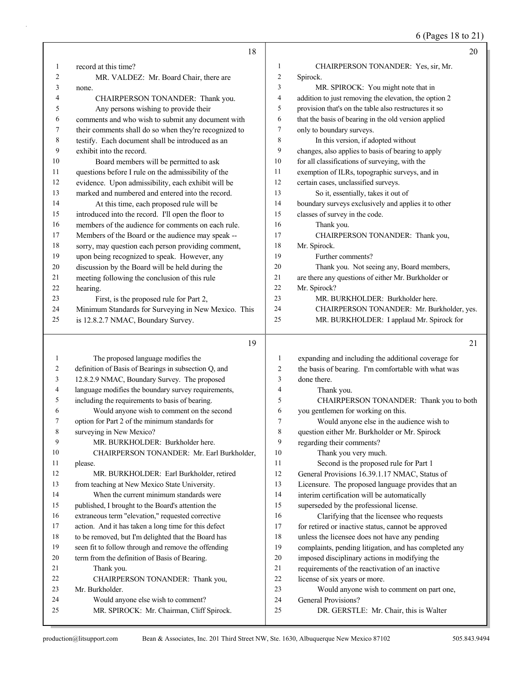6 (Pages 18 to 21)

|                | 18                                                                                                   |                | 20                                                                 |
|----------------|------------------------------------------------------------------------------------------------------|----------------|--------------------------------------------------------------------|
| 1              | record at this time?                                                                                 | 1              | CHAIRPERSON TONANDER: Yes, sir, Mr.                                |
| 2              | MR. VALDEZ: Mr. Board Chair, there are                                                               | $\overline{c}$ | Spirock.                                                           |
| 3              | none.                                                                                                | 3              | MR. SPIROCK: You might note that in                                |
| 4              | CHAIRPERSON TONANDER: Thank you.                                                                     | 4              | addition to just removing the elevation, the option 2              |
| 5              | Any persons wishing to provide their                                                                 | 5              | provision that's on the table also restructures it so              |
| 6              | comments and who wish to submit any document with                                                    | 6              | that the basis of bearing in the old version applied               |
| 7              | their comments shall do so when they're recognized to                                                | $\tau$         | only to boundary surveys.                                          |
| 8              | testify. Each document shall be introduced as an                                                     | 8              | In this version, if adopted without                                |
| 9              | exhibit into the record.                                                                             | 9              | changes, also applies to basis of bearing to apply                 |
| 10             | Board members will be permitted to ask                                                               | 10             | for all classifications of surveying, with the                     |
| 11             | questions before I rule on the admissibility of the                                                  | 11             | exemption of ILRs, topographic surveys, and in                     |
| 12             | evidence. Upon admissibility, each exhibit will be                                                   | 12             | certain cases, unclassified surveys.                               |
| 13             | marked and numbered and entered into the record.                                                     | 13             | So it, essentially, takes it out of                                |
| 14             | At this time, each proposed rule will be                                                             | 14             | boundary surveys exclusively and applies it to other               |
| 15             | introduced into the record. I'll open the floor to                                                   | 15             | classes of survey in the code.                                     |
| 16             | members of the audience for comments on each rule.                                                   | 16             | Thank you.                                                         |
| 17             | Members of the Board or the audience may speak --                                                    | 17             | CHAIRPERSON TONANDER: Thank you,                                   |
| 18             | sorry, may question each person providing comment,                                                   | 18             | Mr. Spirock.                                                       |
| 19             | upon being recognized to speak. However, any                                                         | 19             | Further comments?                                                  |
| 20             | discussion by the Board will be held during the                                                      | 20             | Thank you. Not seeing any, Board members,                          |
| 21             | meeting following the conclusion of this rule                                                        | 21             | are there any questions of either Mr. Burkholder or                |
| 22             | hearing.                                                                                             | 22             | Mr. Spirock?                                                       |
| 23             | First, is the proposed rule for Part 2,                                                              | 23             | MR. BURKHOLDER: Burkholder here.                                   |
| 24             | Minimum Standards for Surveying in New Mexico. This                                                  | 24             | CHAIRPERSON TONANDER: Mr. Burkholder, yes.                         |
| 25             | is 12.8.2.7 NMAC, Boundary Survey.                                                                   | 25             | MR. BURKHOLDER: I applaud Mr. Spirock for                          |
|                |                                                                                                      |                |                                                                    |
|                |                                                                                                      |                |                                                                    |
|                | 19                                                                                                   |                | 21                                                                 |
| $\mathbf{1}$   |                                                                                                      | 1              |                                                                    |
| $\overline{c}$ | The proposed language modifies the                                                                   | $\overline{c}$ | expanding and including the additional coverage for                |
| 3              | definition of Basis of Bearings in subsection Q, and<br>12.8.2.9 NMAC, Boundary Survey. The proposed | 3              | the basis of bearing. I'm comfortable with what was<br>done there. |
| 4              | language modifies the boundary survey requirements,                                                  | 4              | Thank you.                                                         |
| 5              | including the requirements to basis of bearing.                                                      | 5              | CHAIRPERSON TONANDER: Thank you to both                            |
| 6              | Would anyone wish to comment on the second                                                           | 6              | you gentlemen for working on this.                                 |
| 7              | option for Part 2 of the minimum standards for                                                       | 7              | Would anyone else in the audience wish to                          |
| 8              | surveying in New Mexico?                                                                             | $\,$ $\,$      | question either Mr. Burkholder or Mr. Spirock                      |
| 9              | MR. BURKHOLDER: Burkholder here.                                                                     | 9              | regarding their comments?                                          |
| 10             | CHAIRPERSON TONANDER: Mr. Earl Burkholder,                                                           | 10             | Thank you very much.                                               |
| 11             | please.                                                                                              | 11             | Second is the proposed rule for Part 1                             |
| 12             | MR. BURKHOLDER: Earl Burkholder, retired                                                             | 12             | General Provisions 16.39.1.17 NMAC, Status of                      |
| 13             | from teaching at New Mexico State University.                                                        | 13             | Licensure. The proposed language provides that an                  |
| 14             | When the current minimum standards were                                                              | 14             | interim certification will be automatically                        |
| 15             | published, I brought to the Board's attention the                                                    | 15             | superseded by the professional license.                            |
| 16             | extraneous term "elevation," requested corrective                                                    | 16             | Clarifying that the licensee who requests                          |
| 17             | action. And it has taken a long time for this defect                                                 | 17             | for retired or inactive status, cannot be approved                 |
| 18             | to be removed, but I'm delighted that the Board has                                                  | 18             | unless the licensee does not have any pending                      |
| 19             | seen fit to follow through and remove the offending                                                  | 19             | complaints, pending litigation, and has completed any              |
| 20             | term from the definition of Basis of Bearing.                                                        | 20             | imposed disciplinary actions in modifying the                      |
| 21             | Thank you.                                                                                           | 21             | requirements of the reactivation of an inactive                    |
| 22             | CHAIRPERSON TONANDER: Thank you,                                                                     | 22             | license of six years or more.                                      |
| 23             | Mr. Burkholder.                                                                                      | 23             | Would anyone wish to comment on part one,                          |
| 24<br>25       | Would anyone else wish to comment?<br>MR. SPIROCK: Mr. Chairman, Cliff Spirock.                      | 24<br>25       | General Provisions?<br>DR. GERSTLE: Mr. Chair, this is Walter      |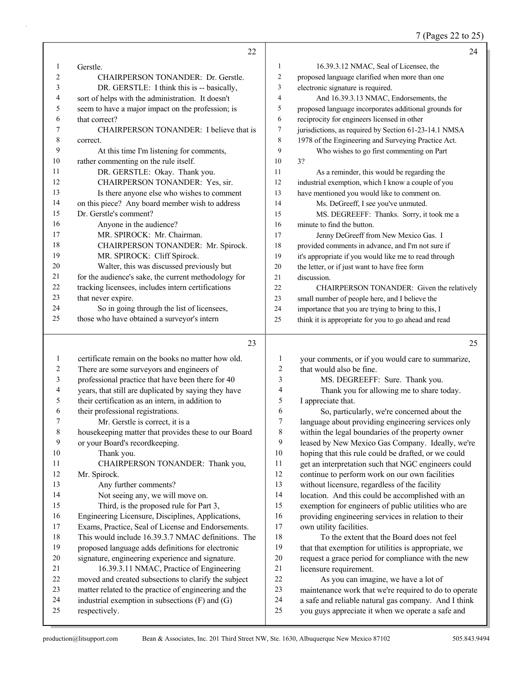7 (Pages 22 to 25)

|              | 22                                                                                                       |                   | 24                                                                                                        |
|--------------|----------------------------------------------------------------------------------------------------------|-------------------|-----------------------------------------------------------------------------------------------------------|
| $\mathbf{1}$ | Gerstle.                                                                                                 | $\mathbf{1}$      | 16.39.3.12 NMAC, Seal of Licensee, the                                                                    |
| 2            | CHAIRPERSON TONANDER: Dr. Gerstle.                                                                       | $\overline{c}$    | proposed language clarified when more than one                                                            |
| 3            | DR. GERSTLE: I think this is -- basically,                                                               | 3                 | electronic signature is required.                                                                         |
| 4            | sort of helps with the administration. It doesn't                                                        | $\overline{4}$    | And 16.39.3.13 NMAC, Endorsements, the                                                                    |
| 5            | seem to have a major impact on the profession; is                                                        | 5                 | proposed language incorporates additional grounds for                                                     |
| 6            | that correct?                                                                                            | 6                 | reciprocity for engineers licensed in other                                                               |
| 7            | CHAIRPERSON TONANDER: I believe that is                                                                  | 7                 | jurisdictions, as required by Section 61-23-14.1 NMSA                                                     |
| 8            | correct.                                                                                                 | 8                 | 1978 of the Engineering and Surveying Practice Act.                                                       |
| 9            | At this time I'm listening for comments,                                                                 | 9                 | Who wishes to go first commenting on Part                                                                 |
| 10           | rather commenting on the rule itself.                                                                    | 10                | 3?                                                                                                        |
| 11           | DR. GERSTLE: Okay. Thank you.                                                                            | 11                | As a reminder, this would be regarding the                                                                |
| 12           | CHAIRPERSON TONANDER: Yes, sir.                                                                          | 12                | industrial exemption, which I know a couple of you                                                        |
| 13           | Is there anyone else who wishes to comment                                                               | 13                | have mentioned you would like to comment on.                                                              |
| 14           | on this piece? Any board member wish to address                                                          | 14                | Ms. DeGreeff, I see you've unmuted.                                                                       |
| 15           | Dr. Gerstle's comment?                                                                                   | 15                | MS. DEGREEFF: Thanks. Sorry, it took me a                                                                 |
| 16           | Anyone in the audience?                                                                                  | 16                | minute to find the button.                                                                                |
| 17           | MR. SPIROCK: Mr. Chairman.                                                                               | 17                | Jenny DeGreeff from New Mexico Gas. I                                                                     |
| 18           | CHAIRPERSON TONANDER: Mr. Spirock.                                                                       | 18                | provided comments in advance, and I'm not sure if                                                         |
| 19           | MR. SPIROCK: Cliff Spirock.                                                                              | 19                | it's appropriate if you would like me to read through                                                     |
| 20           | Walter, this was discussed previously but                                                                | 20                | the letter, or if just want to have free form                                                             |
| 21           | for the audience's sake, the current methodology for                                                     | 21                | discussion.                                                                                               |
| 22           | tracking licensees, includes intern certifications                                                       | 22                | CHAIRPERSON TONANDER: Given the relatively                                                                |
| 23           | that never expire.                                                                                       | 23                | small number of people here, and I believe the                                                            |
| 24           | So in going through the list of licensees,                                                               | 24                | importance that you are trying to bring to this, I                                                        |
| 25           | those who have obtained a surveyor's intern                                                              | 25                | think it is appropriate for you to go ahead and read                                                      |
|              |                                                                                                          |                   |                                                                                                           |
|              | 23                                                                                                       |                   | 25                                                                                                        |
|              |                                                                                                          |                   |                                                                                                           |
| 1            | certificate remain on the books no matter how old.                                                       | $\mathbf{1}$<br>2 | your comments, or if you would care to summarize,                                                         |
| 2<br>3       | There are some surveyors and engineers of                                                                | 3                 | that would also be fine.                                                                                  |
| 4            | professional practice that have been there for 40                                                        | 4                 | MS. DEGREEFF: Sure. Thank you.                                                                            |
| 5            | years, that still are duplicated by saying they have<br>their certification as an intern, in addition to | 5                 | Thank you for allowing me to share today.                                                                 |
| 6            | their professional registrations.                                                                        | 6                 | I appreciate that.<br>So, particularly, we're concerned about the                                         |
|              | Mr. Gerstle is correct, it is a                                                                          | 7                 |                                                                                                           |
| 8            | housekeeping matter that provides these to our Board                                                     | 8                 | language about providing engineering services only<br>within the legal boundaries of the property owner   |
| 9            | or your Board's recordkeeping.                                                                           | 9                 | leased by New Mexico Gas Company. Ideally, we're                                                          |
| 10           | Thank you.                                                                                               | 10                | hoping that this rule could be drafted, or we could                                                       |
| 11           | CHAIRPERSON TONANDER: Thank you,                                                                         | 11                | get an interpretation such that NGC engineers could                                                       |
| 12           | Mr. Spirock.                                                                                             | 12                | continue to perform work on our own facilities                                                            |
| 13           | Any further comments?                                                                                    | 13                | without licensure, regardless of the facility                                                             |
| 14           | Not seeing any, we will move on.                                                                         | 14                | location. And this could be accomplished with an                                                          |
| 15           | Third, is the proposed rule for Part 3,                                                                  | 15                | exemption for engineers of public utilities who are                                                       |
| 16           | Engineering Licensure, Disciplines, Applications,                                                        | 16                | providing engineering services in relation to their                                                       |
| 17           | Exams, Practice, Seal of License and Endorsements.                                                       | 17                | own utility facilities.                                                                                   |
| 18           | This would include 16.39.3.7 NMAC definitions. The                                                       | 18                | To the extent that the Board does not feel                                                                |
| 19           | proposed language adds definitions for electronic                                                        | 19                | that that exemption for utilities is appropriate, we                                                      |
| $20\,$       | signature, engineering experience and signature.                                                         | $20\,$            | request a grace period for compliance with the new                                                        |
| 21           | 16.39.3.11 NMAC, Practice of Engineering                                                                 | $21\,$            | licensure requirement.                                                                                    |
| $22\,$       | moved and created subsections to clarify the subject                                                     | 22                | As you can imagine, we have a lot of                                                                      |
| 23           | matter related to the practice of engineering and the                                                    | 23                | maintenance work that we're required to do to operate                                                     |
| 24<br>25     | industrial exemption in subsections $(F)$ and $(G)$<br>respectively.                                     | 24<br>$25\,$      | a safe and reliable natural gas company. And I think<br>you guys appreciate it when we operate a safe and |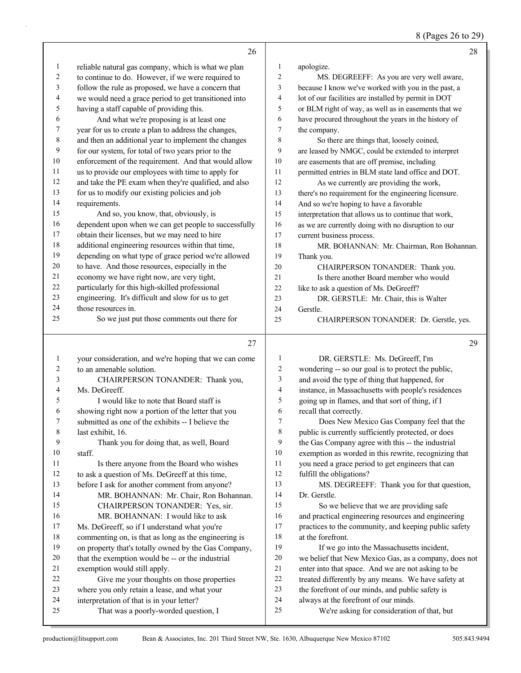8 (Pages 26 to 29)

|                          | 26                                                                                |                | 28                                                                                   |
|--------------------------|-----------------------------------------------------------------------------------|----------------|--------------------------------------------------------------------------------------|
| 1                        | reliable natural gas company, which is what we plan                               | $\mathbf{1}$   | apologize.                                                                           |
| $\overline{c}$           | to continue to do. However, if we were required to                                | $\overline{c}$ | MS. DEGREEFF: As you are very well aware,                                            |
| 3                        | follow the rule as proposed, we have a concern that                               | 3              | because I know we've worked with you in the past, a                                  |
| $\overline{\mathcal{A}}$ | we would need a grace period to get transitioned into                             | 4              | lot of our facilities are installed by permit in DOT                                 |
| 5                        | having a staff capable of providing this.                                         | 5              | or BLM right of way, as well as in easements that we                                 |
| 6                        | And what we're proposing is at least one                                          | 6              | have procured throughout the years in the history of                                 |
| 7                        | year for us to create a plan to address the changes,                              | 7              | the company.                                                                         |
| $\,$ 8 $\,$              | and then an additional year to implement the changes                              | 8              | So there are things that, loosely coined,                                            |
| $\mathbf{9}$             | for our system, for total of two years prior to the                               | 9              | are leased by NMGC, could be extended to interpret                                   |
| $10\,$                   | enforcement of the requirement. And that would allow                              | $10\,$         | are easements that are off premise, including                                        |
| 11                       | us to provide our employees with time to apply for                                | 11             | permitted entries in BLM state land office and DOT.                                  |
| 12                       | and take the PE exam when they're qualified, and also                             | 12             | As we currently are providing the work,                                              |
| 13                       | for us to modify our existing policies and job                                    | 13             | there's no requirement for the engineering licensure.                                |
| 14                       | requirements.                                                                     | 14             | And so we're hoping to have a favorable                                              |
| 15                       | And so, you know, that, obviously, is                                             | 15             | interpretation that allows us to continue that work,                                 |
| 16                       | dependent upon when we can get people to successfully                             | 16             | as we are currently doing with no disruption to our                                  |
| 17                       | obtain their licenses, but we may need to hire                                    | 17             | current business process.                                                            |
| $18\,$                   | additional engineering resources within that time,                                | 18             | MR. BOHANNAN: Mr. Chairman, Ron Bohannan.                                            |
| 19                       | depending on what type of grace period we're allowed                              | 19             | Thank you.                                                                           |
| $20\,$                   | to have. And those resources, especially in the                                   | 20             | CHAIRPERSON TONANDER: Thank you.                                                     |
| 21                       | economy we have right now, are very tight,                                        | 21             | Is there another Board member who would                                              |
| 22                       | particularly for this high-skilled professional                                   | 22             | like to ask a question of Ms. DeGreeff?                                              |
| 23                       | engineering. It's difficult and slow for us to get                                | 23             | DR. GERSTLE: Mr. Chair, this is Walter                                               |
| 24                       | those resources in.                                                               | 24             | Gerstle.                                                                             |
| 25                       | So we just put those comments out there for                                       | 25             | CHAIRPERSON TONANDER: Dr. Gerstle, yes.                                              |
|                          |                                                                                   |                |                                                                                      |
|                          |                                                                                   |                |                                                                                      |
|                          | 27                                                                                |                | 29                                                                                   |
|                          |                                                                                   |                |                                                                                      |
| $\mathbf{1}$             | your consideration, and we're hoping that we can come                             | 1              | DR. GERSTLE: Ms. DeGreeff, I'm                                                       |
| 2                        | to an amenable solution.                                                          | $\sqrt{2}$     | wondering -- so our goal is to protect the public,                                   |
| 3                        | CHAIRPERSON TONANDER: Thank you,                                                  | 3              | and avoid the type of thing that happened, for                                       |
| 4                        | Ms. DeGreeff.                                                                     | 4              | instance, in Massachusetts with people's residences                                  |
| 5                        | I would like to note that Board staff is                                          | 5              | going up in flames, and that sort of thing, if I                                     |
| 6                        | showing right now a portion of the letter that you                                | 6              | recall that correctly.                                                               |
| 7                        | submitted as one of the exhibits -- I believe the                                 | 7              | Does New Mexico Gas Company feel that the                                            |
| 8                        | last exhibit, 16.                                                                 | 8              | public is currently sufficiently protected, or does                                  |
| 9                        | Thank you for doing that, as well, Board                                          | 9              | the Gas Company agree with this -- the industrial                                    |
| 10                       | staff.                                                                            | 10             | exemption as worded in this rewrite, recognizing that                                |
| 11                       | Is there anyone from the Board who wishes                                         | 11             | you need a grace period to get engineers that can                                    |
| 12                       | to ask a question of Ms. DeGreeff at this time,                                   | 12             | fulfill the obligations?                                                             |
| 13                       | before I ask for another comment from anyone?                                     | 13             | MS. DEGREEFF: Thank you for that question,                                           |
| 14                       | MR. BOHANNAN: Mr. Chair, Ron Bohannan.                                            | 14             | Dr. Gerstle.                                                                         |
| 15                       | CHAIRPERSON TONANDER: Yes, sir.                                                   | 15             | So we believe that we are providing safe                                             |
| 16                       | MR. BOHANNAN: I would like to ask                                                 | 16             | and practical engineering resources and engineering                                  |
| 17                       | Ms. DeGreeff, so if I understand what you're                                      | 17             | practices to the community, and keeping public safety                                |
| $18\,$                   | commenting on, is that as long as the engineering is                              | 18             | at the forefront.                                                                    |
| 19                       | on property that's totally owned by the Gas Company,                              | 19             | If we go into the Massachusetts incident,                                            |
| 20                       | that the exemption would be -- or the industrial                                  | $20\,$         | we belief that New Mexico Gas, as a company, does not                                |
| 21                       | exemption would still apply.                                                      | $21\,$         | enter into that space. And we are not asking to be                                   |
| 22                       | Give me your thoughts on those properties                                         | 22             | treated differently by any means. We have safety at                                  |
| 23                       | where you only retain a lease, and what your                                      | 23             | the forefront of our minds, and public safety is                                     |
| 24<br>25                 | interpretation of that is in your letter?<br>That was a poorly-worded question, I | 24<br>25       | always at the forefront of our minds.<br>We're asking for consideration of that, but |

a k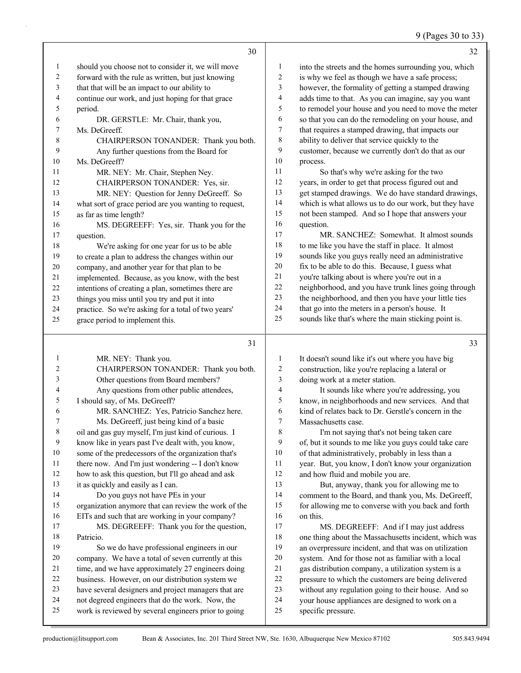#### 9 (Pages 30 to 33)

|              |                                                       |    | $9$ (Fages $30\,$ to $33$                             |
|--------------|-------------------------------------------------------|----|-------------------------------------------------------|
|              | 30                                                    |    | 32                                                    |
| $\mathbf{1}$ | should you choose not to consider it, we will move    |    | into the streets and the homes surrounding you, which |
| 2            | forward with the rule as written, but just knowing    | 2  | is why we feel as though we have a safe process;      |
| 3            | that that will be an impact to our ability to         | 3  | however, the formality of getting a stamped drawing   |
| 4            | continue our work, and just hoping for that grace     | 4  | adds time to that. As you can imagine, say you want   |
| 5            | period.                                               | 5  | to remodel your house and you need to move the meter  |
| 6            | DR. GERSTLE: Mr. Chair, thank you,                    | 6  | so that you can do the remodeling on your house, and  |
| 7            | Ms. DeGreeff.                                         | 7  | that requires a stamped drawing, that impacts our     |
| 8            | CHAIRPERSON TONANDER: Thank you both.                 | 8  | ability to deliver that service quickly to the        |
| 9            | Any further questions from the Board for              | 9  | customer, because we currently don't do that as our   |
| 10           | Ms. DeGreeff?                                         | 10 | process.                                              |
| 11           | MR. NEY: Mr. Chair, Stephen Ney.                      | 11 | So that's why we're asking for the two                |
| 12           | CHAIRPERSON TONANDER: Yes, sir.                       | 12 | years, in order to get that process figured out and   |
| 13           | MR. NEY: Question for Jenny DeGreeff. So              | 13 | get stamped drawings. We do have standard drawings,   |
| 14           | what sort of grace period are you wanting to request, | 14 | which is what allows us to do our work, but they have |
| <b>5</b>     | as far as time length?                                | 15 | not been stamped. And so I hope that answers your     |
| 16           | MS. DEGREEFF: Yes, sir. Thank you for the             | 16 | question.                                             |
| l 7          | question.                                             | 17 | MR. SANCHEZ: Somewhat. It almost sounds               |
| 18           | We're asking for one year for us to be able           | 18 | to me like you have the staff in place. It almost     |
| 19           | to create a plan to address the changes within our    | 19 | sounds like you guys really need an administrative    |
| 20           | company, and another year for that plan to be         | 20 | fix to be able to do this. Because, I guess what      |
|              |                                                       |    |                                                       |

- you're talking about is where you're out in a neighborhood, and you have trunk lines going through
- the neighborhood, and then you have your little ties
- that go into the meters in a person's house. It
- sounds like that's where the main sticking point is.

| 1  | MR. NEY: Thank you.                                  | $\mathbf{1}$   | It doesn't sound like it's out where you have big     |
|----|------------------------------------------------------|----------------|-------------------------------------------------------|
| 2  | CHAIRPERSON TONANDER: Thank you both.                | $\overline{2}$ | construction, like you're replacing a lateral or      |
| 3  | Other questions from Board members?                  | 3              | doing work at a meter station.                        |
| 4  | Any questions from other public attendees,           | 4              | It sounds like where you're addressing, you           |
| 5  | I should say, of Ms. DeGreeff?                       | 5              | know, in neighborhoods and new services. And that     |
| 6  | MR. SANCHEZ: Yes, Patricio Sanchez here.             | 6              | kind of relates back to Dr. Gerstle's concern in the  |
| 7  | Ms. DeGreeff, just being kind of a basic             | 7              | Massachusetts case.                                   |
| 8  | oil and gas guy myself, I'm just kind of curious. I  | 8              | I'm not saying that's not being taken care            |
| 9  | know like in years past I've dealt with, you know,   | 9              | of, but it sounds to me like you guys could take care |
| 10 | some of the predecessors of the organization that's  | 10             | of that administratively, probably in less than a     |
| 11 | there now. And I'm just wondering -- I don't know    | 11             | year. But, you know, I don't know your organization   |
| 12 | how to ask this question, but I'll go ahead and ask  | 12             | and how fluid and mobile you are.                     |
| 13 | it as quickly and easily as I can.                   | 13             | But, anyway, thank you for allowing me to             |
| 14 | Do you guys not have PEs in your                     | 14             | comment to the Board, and thank you, Ms. DeGreeff,    |
| 15 | organization anymore that can review the work of the | 15             | for allowing me to converse with you back and forth   |
| 16 | EITs and such that are working in your company?      | 16             | on this.                                              |
| 17 | MS. DEGREEFF: Thank you for the question,            | 17             | MS. DEGREEFF: And if I may just address               |
| 18 | Patricio.                                            | 18             | one thing about the Massachusetts incident, which was |
| 19 | So we do have professional engineers in our          | 19             | an overpressure incident, and that was on utilization |
| 20 | company. We have a total of seven currently at this  | 20             | system. And for those not as familiar with a local    |
| 21 | time, and we have approximately 27 engineers doing   | 21             | gas distribution company, a utilization system is a   |
| 22 | business. However, on our distribution system we     | 22             | pressure to which the customers are being delivered   |
| 23 | have several designers and project managers that are | 23             | without any regulation going to their house. And so   |
| 24 | not degreed engineers that do the work. Now, the     | 24             | your house appliances are designed to work on a       |
| 25 | work is reviewed by several engineers prior to going | 25             | specific pressure.                                    |
|    |                                                      |                |                                                       |

18 We're asking for one year for us to be able to create a plan to address the changes within our company, and another year for that plan to be implemented. Because, as you know, with the best intentions of creating a plan, sometimes there are things you miss until you try and put it into practice. So we're asking for a total of two years'

grace period to implement this.

question.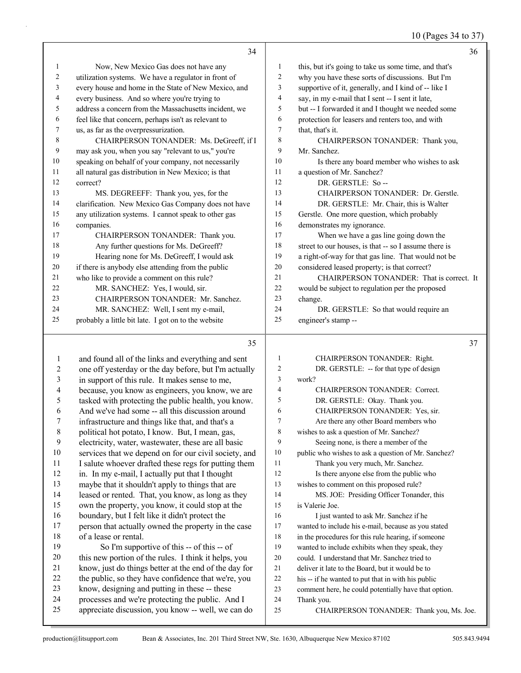# 10 (Pages 34 to 37)

|    | 34                                                    |                | 36                                                    |
|----|-------------------------------------------------------|----------------|-------------------------------------------------------|
| 1  | Now, New Mexico Gas does not have any                 | 1              | this, but it's going to take us some time, and that's |
| 2  | utilization systems. We have a regulator in front of  | $\overline{2}$ | why you have these sorts of discussions. But I'm      |
| 3  | every house and home in the State of New Mexico, and  | 3              | supportive of it, generally, and I kind of -- like I  |
| 4  | every business. And so where you're trying to         | $\overline{4}$ | say, in my e-mail that I sent -- I sent it late,      |
| 5  | address a concern from the Massachusetts incident, we | 5              | but -- I forwarded it and I thought we needed some    |
| 6  | feel like that concern, perhaps isn't as relevant to  | 6              | protection for leasers and renters too, and with      |
| 7  | us, as far as the overpressurization.                 | 7              | that, that's it.                                      |
| 8  | CHAIRPERSON TONANDER: Ms. DeGreeff. if I              | 8              | CHAIRPERSON TONANDER: Thank you,                      |
| 9  | may ask you, when you say "relevant to us," you're    | 9              | Mr. Sanchez.                                          |
| 10 | speaking on behalf of your company, not necessarily   | 10             | Is there any board member who wishes to ask           |
| 11 | all natural gas distribution in New Mexico; is that   | 11             | a question of Mr. Sanchez?                            |
| 12 | correct?                                              | 12             | DR. GERSTLE: So-                                      |
| 13 | MS. DEGREEFF: Thank you, yes, for the                 | 13             | CHAIRPERSON TONANDER: Dr. Gerstle.                    |
| 14 | clarification. New Mexico Gas Company does not have   | 14             | DR. GERSTLE: Mr. Chair, this is Walter                |
| 15 | any utilization systems. I cannot speak to other gas  | 15             | Gerstle. One more question, which probably            |
| 16 | companies.                                            | 16             | demonstrates my ignorance.                            |
| 17 | CHAIRPERSON TONANDER: Thank you.                      | 17             | When we have a gas line going down the                |
| 18 | Any further questions for Ms. DeGreeff?               | 18             | street to our houses, is that -- so I assume there is |
| 19 | Hearing none for Ms. DeGreeff, I would ask            | 19             | a right-of-way for that gas line. That would not be   |
| 20 | if there is anybody else attending from the public    | 20             | considered leased property; is that correct?          |
| 21 | who like to provide a comment on this rule?           | 21             | CHAIRPERSON TONANDER: That is correct. It             |
| 22 | MR. SANCHEZ: Yes, I would, sir.                       | 22             | would be subject to regulation per the proposed       |
| 23 | CHAIRPERSON TONANDER: Mr. Sanchez.                    | 23             | change.                                               |
| 24 | MR. SANCHEZ: Well, I sent my e-mail,                  | 24             | DR. GERSTLE: So that would require an                 |
| 25 | probably a little bit late. I got on to the website   | 25             | engineer's stamp --                                   |
|    |                                                       |                |                                                       |

| 1              | and found all of the links and everything and sent    | 1              | <b>CHAIRPERSON</b>         |
|----------------|-------------------------------------------------------|----------------|----------------------------|
| 2              | one off yesterday or the day before, but I'm actually | $\overline{2}$ | DR. GERSTLE:               |
| 3              | in support of this rule. It makes sense to me,        | 3              | work?                      |
| $\overline{4}$ | because, you know as engineers, you know, we are      | $\overline{4}$ | <b>CHAIRPERSON</b>         |
| 5              | tasked with protecting the public health, you know.   | 5              | DR. GERSTLE:               |
| 6              | And we've had some -- all this discussion around      | 6              | <b>CHAIRPERSON</b>         |
| 7              | infrastructure and things like that, and that's a     | $\overline{7}$ | Are there any oth          |
| $\,8\,$        | political hot potato, I know. But, I mean, gas,       | 8              | wishes to ask a question   |
| 9              | electricity, water, wastewater, these are all basic   | 9              | Seeing none, is th         |
| 10             | services that we depend on for our civil society, and | 10             | public who wishes to as    |
| 11             | I salute whoever drafted these regs for putting them  | 11             | Thank you very r           |
| 12             | in. In my e-mail, I actually put that I thought       | 12             | Is there anyone e          |
| 13             | maybe that it shouldn't apply to things that are      | 13             | wishes to comment on       |
| 14             | leased or rented. That, you know, as long as they     | 14             | MS. JOE: Presid            |
| 15             | own the property, you know, it could stop at the      | 15             | is Valerie Joe.            |
| 16             | boundary, but I felt like it didn't protect the       | 16             | I just wanted to a         |
| 17             | person that actually owned the property in the case   | 17             | wanted to include his e-   |
| 18             | of a lease or rental.                                 | 18             | in the procedures for the  |
| 19             | So I'm supportive of this -- of this -- of            | 19             | wanted to include exhib    |
| 20             | this new portion of the rules. I think it helps, you  | 20             | could. I understand tha    |
| 21             | know, just do things better at the end of the day for | 21             | deliver it late to the Boa |
| 22             | the public, so they have confidence that we're, you   | 22             | his -- if he wanted to pu  |
| 23             | know, designing and putting in these -- these         | 23             | comment here, he could     |
| 24             | processes and we're protecting the public. And I      | 24             | Thank you.                 |
| 25             | appreciate discussion, you know -- well, we can do    | 25             | <b>CHAIRPERSON</b>         |
|                |                                                       |                |                            |

| 1              | CHAIRPERSON TONANDER: Right.                         |
|----------------|------------------------------------------------------|
| $\overline{2}$ | DR. GERSTLE: -- for that type of design              |
| 3              | work?                                                |
| 4              | CHAIRPERSON TONANDER: Correct.                       |
| 5              | DR. GERSTLE: Okay. Thank you.                        |
| 6              | CHAIRPERSON TONANDER: Yes, sir.                      |
| 7              | Are there any other Board members who                |
| 8              | wishes to ask a question of Mr. Sanchez?             |
| 9              | Seeing none, is there a member of the                |
| 10             | public who wishes to ask a question of Mr. Sanchez?  |
| 11             | Thank you very much, Mr. Sanchez.                    |
| 12             | Is there anyone else from the public who             |
| 13             | wishes to comment on this proposed rule?             |
| 14             | MS. JOE: Presiding Officer Tonander, this            |
| 15             | is Valerie Joe.                                      |
| 16             | I just wanted to ask Mr. Sanchez if he               |
| 17             | wanted to include his e-mail, because as you stated  |
| 18             | in the procedures for this rule hearing, if someone  |
| 19             | wanted to include exhibits when they speak, they     |
| 20             | could. I understand that Mr. Sanchez tried to        |
| 21             | deliver it late to the Board, but it would be to     |
| 22             | his -- if he wanted to put that in with his public   |
| 23             | comment here, he could potentially have that option. |
| 24             | Thank you.                                           |
| 25             | CHAIRPERSON TONANDER: Thank you, Ms. Joe.            |
|                |                                                      |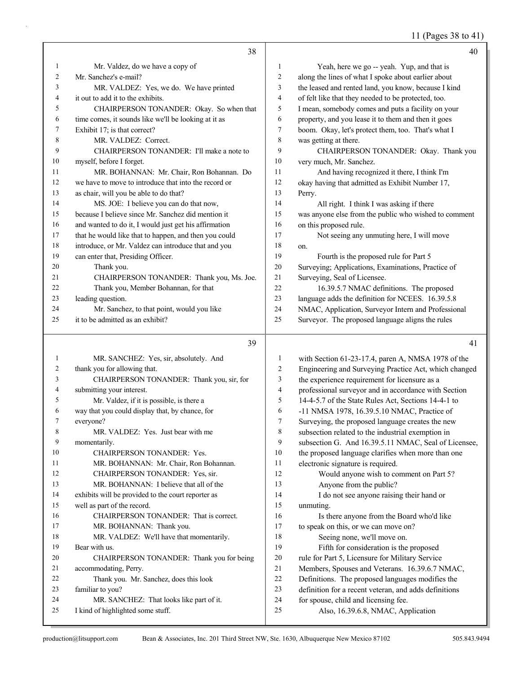# 11 (Pages 38 to 41)

|              | 38                                                    |              | 40                                                                                      |
|--------------|-------------------------------------------------------|--------------|-----------------------------------------------------------------------------------------|
| 1            | Mr. Valdez, do we have a copy of                      | $\mathbf{1}$ | Yeah, here we go -- yeah. Yup, and that is                                              |
| 2            | Mr. Sanchez's e-mail?                                 | 2            | along the lines of what I spoke about earlier about                                     |
| 3            | MR. VALDEZ: Yes, we do. We have printed               | 3            | the leased and rented land, you know, because I kind                                    |
| 4            | it out to add it to the exhibits.                     | 4            | of felt like that they needed to be protected, too.                                     |
| 5            | CHAIRPERSON TONANDER: Okay. So when that              | 5            | I mean, somebody comes and puts a facility on your                                      |
| 6            | time comes, it sounds like we'll be looking at it as  | 6            | property, and you lease it to them and then it goes                                     |
| 7            | Exhibit 17; is that correct?                          | 7            | boom. Okay, let's protect them, too. That's what I                                      |
| 8            | MR. VALDEZ: Correct.                                  | 8            | was getting at there.                                                                   |
| 9            | CHAIRPERSON TONANDER: I'll make a note to             | 9            | CHAIRPERSON TONANDER: Okay. Thank you                                                   |
| 10           | myself, before I forget.                              | 10           | very much, Mr. Sanchez.                                                                 |
| 11           | MR. BOHANNAN: Mr. Chair, Ron Bohannan. Do             | 11           | And having recognized it there, I think I'm                                             |
| 12           | we have to move to introduce that into the record or  | 12           | okay having that admitted as Exhibit Number 17,                                         |
| 13           | as chair, will you be able to do that?                | 13           | Perry.                                                                                  |
| 14           | MS. JOE: I believe you can do that now,               | 14           | All right. I think I was asking if there                                                |
| 15           | because I believe since Mr. Sanchez did mention it    | 15           | was anyone else from the public who wished to comment                                   |
| 16           | and wanted to do it, I would just get his affirmation | 16           | on this proposed rule.                                                                  |
| 17           | that he would like that to happen, and then you could | 17           | Not seeing any unmuting here, I will move                                               |
| 18           | introduce, or Mr. Valdez can introduce that and you   | 18           | on.                                                                                     |
| 19           | can enter that, Presiding Officer.                    | 19           | Fourth is the proposed rule for Part 5                                                  |
| 20           | Thank you.                                            | $20\,$       | Surveying; Applications, Examinations, Practice of                                      |
| 21           | CHAIRPERSON TONANDER: Thank you, Ms. Joe.             | $21\,$       | Surveying, Seal of Licensee.                                                            |
| 22           | Thank you, Member Bohannan, for that                  | 22           | 16.39.5.7 NMAC definitions. The proposed                                                |
| 23           | leading question.                                     | 23           | language adds the definition for NCEES. 16.39.5.8                                       |
| 24           | Mr. Sanchez, to that point, would you like            | 24           | NMAC, Application, Surveyor Intern and Professional                                     |
| 25           | it to be admitted as an exhibit?                      | 25           | Surveyor. The proposed language aligns the rules                                        |
|              |                                                       |              |                                                                                         |
|              |                                                       |              |                                                                                         |
|              | 39                                                    |              | 41                                                                                      |
|              |                                                       |              |                                                                                         |
| $\mathbf{1}$ | MR. SANCHEZ: Yes, sir, absolutely. And                | 1            | with Section 61-23-17.4, paren A, NMSA 1978 of the                                      |
| 2<br>3       | thank you for allowing that.                          | 2<br>3       | Engineering and Surveying Practice Act, which changed                                   |
| 4            | CHAIRPERSON TONANDER: Thank you, sir, for             | 4            | the experience requirement for licensure as a                                           |
| 5            | submitting your interest.                             | 5            | professional surveyor and in accordance with Section                                    |
| 6            | Mr. Valdez, if it is possible, is there a             | 6            | 14-4-5.7 of the State Rules Act, Sections 14-4-1 to                                     |
| 7            | way that you could display that, by chance, for       | 7            | -11 NMSA 1978, 16.39.5.10 NMAC, Practice of                                             |
|              | everyone?<br>MR. VALDEZ: Yes. Just bear with me       |              | Surveying, the proposed language creates the new                                        |
| 8<br>9       | momentarily.                                          | 8<br>9       | subsection related to the industrial exemption in                                       |
| 10           | CHAIRPERSON TONANDER: Yes.                            | 10           | subsection G. And 16.39.5.11 NMAC, Seal of Licensee,                                    |
| 11           | MR. BOHANNAN: Mr. Chair, Ron Bohannan.                | 11           | the proposed language clarifies when more than one<br>electronic signature is required. |
| 12           | CHAIRPERSON TONANDER: Yes, sir.                       | 12           |                                                                                         |
| 13           | MR. BOHANNAN: I believe that all of the               | 13           | Would anyone wish to comment on Part 5?                                                 |
| 14           | exhibits will be provided to the court reporter as    | 14           | Anyone from the public?                                                                 |
| 15           | well as part of the record.                           | 15           | I do not see anyone raising their hand or                                               |
| 16           | CHAIRPERSON TONANDER: That is correct.                | 16           | unmuting.<br>Is there anyone from the Board who'd like                                  |
| 17           | MR. BOHANNAN: Thank you.                              | 17           |                                                                                         |
| 18           | MR. VALDEZ: We'll have that momentarily.              | 18           | to speak on this, or we can move on?<br>Seeing none, we'll move on.                     |
| 19           | Bear with us.                                         | 19           | Fifth for consideration is the proposed                                                 |
| 20           | CHAIRPERSON TONANDER: Thank you for being             | $20\,$       | rule for Part 5, Licensure for Military Service                                         |
| 21           | accommodating, Perry.                                 | 21           | Members, Spouses and Veterans. 16.39.6.7 NMAC,                                          |
| 22           | Thank you. Mr. Sanchez, does this look                | 22           | Definitions. The proposed languages modifies the                                        |
| 23           | familiar to you?                                      | 23           | definition for a recent veteran, and adds definitions                                   |
| 24           | MR. SANCHEZ: That looks like part of it.              | 24           | for spouse, child and licensing fee.                                                    |
| 25           | I kind of highlighted some stuff.                     | 25           | Also, 16.39.6.8, NMAC, Application                                                      |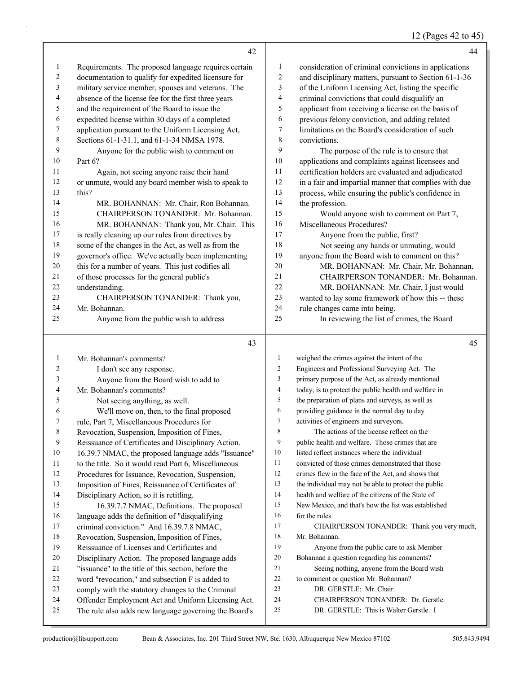#### 12 (Pages 42 to 45)

|                          | 42                                                   |                  | 44                                                    |
|--------------------------|------------------------------------------------------|------------------|-------------------------------------------------------|
| $\mathbf{1}$             | Requirements. The proposed language requires certain | 1                | consideration of criminal convictions in applications |
| 2                        | documentation to qualify for expedited licensure for | $\overline{c}$   | and disciplinary matters, pursuant to Section 61-1-36 |
| $\mathfrak{Z}$           | military service member, spouses and veterans. The   | 3                | of the Uniform Licensing Act, listing the specific    |
| $\overline{\mathcal{A}}$ | absence of the license fee for the first three years | $\overline{4}$   | criminal convictions that could disqualify an         |
| 5                        | and the requirement of the Board to issue the        | 5                | applicant from receiving a license on the basis of    |
| 6                        | expedited license within 30 days of a completed      | 6                | previous felony conviction, and adding related        |
| 7                        | application pursuant to the Uniform Licensing Act,   | 7                | limitations on the Board's consideration of such      |
| 8                        | Sections 61-1-31.1, and 61-1-34 NMSA 1978.           | $\,$ 8 $\,$      | convictions.                                          |
| 9                        | Anyone for the public wish to comment on             | 9                | The purpose of the rule is to ensure that             |
| 10                       | Part 6?                                              | 10               | applications and complaints against licensees and     |
| 11                       | Again, not seeing anyone raise their hand            | 11               | certification holders are evaluated and adjudicated   |
| 12                       | or unmute, would any board member wish to speak to   | 12               | in a fair and impartial manner that complies with due |
| 13                       | this?                                                | 13               | process, while ensuring the public's confidence in    |
| 14                       | MR. BOHANNAN: Mr. Chair, Ron Bohannan.               | 14               | the profession.                                       |
| 15                       | CHAIRPERSON TONANDER: Mr. Bohannan.                  | 15               | Would anyone wish to comment on Part 7,               |
| 16                       | MR. BOHANNAN: Thank you, Mr. Chair. This             | 16               | Miscellaneous Procedures?                             |
| 17                       | is really cleaning up our rules from directives by   | 17               | Anyone from the public, first?                        |
| 18                       | some of the changes in the Act, as well as from the  | 18               | Not seeing any hands or unmuting, would               |
| 19                       | governor's office. We've actually been implementing  | 19               | anyone from the Board wish to comment on this?        |
| 20                       | this for a number of years. This just codifies all   | 20               | MR. BOHANNAN: Mr. Chair, Mr. Bohannan.                |
| 21                       | of those processes for the general public's          | 21               | CHAIRPERSON TONANDER: Mr. Bohannan.                   |
| 22                       | understanding.                                       | 22               | MR. BOHANNAN: Mr. Chair, I just would                 |
| 23                       | CHAIRPERSON TONANDER: Thank you,                     | 23               | wanted to lay some framework of how this -- these     |
| 24                       | Mr. Bohannan.                                        | 24               | rule changes came into being.                         |
| 25                       | Anyone from the public wish to address               | 25               | In reviewing the list of crimes, the Board            |
|                          | 43                                                   |                  | 45                                                    |
| $\mathbf{1}$             | Mr. Bohannan's comments?                             | $\mathbf{1}$     | weighed the crimes against the intent of the          |
| 2                        | I don't see any response.                            | $\overline{c}$   | Engineers and Professional Surveying Act. The         |
| 3                        | Anyone from the Board wish to add to                 | 3                | primary purpose of the Act, as already mentioned      |
| $\overline{4}$           | Mr. Bohannan's comments?                             | $\overline{4}$   | today, is to protect the public health and welfare in |
| 5                        | Not seeing anything, as well.                        | 5                | the preparation of plans and surveys, as well as      |
| 6                        | We'll move on, then, to the final proposed           | 6                | providing guidance in the normal day to day           |
| 7                        | rule, Part 7, Miscellaneous Procedures for           | $\boldsymbol{7}$ | activities of engineers and surveyors.                |
| $\,$ $\,$                | Revocation, Suspension, Imposition of Fines,         | 8                | The actions of the license reflect on the             |
| 9                        | Reissuance of Certificates and Disciplinary Action.  | 9                | public health and welfare. Those crimes that are      |

- 16.39.7 NMAC, the proposed language adds "Issuance"
- to the title. So it would read Part 6, Miscellaneous
- Procedures for Issuance, Revocation, Suspension,
- Imposition of Fines, Reissuance of Certificates of
- Disciplinary Action, so it is retitling.
- 15 16.39.7.7 NMAC, Definitions. The proposed language adds the definition of "disqualifying criminal conviction." And 16.39.7.8 NMAC, Revocation, Suspension, Imposition of Fines, Reissuance of Licenses and Certificates and
- 
- Disciplinary Action. The proposed language adds
- "issuance" to the title of this section, before the
- word "revocation," and subsection F is added to
- comply with the statutory changes to the Criminal
- Offender Employment Act and Uniform Licensing Act.
- The rule also adds new language governing the Board's

 public health and welfare. Those crimes that are 10 listed reflect instances where the individual convicted of those crimes demonstrated that those crimes flew in the face of the Act, and shows that the individual may not be able to protect the public health and welfare of the citizens of the State of New Mexico, and that's how the list was established 16 for the rules. 17 CHAIRPERSON TONANDER: Thank you very much, Mr. Bohannan. 19 Anyone from the public care to ask Member Bohannan a question regarding his comments? 21 Seeing nothing, anyone from the Board wish to comment or question Mr. Bohannan? 23 DR. GERSTLE: Mr. Chair. 24 CHAIRPERSON TONANDER: Dr. Gerstle.

- 
- 25 DR. GERSTLE: This is Walter Gerstle. I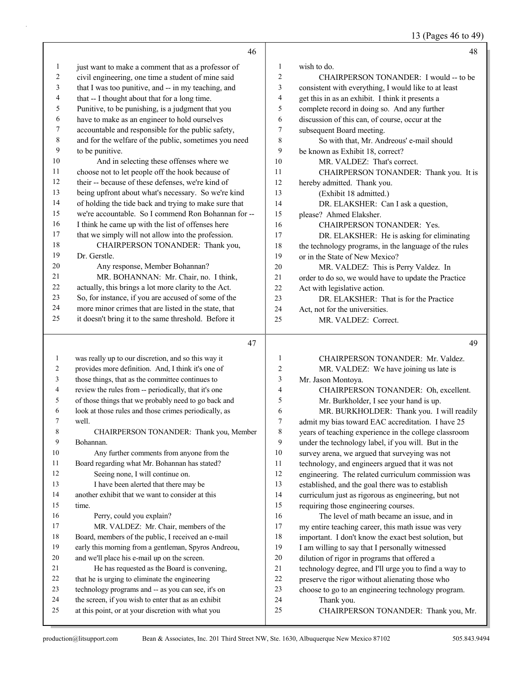13 (Pages 46 to 49)

|                | 46                                                                                                        |                | 48                                                    |
|----------------|-----------------------------------------------------------------------------------------------------------|----------------|-------------------------------------------------------|
| 1              | just want to make a comment that as a professor of                                                        | 1              | wish to do.                                           |
| 2              | civil engineering, one time a student of mine said                                                        | $\overline{c}$ | CHAIRPERSON TONANDER: I would -- to be                |
| 3              | that I was too punitive, and -- in my teaching, and                                                       | 3              | consistent with everything, I would like to at least  |
| 4              | that -- I thought about that for a long time.                                                             | 4              | get this in as an exhibit. I think it presents a      |
| 5              | Punitive, to be punishing, is a judgment that you                                                         | 5              | complete record in doing so. And any further          |
| 6              | have to make as an engineer to hold ourselves                                                             | 6              | discussion of this can, of course, occur at the       |
| 7              | accountable and responsible for the public safety,                                                        | 7              | subsequent Board meeting.                             |
| $\,$ $\,$      | and for the welfare of the public, sometimes you need                                                     | $\,$ $\,$      | So with that, Mr. Andreous' e-mail should             |
| 9              | to be punitive.                                                                                           | 9              | be known as Exhibit 18, correct?                      |
| 10             | And in selecting these offenses where we                                                                  | 10             | MR. VALDEZ: That's correct.                           |
| 11             | choose not to let people off the hook because of                                                          | 11             | CHAIRPERSON TONANDER: Thank you. It is                |
| 12             | their -- because of these defenses, we're kind of                                                         | 12             | hereby admitted. Thank you.                           |
| 13             | being upfront about what's necessary. So we're kind                                                       | 13             | (Exhibit 18 admitted.)                                |
| 14             | of holding the tide back and trying to make sure that                                                     | 14             | DR. ELAKSHER: Can I ask a question,                   |
| 15             | we're accountable. So I commend Ron Bohannan for --                                                       | 15             | please? Ahmed Elaksher.                               |
| 16             | I think he came up with the list of offenses here                                                         | 16             | CHAIRPERSON TONANDER: Yes.                            |
| 17             | that we simply will not allow into the profession.                                                        | 17             | DR. ELAKSHER: He is asking for eliminating            |
| 18             | CHAIRPERSON TONANDER: Thank you,                                                                          | 18             | the technology programs, in the language of the rules |
| 19             | Dr. Gerstle.                                                                                              | 19             | or in the State of New Mexico?                        |
| 20             | Any response, Member Bohannan?                                                                            | 20             | MR. VALDEZ: This is Perry Valdez. In                  |
| 21             | MR. BOHANNAN: Mr. Chair, no. I think,                                                                     | 21             | order to do so, we would have to update the Practice  |
| 22             | actually, this brings a lot more clarity to the Act.                                                      | 22             | Act with legislative action.                          |
| 23             | So, for instance, if you are accused of some of the                                                       | 23             | DR. ELAKSHER: That is for the Practice                |
| 24             | more minor crimes that are listed in the state, that                                                      | 24             | Act, not for the universities.                        |
| 25             | it doesn't bring it to the same threshold. Before it                                                      | 25             | MR. VALDEZ: Correct.                                  |
|                |                                                                                                           |                |                                                       |
|                |                                                                                                           |                |                                                       |
|                | 47                                                                                                        |                | 49                                                    |
| $\mathbf{1}$   | was really up to our discretion, and so this way it                                                       | $\mathbf{1}$   | CHAIRPERSON TONANDER: Mr. Valdez.                     |
| 2              | provides more definition. And, I think it's one of                                                        | $\overline{c}$ | MR. VALDEZ: We have joining us late is                |
| 3              | those things, that as the committee continues to                                                          | 3              | Mr. Jason Montoya.                                    |
| $\overline{4}$ | review the rules from -- periodically, that it's one                                                      | 4              | CHAIRPERSON TONANDER: Oh, excellent.                  |
| 5              | of those things that we probably need to go back and                                                      | 5              | Mr. Burkholder, I see your hand is up.                |
| 6              | look at those rules and those crimes periodically, as                                                     | 6              | MR. BURKHOLDER: Thank you. I will readily             |
| 7              | well.                                                                                                     | 7              | admit my bias toward EAC accreditation. I have 25     |
| 8              | CHAIRPERSON TONANDER: Thank you, Member                                                                   | 8              | years of teaching experience in the college classroom |
| 9              | Bohannan.                                                                                                 | 9              | under the technology label, if you will. But in the   |
| 10             | Any further comments from anyone from the                                                                 | 10             | survey arena, we argued that surveying was not        |
| 11             | Board regarding what Mr. Bohannan has stated?                                                             | 11             | technology, and engineers argued that it was not      |
| 12             | Seeing none, I will continue on.                                                                          | 12             | engineering. The related curriculum commission was    |
| 13             | I have been alerted that there may be                                                                     | 13             | established, and the goal there was to establish      |
| 14             | another exhibit that we want to consider at this                                                          | 14             | curriculum just as rigorous as engineering, but not   |
| 15             | time.                                                                                                     | 15             | requiring those engineering courses.                  |
| 16             | Perry, could you explain?                                                                                 | 16             | The level of math became an issue, and in             |
| 17             | MR. VALDEZ: Mr. Chair, members of the                                                                     | 17             | my entire teaching career, this math issue was very   |
| 18             | Board, members of the public, I received an e-mail                                                        | 18             | important. I don't know the exact best solution, but  |
| 19             | early this morning from a gentleman, Spyros Andreou,                                                      | 19             | I am willing to say that I personally witnessed       |
| $20\,$<br>21   | and we'll place his e-mail up on the screen.                                                              | 20             | dilution of rigor in programs that offered a          |
| 22             | He has requested as the Board is convening,                                                               | $21\,$<br>22   | technology degree, and I'll urge you to find a way to |
| 23             | that he is urging to eliminate the engineering                                                            | 23             | preserve the rigor without alienating those who       |
| 24             | technology programs and -- as you can see, it's on                                                        | 24             | choose to go to an engineering technology program.    |
| 25             | the screen, if you wish to enter that as an exhibit<br>at this point, or at your discretion with what you | 25             | Thank you.<br>CHAIRPERSON TONANDER: Thank you, Mr.    |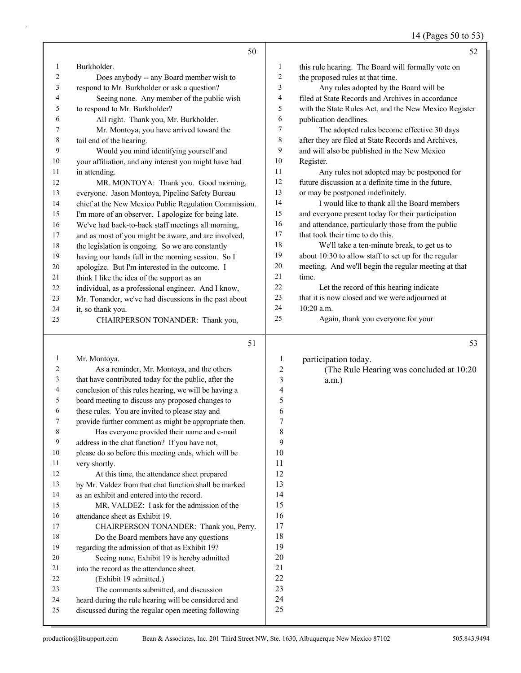14 (Pages 50 to 53)

|          | 50                                                                                                  |                         | 52                                                    |
|----------|-----------------------------------------------------------------------------------------------------|-------------------------|-------------------------------------------------------|
| 1        | Burkholder.                                                                                         | 1                       | this rule hearing. The Board will formally vote on    |
| 2        | Does anybody -- any Board member wish to                                                            | 2                       | the proposed rules at that time.                      |
| 3        | respond to Mr. Burkholder or ask a question?                                                        | 3                       | Any rules adopted by the Board will be                |
| 4        | Seeing none. Any member of the public wish                                                          | 4                       | filed at State Records and Archives in accordance     |
| 5        | to respond to Mr. Burkholder?                                                                       | 5                       | with the State Rules Act, and the New Mexico Register |
| 6        | All right. Thank you, Mr. Burkholder.                                                               | 6                       | publication deadlines.                                |
| 7        | Mr. Montoya, you have arrived toward the                                                            | 7                       | The adopted rules become effective 30 days            |
| 8        | tail end of the hearing.                                                                            | 8                       | after they are filed at State Records and Archives,   |
| 9        | Would you mind identifying yourself and                                                             | 9                       | and will also be published in the New Mexico          |
| 10       | your affiliation, and any interest you might have had                                               | 10                      | Register.                                             |
| 11       | in attending.                                                                                       | 11                      | Any rules not adopted may be postponed for            |
| 12       | MR. MONTOYA: Thank you. Good morning,                                                               | 12                      | future discussion at a definite time in the future,   |
| 13       | everyone. Jason Montoya, Pipeline Safety Bureau                                                     | 13                      | or may be postponed indefinitely.                     |
| 14       | chief at the New Mexico Public Regulation Commission.                                               | 14                      | I would like to thank all the Board members           |
| 15       | I'm more of an observer. I apologize for being late.                                                | 15                      | and everyone present today for their participation    |
| 16       | We've had back-to-back staff meetings all morning,                                                  | 16                      | and attendance, particularly those from the public    |
| 17       | and as most of you might be aware, and are involved,                                                | 17                      | that took their time to do this.                      |
| 18       | the legislation is ongoing. So we are constantly                                                    | 18                      | We'll take a ten-minute break, to get us to           |
| 19       | having our hands full in the morning session. So I                                                  | 19                      | about 10:30 to allow staff to set up for the regular  |
| 20       | apologize. But I'm interested in the outcome. I                                                     | $20\,$                  | meeting. And we'll begin the regular meeting at that  |
| 21       | think I like the idea of the support as an                                                          | 21<br>22                | time.<br>Let the record of this hearing indicate      |
| 22       | individual, as a professional engineer. And I know,                                                 | 23                      | that it is now closed and we were adjourned at        |
| 23<br>24 | Mr. Tonander, we've had discussions in the past about                                               | 24                      | 10:20 a.m.                                            |
| 25       | it, so thank you.<br>CHAIRPERSON TONANDER: Thank you,                                               | 25                      | Again, thank you everyone for your                    |
|          |                                                                                                     |                         |                                                       |
|          | 51                                                                                                  |                         | 53                                                    |
| 1        | Mr. Montoya.                                                                                        | 1                       | participation today.                                  |
| 2        | As a reminder, Mr. Montoya, and the others                                                          | $\overline{\mathbf{c}}$ | (The Rule Hearing was concluded at 10:20              |
| 3        | that have contributed today for the public, after the                                               | 3                       | $a.m.$ )                                              |
| 4        | conclusion of this rules hearing, we will be having a                                               | 4                       |                                                       |
| 5        | board meeting to discuss any proposed changes to                                                    | 5                       |                                                       |
| 6        | these rules. You are invited to please stay and                                                     | 6                       |                                                       |
| 7        | provide further comment as might be appropriate then.                                               | 7                       |                                                       |
| 8        | Has everyone provided their name and e-mail                                                         | 8                       |                                                       |
| 9        | address in the chat function? If you have not,                                                      | 9                       |                                                       |
| 10       | please do so before this meeting ends, which will be                                                | 10                      |                                                       |
| 11       | very shortly.                                                                                       | 11                      |                                                       |
| 12       | At this time, the attendance sheet prepared                                                         | 12<br>13                |                                                       |
| 13<br>14 | by Mr. Valdez from that chat function shall be marked<br>as an exhibit and entered into the record. | 14                      |                                                       |
| 15       | MR. VALDEZ: I ask for the admission of the                                                          | 15                      |                                                       |
| 16       | attendance sheet as Exhibit 19.                                                                     | 16                      |                                                       |
| 17       | CHAIRPERSON TONANDER: Thank you, Perry.                                                             | 17                      |                                                       |
| 18       | Do the Board members have any questions                                                             | 18                      |                                                       |
| 19       | regarding the admission of that as Exhibit 19?                                                      | 19                      |                                                       |
| 20       | Seeing none, Exhibit 19 is hereby admitted                                                          | 20                      |                                                       |
| 21       | into the record as the attendance sheet.                                                            | 21                      |                                                       |
| 22       | (Exhibit 19 admitted.)                                                                              | 22                      |                                                       |
| 23       | The comments submitted, and discussion                                                              | 23                      |                                                       |
| 24       |                                                                                                     | 24                      |                                                       |
|          | heard during the rule hearing will be considered and                                                |                         |                                                       |
| 25       | discussed during the regular open meeting following                                                 | 25                      |                                                       |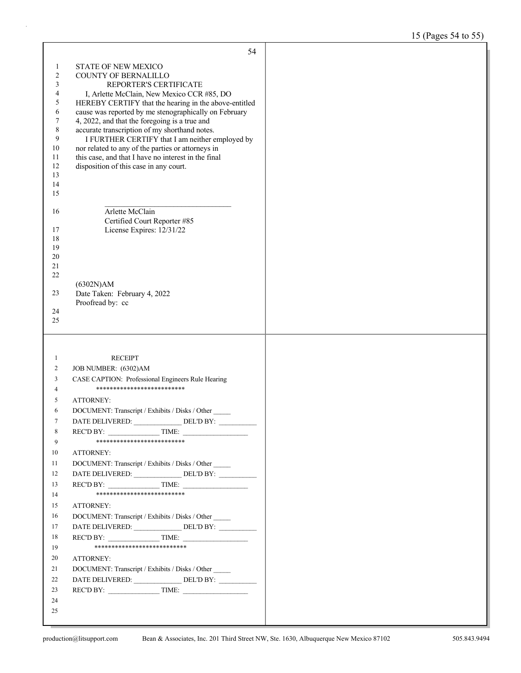# 15 (Pages 54 to 55)

| STATE OF NEW MEXICO<br>$\mathbf{1}$<br>$\sqrt{2}$<br><b>COUNTY OF BERNALILLO</b><br>$\mathfrak{Z}$<br>REPORTER'S CERTIFICATE<br>4<br>I, Arlette McClain, New Mexico CCR #85, DO<br>5<br>HEREBY CERTIFY that the hearing in the above-entitled<br>6<br>cause was reported by me stenographically on February<br>$\tau$<br>4, 2022, and that the foregoing is a true and<br>$\,$ 8 $\,$<br>accurate transcription of my shorthand notes.<br>9<br>I FURTHER CERTIFY that I am neither employed by<br>10<br>nor related to any of the parties or attorneys in<br>11<br>this case, and that I have no interest in the final<br>12<br>disposition of this case in any court.<br>13<br>14<br>15<br>Arlette McClain<br>16<br>Certified Court Reporter #85<br>License Expires: 12/31/22<br>17<br>18<br>19<br>20<br>21<br>22<br>(6302N)AM<br>Date Taken: February 4, 2022<br>23<br>Proofread by: cc<br>24<br>25<br><b>RECEIPT</b><br>1<br>2<br>JOB NUMBER: (6302)AM<br>CASE CAPTION: Professional Engineers Rule Hearing<br>3<br>***************************<br>4<br><b>ATTORNEY:</b><br>5<br>DOCUMENT: Transcript / Exhibits / Disks / Other<br>6<br>DATE DELIVERED: DEL'D BY:<br>7<br>8<br>REC'D BY:<br>TIME:<br>**************************<br>9<br>10<br>ATTORNEY:<br>DOCUMENT: Transcript / Exhibits / Disks / Other<br>11<br>DATE DELIVERED: _______________DEL'D BY: ____________<br>12<br>$RECD BY:$ TIME:<br>13<br>**************************<br>14<br>15<br>ATTORNEY:<br>16<br>DOCUMENT: Transcript / Exhibits / Disks / Other<br>DATE DELIVERED: _______________ DEL'D BY: __________<br>17<br>$RECD BY:$ TIME:<br>18<br>***************************<br>19<br>20<br>ATTORNEY:<br>DOCUMENT: Transcript / Exhibits / Disks / Other<br>21<br>DATE DELIVERED: ______________DEL'D BY: __________<br>22<br>REC'D BY: $\qquad \qquad \qquad$ TIME:<br>23<br>24<br>25 | 54 |  |
|----------------------------------------------------------------------------------------------------------------------------------------------------------------------------------------------------------------------------------------------------------------------------------------------------------------------------------------------------------------------------------------------------------------------------------------------------------------------------------------------------------------------------------------------------------------------------------------------------------------------------------------------------------------------------------------------------------------------------------------------------------------------------------------------------------------------------------------------------------------------------------------------------------------------------------------------------------------------------------------------------------------------------------------------------------------------------------------------------------------------------------------------------------------------------------------------------------------------------------------------------------------------------------------------------------------------------------------------------------------------------------------------------------------------------------------------------------------------------------------------------------------------------------------------------------------------------------------------------------------------------------------------------------------------------------------------------------------------------------------------------------------------------------------------------------------------------------------------------------------|----|--|
|                                                                                                                                                                                                                                                                                                                                                                                                                                                                                                                                                                                                                                                                                                                                                                                                                                                                                                                                                                                                                                                                                                                                                                                                                                                                                                                                                                                                                                                                                                                                                                                                                                                                                                                                                                                                                                                                |    |  |
|                                                                                                                                                                                                                                                                                                                                                                                                                                                                                                                                                                                                                                                                                                                                                                                                                                                                                                                                                                                                                                                                                                                                                                                                                                                                                                                                                                                                                                                                                                                                                                                                                                                                                                                                                                                                                                                                |    |  |
|                                                                                                                                                                                                                                                                                                                                                                                                                                                                                                                                                                                                                                                                                                                                                                                                                                                                                                                                                                                                                                                                                                                                                                                                                                                                                                                                                                                                                                                                                                                                                                                                                                                                                                                                                                                                                                                                |    |  |
|                                                                                                                                                                                                                                                                                                                                                                                                                                                                                                                                                                                                                                                                                                                                                                                                                                                                                                                                                                                                                                                                                                                                                                                                                                                                                                                                                                                                                                                                                                                                                                                                                                                                                                                                                                                                                                                                |    |  |
|                                                                                                                                                                                                                                                                                                                                                                                                                                                                                                                                                                                                                                                                                                                                                                                                                                                                                                                                                                                                                                                                                                                                                                                                                                                                                                                                                                                                                                                                                                                                                                                                                                                                                                                                                                                                                                                                |    |  |
|                                                                                                                                                                                                                                                                                                                                                                                                                                                                                                                                                                                                                                                                                                                                                                                                                                                                                                                                                                                                                                                                                                                                                                                                                                                                                                                                                                                                                                                                                                                                                                                                                                                                                                                                                                                                                                                                |    |  |
|                                                                                                                                                                                                                                                                                                                                                                                                                                                                                                                                                                                                                                                                                                                                                                                                                                                                                                                                                                                                                                                                                                                                                                                                                                                                                                                                                                                                                                                                                                                                                                                                                                                                                                                                                                                                                                                                |    |  |
|                                                                                                                                                                                                                                                                                                                                                                                                                                                                                                                                                                                                                                                                                                                                                                                                                                                                                                                                                                                                                                                                                                                                                                                                                                                                                                                                                                                                                                                                                                                                                                                                                                                                                                                                                                                                                                                                |    |  |
|                                                                                                                                                                                                                                                                                                                                                                                                                                                                                                                                                                                                                                                                                                                                                                                                                                                                                                                                                                                                                                                                                                                                                                                                                                                                                                                                                                                                                                                                                                                                                                                                                                                                                                                                                                                                                                                                |    |  |
|                                                                                                                                                                                                                                                                                                                                                                                                                                                                                                                                                                                                                                                                                                                                                                                                                                                                                                                                                                                                                                                                                                                                                                                                                                                                                                                                                                                                                                                                                                                                                                                                                                                                                                                                                                                                                                                                |    |  |
|                                                                                                                                                                                                                                                                                                                                                                                                                                                                                                                                                                                                                                                                                                                                                                                                                                                                                                                                                                                                                                                                                                                                                                                                                                                                                                                                                                                                                                                                                                                                                                                                                                                                                                                                                                                                                                                                |    |  |
|                                                                                                                                                                                                                                                                                                                                                                                                                                                                                                                                                                                                                                                                                                                                                                                                                                                                                                                                                                                                                                                                                                                                                                                                                                                                                                                                                                                                                                                                                                                                                                                                                                                                                                                                                                                                                                                                |    |  |
|                                                                                                                                                                                                                                                                                                                                                                                                                                                                                                                                                                                                                                                                                                                                                                                                                                                                                                                                                                                                                                                                                                                                                                                                                                                                                                                                                                                                                                                                                                                                                                                                                                                                                                                                                                                                                                                                |    |  |
|                                                                                                                                                                                                                                                                                                                                                                                                                                                                                                                                                                                                                                                                                                                                                                                                                                                                                                                                                                                                                                                                                                                                                                                                                                                                                                                                                                                                                                                                                                                                                                                                                                                                                                                                                                                                                                                                |    |  |
|                                                                                                                                                                                                                                                                                                                                                                                                                                                                                                                                                                                                                                                                                                                                                                                                                                                                                                                                                                                                                                                                                                                                                                                                                                                                                                                                                                                                                                                                                                                                                                                                                                                                                                                                                                                                                                                                |    |  |
|                                                                                                                                                                                                                                                                                                                                                                                                                                                                                                                                                                                                                                                                                                                                                                                                                                                                                                                                                                                                                                                                                                                                                                                                                                                                                                                                                                                                                                                                                                                                                                                                                                                                                                                                                                                                                                                                |    |  |
|                                                                                                                                                                                                                                                                                                                                                                                                                                                                                                                                                                                                                                                                                                                                                                                                                                                                                                                                                                                                                                                                                                                                                                                                                                                                                                                                                                                                                                                                                                                                                                                                                                                                                                                                                                                                                                                                |    |  |
|                                                                                                                                                                                                                                                                                                                                                                                                                                                                                                                                                                                                                                                                                                                                                                                                                                                                                                                                                                                                                                                                                                                                                                                                                                                                                                                                                                                                                                                                                                                                                                                                                                                                                                                                                                                                                                                                |    |  |
|                                                                                                                                                                                                                                                                                                                                                                                                                                                                                                                                                                                                                                                                                                                                                                                                                                                                                                                                                                                                                                                                                                                                                                                                                                                                                                                                                                                                                                                                                                                                                                                                                                                                                                                                                                                                                                                                |    |  |
|                                                                                                                                                                                                                                                                                                                                                                                                                                                                                                                                                                                                                                                                                                                                                                                                                                                                                                                                                                                                                                                                                                                                                                                                                                                                                                                                                                                                                                                                                                                                                                                                                                                                                                                                                                                                                                                                |    |  |
|                                                                                                                                                                                                                                                                                                                                                                                                                                                                                                                                                                                                                                                                                                                                                                                                                                                                                                                                                                                                                                                                                                                                                                                                                                                                                                                                                                                                                                                                                                                                                                                                                                                                                                                                                                                                                                                                |    |  |
|                                                                                                                                                                                                                                                                                                                                                                                                                                                                                                                                                                                                                                                                                                                                                                                                                                                                                                                                                                                                                                                                                                                                                                                                                                                                                                                                                                                                                                                                                                                                                                                                                                                                                                                                                                                                                                                                |    |  |
|                                                                                                                                                                                                                                                                                                                                                                                                                                                                                                                                                                                                                                                                                                                                                                                                                                                                                                                                                                                                                                                                                                                                                                                                                                                                                                                                                                                                                                                                                                                                                                                                                                                                                                                                                                                                                                                                |    |  |
|                                                                                                                                                                                                                                                                                                                                                                                                                                                                                                                                                                                                                                                                                                                                                                                                                                                                                                                                                                                                                                                                                                                                                                                                                                                                                                                                                                                                                                                                                                                                                                                                                                                                                                                                                                                                                                                                |    |  |
|                                                                                                                                                                                                                                                                                                                                                                                                                                                                                                                                                                                                                                                                                                                                                                                                                                                                                                                                                                                                                                                                                                                                                                                                                                                                                                                                                                                                                                                                                                                                                                                                                                                                                                                                                                                                                                                                |    |  |
|                                                                                                                                                                                                                                                                                                                                                                                                                                                                                                                                                                                                                                                                                                                                                                                                                                                                                                                                                                                                                                                                                                                                                                                                                                                                                                                                                                                                                                                                                                                                                                                                                                                                                                                                                                                                                                                                |    |  |
|                                                                                                                                                                                                                                                                                                                                                                                                                                                                                                                                                                                                                                                                                                                                                                                                                                                                                                                                                                                                                                                                                                                                                                                                                                                                                                                                                                                                                                                                                                                                                                                                                                                                                                                                                                                                                                                                |    |  |
|                                                                                                                                                                                                                                                                                                                                                                                                                                                                                                                                                                                                                                                                                                                                                                                                                                                                                                                                                                                                                                                                                                                                                                                                                                                                                                                                                                                                                                                                                                                                                                                                                                                                                                                                                                                                                                                                |    |  |
|                                                                                                                                                                                                                                                                                                                                                                                                                                                                                                                                                                                                                                                                                                                                                                                                                                                                                                                                                                                                                                                                                                                                                                                                                                                                                                                                                                                                                                                                                                                                                                                                                                                                                                                                                                                                                                                                |    |  |
|                                                                                                                                                                                                                                                                                                                                                                                                                                                                                                                                                                                                                                                                                                                                                                                                                                                                                                                                                                                                                                                                                                                                                                                                                                                                                                                                                                                                                                                                                                                                                                                                                                                                                                                                                                                                                                                                |    |  |
|                                                                                                                                                                                                                                                                                                                                                                                                                                                                                                                                                                                                                                                                                                                                                                                                                                                                                                                                                                                                                                                                                                                                                                                                                                                                                                                                                                                                                                                                                                                                                                                                                                                                                                                                                                                                                                                                |    |  |
|                                                                                                                                                                                                                                                                                                                                                                                                                                                                                                                                                                                                                                                                                                                                                                                                                                                                                                                                                                                                                                                                                                                                                                                                                                                                                                                                                                                                                                                                                                                                                                                                                                                                                                                                                                                                                                                                |    |  |
|                                                                                                                                                                                                                                                                                                                                                                                                                                                                                                                                                                                                                                                                                                                                                                                                                                                                                                                                                                                                                                                                                                                                                                                                                                                                                                                                                                                                                                                                                                                                                                                                                                                                                                                                                                                                                                                                |    |  |
|                                                                                                                                                                                                                                                                                                                                                                                                                                                                                                                                                                                                                                                                                                                                                                                                                                                                                                                                                                                                                                                                                                                                                                                                                                                                                                                                                                                                                                                                                                                                                                                                                                                                                                                                                                                                                                                                |    |  |
|                                                                                                                                                                                                                                                                                                                                                                                                                                                                                                                                                                                                                                                                                                                                                                                                                                                                                                                                                                                                                                                                                                                                                                                                                                                                                                                                                                                                                                                                                                                                                                                                                                                                                                                                                                                                                                                                |    |  |
|                                                                                                                                                                                                                                                                                                                                                                                                                                                                                                                                                                                                                                                                                                                                                                                                                                                                                                                                                                                                                                                                                                                                                                                                                                                                                                                                                                                                                                                                                                                                                                                                                                                                                                                                                                                                                                                                |    |  |
|                                                                                                                                                                                                                                                                                                                                                                                                                                                                                                                                                                                                                                                                                                                                                                                                                                                                                                                                                                                                                                                                                                                                                                                                                                                                                                                                                                                                                                                                                                                                                                                                                                                                                                                                                                                                                                                                |    |  |
|                                                                                                                                                                                                                                                                                                                                                                                                                                                                                                                                                                                                                                                                                                                                                                                                                                                                                                                                                                                                                                                                                                                                                                                                                                                                                                                                                                                                                                                                                                                                                                                                                                                                                                                                                                                                                                                                |    |  |
|                                                                                                                                                                                                                                                                                                                                                                                                                                                                                                                                                                                                                                                                                                                                                                                                                                                                                                                                                                                                                                                                                                                                                                                                                                                                                                                                                                                                                                                                                                                                                                                                                                                                                                                                                                                                                                                                |    |  |
|                                                                                                                                                                                                                                                                                                                                                                                                                                                                                                                                                                                                                                                                                                                                                                                                                                                                                                                                                                                                                                                                                                                                                                                                                                                                                                                                                                                                                                                                                                                                                                                                                                                                                                                                                                                                                                                                |    |  |
|                                                                                                                                                                                                                                                                                                                                                                                                                                                                                                                                                                                                                                                                                                                                                                                                                                                                                                                                                                                                                                                                                                                                                                                                                                                                                                                                                                                                                                                                                                                                                                                                                                                                                                                                                                                                                                                                |    |  |
|                                                                                                                                                                                                                                                                                                                                                                                                                                                                                                                                                                                                                                                                                                                                                                                                                                                                                                                                                                                                                                                                                                                                                                                                                                                                                                                                                                                                                                                                                                                                                                                                                                                                                                                                                                                                                                                                |    |  |
|                                                                                                                                                                                                                                                                                                                                                                                                                                                                                                                                                                                                                                                                                                                                                                                                                                                                                                                                                                                                                                                                                                                                                                                                                                                                                                                                                                                                                                                                                                                                                                                                                                                                                                                                                                                                                                                                |    |  |
|                                                                                                                                                                                                                                                                                                                                                                                                                                                                                                                                                                                                                                                                                                                                                                                                                                                                                                                                                                                                                                                                                                                                                                                                                                                                                                                                                                                                                                                                                                                                                                                                                                                                                                                                                                                                                                                                |    |  |
|                                                                                                                                                                                                                                                                                                                                                                                                                                                                                                                                                                                                                                                                                                                                                                                                                                                                                                                                                                                                                                                                                                                                                                                                                                                                                                                                                                                                                                                                                                                                                                                                                                                                                                                                                                                                                                                                |    |  |
|                                                                                                                                                                                                                                                                                                                                                                                                                                                                                                                                                                                                                                                                                                                                                                                                                                                                                                                                                                                                                                                                                                                                                                                                                                                                                                                                                                                                                                                                                                                                                                                                                                                                                                                                                                                                                                                                |    |  |
|                                                                                                                                                                                                                                                                                                                                                                                                                                                                                                                                                                                                                                                                                                                                                                                                                                                                                                                                                                                                                                                                                                                                                                                                                                                                                                                                                                                                                                                                                                                                                                                                                                                                                                                                                                                                                                                                |    |  |
|                                                                                                                                                                                                                                                                                                                                                                                                                                                                                                                                                                                                                                                                                                                                                                                                                                                                                                                                                                                                                                                                                                                                                                                                                                                                                                                                                                                                                                                                                                                                                                                                                                                                                                                                                                                                                                                                |    |  |
|                                                                                                                                                                                                                                                                                                                                                                                                                                                                                                                                                                                                                                                                                                                                                                                                                                                                                                                                                                                                                                                                                                                                                                                                                                                                                                                                                                                                                                                                                                                                                                                                                                                                                                                                                                                                                                                                |    |  |
|                                                                                                                                                                                                                                                                                                                                                                                                                                                                                                                                                                                                                                                                                                                                                                                                                                                                                                                                                                                                                                                                                                                                                                                                                                                                                                                                                                                                                                                                                                                                                                                                                                                                                                                                                                                                                                                                |    |  |
|                                                                                                                                                                                                                                                                                                                                                                                                                                                                                                                                                                                                                                                                                                                                                                                                                                                                                                                                                                                                                                                                                                                                                                                                                                                                                                                                                                                                                                                                                                                                                                                                                                                                                                                                                                                                                                                                |    |  |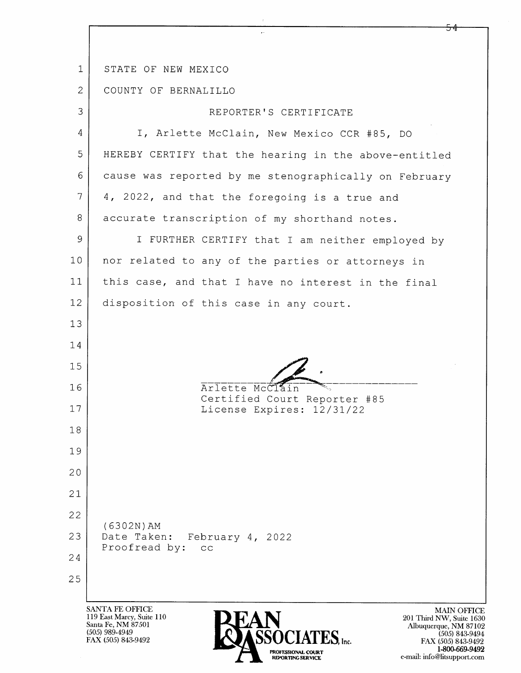|                | <b>SANTA FE OFFICE</b><br><b>MAIN O</b><br>119 East Marcy, Suite 110<br>201 Third NW, Suit<br>Santa Fe, NM 87501<br>Albuquerque, NM<br>(505) 989-4949<br><b>SSOCIATES</b> , Inc.<br>$(505)$ 84<br>FAX (505) 843-9492<br>FAX (505) 843 |
|----------------|---------------------------------------------------------------------------------------------------------------------------------------------------------------------------------------------------------------------------------------|
| 25             |                                                                                                                                                                                                                                       |
| 24             |                                                                                                                                                                                                                                       |
| 23             | Date Taken:<br>February 4, 2022<br>Proofread by:<br>CC                                                                                                                                                                                |
| 22             | $(6302N)$ AM                                                                                                                                                                                                                          |
| 21             |                                                                                                                                                                                                                                       |
| 20             |                                                                                                                                                                                                                                       |
| 19             |                                                                                                                                                                                                                                       |
| 18             |                                                                                                                                                                                                                                       |
| 17             | License Expires: 12/31/22                                                                                                                                                                                                             |
| 16             | Arlette McClain<br>Certified Court Reporter #85                                                                                                                                                                                       |
| 15             |                                                                                                                                                                                                                                       |
| 14             |                                                                                                                                                                                                                                       |
| 13             |                                                                                                                                                                                                                                       |
| 12             | disposition of this case in any court.                                                                                                                                                                                                |
| 11             | this case, and that I have no interest in the final                                                                                                                                                                                   |
| 10             | nor related to any of the parties or attorneys in                                                                                                                                                                                     |
| 9              | I FURTHER CERTIFY that I am neither employed by                                                                                                                                                                                       |
| 8              | accurate transcription of my shorthand notes.                                                                                                                                                                                         |
| 7              | 4, 2022, and that the foregoing is a true and                                                                                                                                                                                         |
| 6              | cause was reported by me stenographically on February                                                                                                                                                                                 |
| 5              | HEREBY CERTIFY that the hearing in the above-entitled                                                                                                                                                                                 |
| 4              | I, Arlette McClain, New Mexico CCR #85, DO                                                                                                                                                                                            |
| 3              | REPORTER'S CERTIFICATE                                                                                                                                                                                                                |
| $\overline{2}$ | COUNTY OF BERNALILLO                                                                                                                                                                                                                  |
| 1              | STATE OF NEW MEXICO                                                                                                                                                                                                                   |
|                |                                                                                                                                                                                                                                       |

PROFESSIONAL COURT<br>REPORTING SERVICE

MAIN OFFICE<br>
201 Third NW, Suite 1630<br>
Albuquerque, NM 87102<br>
(505) 843-9494<br>
FAX (505) 843-9492<br>
1-800-669-9492<br>
e-mail: info@litsupport.com

 $\frac{54}{5}$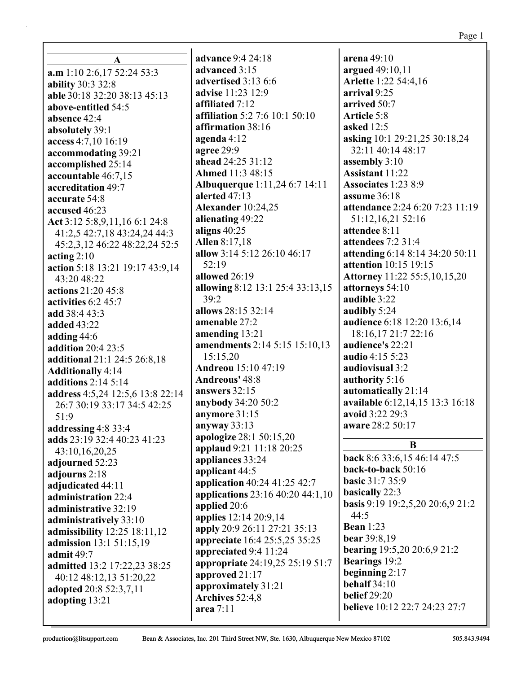**a.m** 1:10 2:6,17 52:24 53:3 **ability** 30:3 32:8 **able** 30:18 32:20 38:13 45:13 **above-entitled** 54:5 **absence** 42:4 **absolutely** 39:1 **access** 4:7,10 16:19 **accommodating** 39:21 **accomplished** 25:14 **accountable** 46:7,15 **accreditation** 49:7 **accurate** 54:8 **accused** 46:23 **Act** 3:12 5:8,9,11,16 6:1 24:8 41:2,5 42:7,18 43:24,24 44:3 45:2,3,12 46:22 48:22,24 52:5 **acting** 2:10 **action** 5:18 13:21 19:17 43:9,14 43:20 48:22 **actions** 21:20 45:8 **activities** 6:2 45:7 **add** 38:4 43:3 **added** 43:22 **adding** 44:6 **addition** 20:4 23:5 **additional** 21:1 24:5 26:8,18 **Additionally** 4:14 **additions** 2:14 5:14 **address** 4:5,24 12:5,6 13:8 22:14 26:7 30:19 33:17 34:5 42:25 51:9 **addressing** 4:8 33:4 **adds** 23:19 32:4 40:23 41:23 43:10,16,20,25 **adjourned** 52:23 **adjourns** 2:18 **adjudicated** 44:11 **administration** 22:4 **administrative** 32:19 **administratively** 33:10 **admissibility** 12:25 18:11,12 **admission** 13:1 51:15,19 **admit** 49:7 **admitted** 13:2 17:22,23 38:25 40:12 48:12,13 51:20,22 **adopted** 20:8 52:3,7,11 **adopting** 13:21

**A**

**advance** 9:4 24:18 **advanced** 3:15 **advertised** 3:13 6:6 **advise** 11:23 12:9 **affiliated** 7:12 **affiliation** 5:2 7:6 10:1 50:10 **affirmation** 38:16 **agenda** 4:12 **agree** 29:9 **ahead** 24:25 31:12 **Ahmed** 11:3 48:15 **Albuquerque** 1:11,24 6:7 14:11 **alerted** 47:13 **Alexander** 10:24,25 **alienating** 49:22 **aligns** 40:25 **Allen** 8:17,18 **allow** 3:14 5:12 26:10 46:17 52:19 **allowed** 26:19 **allowing** 8:12 13:1 25:4 33:13,15 39:2 **allows** 28:15 32:14 **amenable** 27:2 **amending** 13:21 **amendments** 2:14 5:15 15:10,13 15:15,20 **Andreou** 15:10 47:19 **Andreous'** 48:8 **answers** 32:15 **anybody** 34:20 50:2 **anymore** 31:15 **anyway** 33:13 **apologize** 28:1 50:15,20 **applaud** 9:21 11:18 20:25 **appliances** 33:24 **applicant** 44:5 **application** 40:24 41:25 42:7 **applications** 23:16 40:20 44:1,10 **applied** 20:6 **applies** 12:14 20:9,14 **apply** 20:9 26:11 27:21 35:13 **appreciate** 16:4 25:5,25 35:25 **appreciated** 9:4 11:24 **appropriate** 24:19,25 25:19 51:7 **approved** 21:17 **approximately** 31:21 **Archives** 52:4,8 **area** 7:11

**arena** 49:10 **argued** 49:10,11 **Arlette** 1:22 54:4,16 **arrival** 9:25 **arrived** 50:7 **Article** 5:8 **asked** 12:5 **asking** 10:1 29:21,25 30:18,24 32:11 40:14 48:17 **assembly** 3:10 **Assistant** 11:22 **Associates** 1:23 8:9 **assume** 36:18 **attendance** 2:24 6:20 7:23 11:19 51:12,16,21 52:16 **attendee** 8:11 **attendees** 7:2 31:4 **attending** 6:14 8:14 34:20 50:11 **attention** 10:15 19:15 **Attorney** 11:22 55:5,10,15,20 **attorneys** 54:10 **audible** 3:22 **audibly** 5:24 **audience** 6:18 12:20 13:6,14 18:16,17 21:7 22:16 **audience's** 22:21 **audio** 4:15 5:23 **audiovisual** 3:2 **authority** 5:16 **automatically** 21:14 **available** 6:12,14,15 13:3 16:18 **avoid** 3:22 29:3 **aware** 28:2 50:17

## **B**

**back** 8:6 33:6,15 46:14 47:5 **back-to-back** 50:16 **basic** 31:7 35:9 **basically** 22:3 **basis** 9:19 19:2,5,20 20:6,9 21:2 44:5 **Bean** 1:23 **bear** 39:8,19 **bearing** 19:5,20 20:6,9 21:2 **Bearings** 19:2 **beginning** 2:17 **behalf** 34:10 **belief** 29:20 **believe** 10:12 22:7 24:23 27:7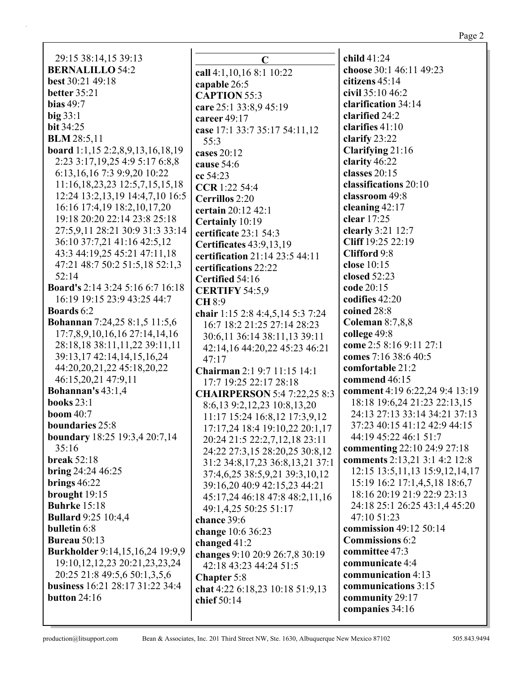| 29:15 38:14,15 39:13                    | C                                   | child 41:24                          |
|-----------------------------------------|-------------------------------------|--------------------------------------|
| <b>BERNALILLO 54:2</b>                  | call 4:1,10,16 8:1 10:22            | choose 30:1 46:11 49:23              |
| <b>best</b> 30:21 49:18                 | capable 26:5                        | citizens 45:14                       |
| <b>better</b> 35:21                     | <b>CAPTION 55:3</b>                 | civil 35:10 46:2                     |
| <b>bias</b> 49:7                        | care 25:1 33:8,9 45:19              | clarification 34:14                  |
| $big$ 33:1                              | career 49:17                        | clarified 24:2                       |
| <b>bit 34:25</b>                        | case 17:1 33:7 35:17 54:11,12       | clarifies 41:10                      |
| <b>BLM</b> 28:5,11                      | 55:3                                | clarify 23:22                        |
| board 1:1,15 2:2,8,9,13,16,18,19        | cases 20:12                         | Clarifying 21:16                     |
| 2:23 3:17, 19, 25 4: 9 5:17 6:8, 8      | cause 54:6                          | clarity 46:22                        |
| 6:13, 16, 16 7:3 9:9, 20 10:22          | cc 54:23                            | classes 20:15                        |
| 11:16,18,23,23 12:5,7,15,15,18          | CCR 1:22 54:4                       | classifications 20:10                |
| 12:24 13:2,13,19 14:4,7,10 16:5         | <b>Cerrillos</b> 2:20               | classroom 49:8                       |
| 16:16 17:4,19 18:2,10,17,20             | certain 20:12 42:1                  | cleaning 42:17                       |
| 19:18 20:20 22:14 23:8 25:18            | Certainly 10:19                     | clear 17:25                          |
| 27:5,9,11 28:21 30:9 31:3 33:14         | certificate 23:1 54:3               | clearly 3:21 12:7                    |
| 36:10 37:7,21 41:16 42:5,12             | Certificates 43:9,13,19             | Cliff 19:25 22:19                    |
| 43:3 44:19,25 45:21 47:11,18            | certification 21:14 23:5 44:11      | Clifford 9:8                         |
| 47:21 48:7 50:2 51:5,18 52:1,3          | certifications 22:22                | close 10:15                          |
| 52:14                                   | Certified 54:16                     | closed 52:23                         |
| <b>Board's</b> 2:14 3:24 5:16 6:7 16:18 | <b>CERTIFY 54:5,9</b>               | code 20:15                           |
| 16:19 19:15 23:9 43:25 44:7             | <b>CH 8:9</b>                       | codifies 42:20                       |
| <b>Boards</b> 6:2                       | chair 1:15 2:8 4:4,5,14 5:3 7:24    | coined 28:8                          |
| <b>Bohannan</b> 7:24,25 8:1,5 11:5,6    | 16:7 18:2 21:25 27:14 28:23         | <b>Coleman 8:7,8,8</b>               |
| 17:7,8,9,10,16,16 27:14,14,16           | 30:6,11 36:14 38:11,13 39:11        | college 49:8                         |
| 28:18,18 38:11,11,22 39:11,11           | 42:14,16 44:20,22 45:23 46:21       | come 2:5 8:16 9:11 27:1              |
| 39:13,17 42:14,14,15,16,24              | 47:17                               | comes 7:16 38:6 40:5                 |
| 44:20,20,21,22 45:18,20,22              | Chairman 2:1 9:7 11:15 14:1         | comfortable 21:2                     |
| 46:15,20,21 47:9,11                     | 17:7 19:25 22:17 28:18              | commend 46:15                        |
| <b>Bohannan's 43:1,4</b>                | <b>CHAIRPERSON</b> 5:4 7:22,25 8:3  | comment 4:19 6:22,24 9:4 13:19       |
| books $23:1$                            | 8:6,13 9:2,12,23 10:8,13,20         | 18:18 19:6,24 21:23 22:13,15         |
| <b>boom</b> 40:7                        | 11:17 15:24 16:8,12 17:3,9,12       | 24:13 27:13 33:14 34:21 37:13        |
| boundaries 25:8                         | 17:17,24 18:4 19:10,22 20:1,17      | 37:23 40:15 41:12 42:9 44:15         |
| boundary 18:25 19:3,4 20:7,14           | 20:24 21:5 22:2,7,12,18 23:11       | 44:19 45:22 46:1 51:7                |
| 35:16                                   | 24:22 27:3,15 28:20,25 30:8,12      | commenting 22:10 24:9 27:18          |
| <b>break</b> 52:18                      | 31:2 34:8, 17, 23 36:8, 13, 21 37:1 | comments 2:13,21 3:1 4:2 12:8        |
| bring $24:24\,46:25$                    | 37:4,6,25 38:5,9,21 39:3,10,12      | 12:15 13:5, 11, 13 15: 9, 12, 14, 17 |
| brings $46:22$                          | 39:16,20 40:9 42:15,23 44:21        | 15:19 16:2 17:1,4,5,18 18:6,7        |
| brought 19:15                           | 45:17,24 46:18 47:8 48:2,11,16      | 18:16 20:19 21:9 22:9 23:13          |
| <b>Buhrke</b> 15:18                     | 49:1,4,25 50:25 51:17               | 24:18 25:1 26:25 43:1,4 45:20        |
| <b>Bullard</b> 9:25 10:4,4              | chance 39:6                         | 47:10 51:23                          |
| bulletin 6:8                            | change 10:6 36:23                   | commission 49:12 50:14               |
| <b>Bureau</b> 50:13                     | changed $41:2$                      | <b>Commissions 6:2</b>               |
| Burkholder 9:14,15,16,24 19:9,9         | changes 9:10 20:9 26:7,8 30:19      | committee 47:3                       |
| 19:10, 12, 12, 23 20:21, 23, 23, 24     | 42:18 43:23 44:24 51:5              | communicate 4:4                      |
| 20:25 21:8 49:5,6 50:1,3,5,6            | <b>Chapter 5:8</b>                  | communication 4:13                   |
| business 16:21 28:17 31:22 34:4         | chat 4:22 6:18,23 10:18 51:9,13     | communications 3:15                  |
| button 24:16                            | chief 50:14                         | community 29:17                      |
|                                         |                                     | companies 34:16                      |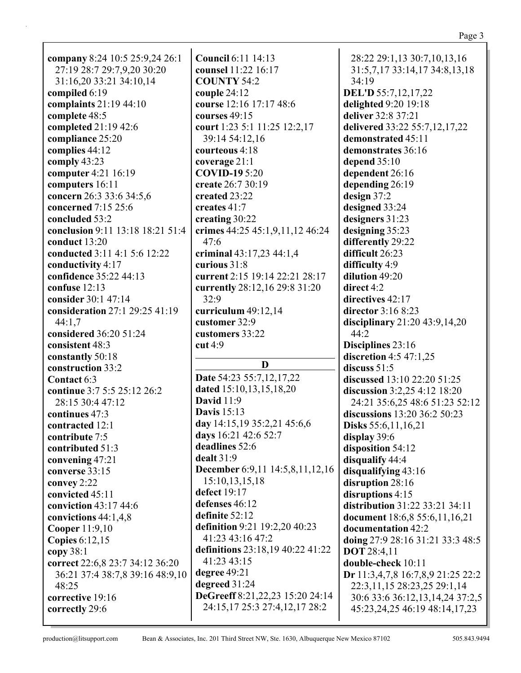| company 8:24 10:5 25:9,24 26:1   | <b>Council 6:11 14:13</b>        | 28:22 29:1,13 30:7,10,13,16       |
|----------------------------------|----------------------------------|-----------------------------------|
| 27:19 28:7 29:7,9,20 30:20       | counsel 11:22 16:17              | 31:5,7,17 33:14,17 34:8,13,18     |
| 31:16,20 33:21 34:10,14          | <b>COUNTY 54:2</b>               | 34:19                             |
| compiled 6:19                    | couple $24:12$                   | DEL'D 55:7,12,17,22               |
| complaints 21:19 44:10           | course 12:16 17:17 48:6          | delighted 9:20 19:18              |
|                                  | courses 49:15                    | deliver 32:8 37:21                |
| complete 48:5                    |                                  |                                   |
| completed 21:19 42:6             | court 1:23 5:1 11:25 12:2,17     | delivered 33:22 55:7,12,17,22     |
| compliance 25:20                 | 39:14 54:12,16                   | demonstrated 45:11                |
| complies 44:12                   | courteous 4:18                   | demonstrates 36:16                |
| comply 43:23                     | coverage 21:1                    | depend $35:10$                    |
| computer 4:21 16:19              | <b>COVID-19 5:20</b>             | dependent 26:16                   |
| computers 16:11                  | create 26:7 30:19                | depending 26:19                   |
| concern 26:3 33:6 34:5,6         | created 23:22                    | design 37:2                       |
| concerned 7:15 25:6              | creates 41:7                     | designed 33:24                    |
| concluded 53:2                   | creating 30:22                   | designers 31:23                   |
| conclusion 9:11 13:18 18:21 51:4 | crimes 44:25 45:1,9,11,12 46:24  | designing 35:23                   |
| conduct 13:20                    | 47:6                             |                                   |
|                                  |                                  | differently 29:22                 |
| conducted 3:11 4:1 5:6 12:22     | criminal 43:17,23 44:1,4         | difficult 26:23                   |
| conductivity 4:17                | curious 31:8                     | difficulty 4:9                    |
| confidence 35:22 44:13           | current 2:15 19:14 22:21 28:17   | dilution 49:20                    |
| confuse 12:13                    | currently 28:12,16 29:8 31:20    | direct 4:2                        |
| consider 30:1 47:14              | 32:9                             | directives 42:17                  |
| consideration 27:1 29:25 41:19   | curriculum $49:12,14$            | director 3:16 8:23                |
| 44:1,7                           | customer 32:9                    | disciplinary $21:20$ 43:9,14,20   |
| considered 36:20 51:24           | customers 33:22                  | 44:2                              |
|                                  |                                  |                                   |
|                                  |                                  |                                   |
| consistent 48:3                  | cut 4:9                          | Disciplines 23:16                 |
| constantly 50:18                 | D                                | discretion $4:5$ $47:1,25$        |
| construction 33:2                |                                  | discuss $51:5$                    |
| Contact 6:3                      | Date 54:23 55:7,12,17,22         | discussed 13:10 22:20 51:25       |
| continue 3:7 5:5 25:12 26:2      | dated 15:10,13,15,18,20          | discussion 3:2,25 4:12 18:20      |
| 28:15 30:4 47:12                 | <b>David</b> 11:9                | 24:21 35:6,25 48:6 51:23 52:12    |
| continues 47:3                   | <b>Davis</b> 15:13               | discussions 13:20 36:2 50:23      |
| contracted 12:1                  | day 14:15,19 35:2,21 45:6,6      | <b>Disks</b> 55:6, 11, 16, 21     |
| contribute 7:5                   | days 16:21 42:6 52:7             | display 39:6                      |
| contributed 51:3                 | deadlines 52:6                   | disposition 54:12                 |
| convening 47:21                  | dealt 31:9                       | disqualify 44:4                   |
| converse 33:15                   | December 6:9,11 14:5,8,11,12,16  |                                   |
|                                  | 15:10, 13, 15, 18                | disqualifying 43:16               |
| convey 2:22                      | defect 19:17                     | disruption 28:16                  |
| convicted 45:11                  |                                  | disruptions 4:15                  |
| conviction 43:17 44:6            | defenses 46:12                   | distribution 31:22 33:21 34:11    |
| convictions 44:1,4,8             | definite 52:12                   | document 18:6,8 55:6,11,16,21     |
| Cooper 11:9,10                   | definition 9:21 19:2,20 40:23    | documentation 42:2                |
| <b>Copies</b> 6:12,15            | 41:23 43:16 47:2                 | doing 27:9 28:16 31:21 33:3 48:5  |
| copy $38:1$                      | definitions 23:18,19 40:22 41:22 | <b>DOT</b> 28:4,11                |
| correct 22:6,8 23:7 34:12 36:20  | 41:23 43:15                      | double-check 10:11                |
| 36:21 37:4 38:7,8 39:16 48:9,10  | degree $49:21$                   | Dr 11:3,4,7,8 16:7,8,9 21:25 22:2 |
| 48:25                            | degreed 31:24                    | 22:3,11,15 28:23,25 29:1,14       |
| corrective 19:16                 | DeGreeff 8:21,22,23 15:20 24:14  | 30:6 33:6 36:12,13,14,24 37:2,5   |
| correctly 29:6                   | 24:15,17 25:3 27:4,12,17 28:2    | 45:23, 24, 25 46:19 48:14, 17, 23 |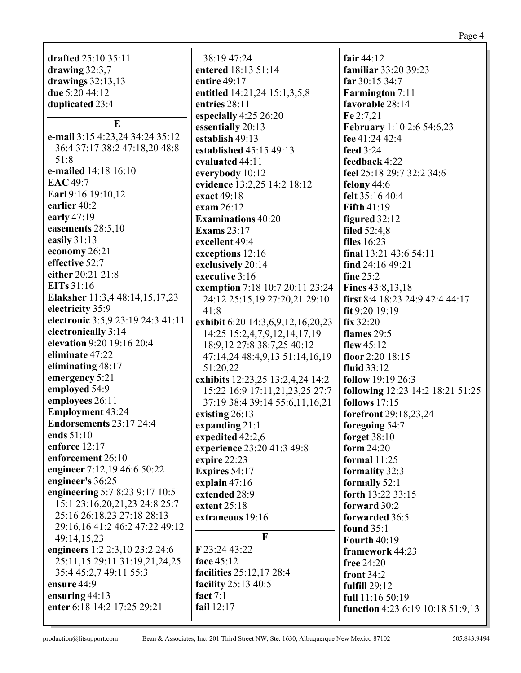|                                                             |                                   | Page 4                           |
|-------------------------------------------------------------|-----------------------------------|----------------------------------|
| drafted 25:10 35:11                                         | 38:19 47:24                       | fair $44:12$                     |
|                                                             | entered 18:13 51:14               | familiar 33:20 39:23             |
| drawing $32:3,7$<br>drawings $32:13,13$                     | entire 49:17                      | far 30:15 34:7                   |
| due 5:20 44:12                                              |                                   |                                  |
|                                                             | entitled 14:21,24 15:1,3,5,8      | <b>Farmington</b> 7:11           |
| duplicated 23:4                                             | entries 28:11                     | favorable 28:14                  |
| E                                                           | especially 4:25 26:20             | Fe 2:7,21                        |
| e-mail 3:15 4:23,24 34:24 35:12                             | essentially 20:13                 | <b>February</b> 1:10 2:6 54:6,23 |
| 36:4 37:17 38:2 47:18,20 48:8                               | establish 49:13                   | fee 41:24 42:4                   |
| 51:8                                                        | established 45:15 49:13           | feed 3:24                        |
| e-mailed 14:18 16:10                                        | evaluated 44:11                   | feedback 4:22                    |
| EAC 49:7                                                    | everybody 10:12                   | feel 25:18 29:7 32:2 34:6        |
| Earl 9:16 19:10,12                                          | evidence 13:2,25 14:2 18:12       | felony $44:6$                    |
| earlier 40:2                                                | exact 49:18                       | felt 35:16 40:4                  |
| early $47:19$                                               | exam 26:12                        | <b>Fifth 41:19</b>               |
| easements 28:5,10                                           | <b>Examinations 40:20</b>         | figured 32:12                    |
| easily 31:13                                                | <b>Exams</b> 23:17                | filed $52:4,8$                   |
| economy 26:21                                               | excellent 49:4                    | <b>files</b> 16:23               |
| effective 52:7                                              | exceptions 12:16                  | final 13:21 43:6 54:11           |
| either 20:21 21:8                                           | exclusively 20:14                 | find 24:16 49:21                 |
| <b>EITs</b> 31:16                                           | executive 3:16                    | fine $25:2$                      |
| Elaksher 11:3,4 48:14,15,17,23                              | exemption 7:18 10:7 20:11 23:24   | <b>Fines</b> 43:8,13,18          |
| electricity 35:9                                            | 24:12 25:15,19 27:20,21 29:10     | first 8:4 18:23 24:9 42:4 44:17  |
| electronic 3:5,9 23:19 24:3 41:11                           | 41:8                              | fit 9:20 19:19                   |
| electronically 3:14                                         | exhibit 6:20 14:3,6,9,12,16,20,23 | fix 32:20                        |
| elevation 9:20 19:16 20:4                                   | 14:25 15:2,4,7,9,12,14,17,19      | flames 29:5                      |
| eliminate 47:22                                             | 18:9, 12 27:8 38:7, 25 40:12      | flew $45:12$                     |
| eliminating 48:17                                           | 47:14,24 48:4,9,13 51:14,16,19    | floor 2:20 18:15                 |
|                                                             | 51:20,22                          | <b>fluid</b> 33:12               |
| emergency 5:21                                              | exhibits 12:23,25 13:2,4,24 14:2  | <b>follow</b> 19:19 26:3         |
| employed 54:9                                               | 15:22 16:9 17:11,21,23,25 27:7    | following 12:23 14:2 18:21 51:25 |
| employees 26:11                                             | 37:19 38:4 39:14 55:6,11,16,21    | follows $17:15$                  |
| <b>Employment 43:24</b>                                     | existing $26:13$                  | forefront 29:18,23,24            |
| Endorsements 23:17 24:4                                     | expanding 21:1                    | foregoing 54:7                   |
| ends 51:10<br>enforce $12:17$                               | expedited 42:2,6                  | forget 38:10                     |
| enforcement 26:10                                           | experience 23:20 41:3 49:8        | form $24:20$                     |
|                                                             | expire 22:23                      | formal $11:25$                   |
| engineer 7:12,19 46:6 50:22<br>engineer's 36:25             | Expires 54:17                     | formality 32:3                   |
|                                                             | explain $47:16$                   | formally 52:1                    |
| engineering 5:7 8:23 9:17 10:5                              | extended 28:9                     | forth 13:22 33:15                |
| 15:1 23:16,20,21,23 24:8 25:7<br>25:16 26:18,23 27:18 28:13 | extent $25:18$                    | forward 30:2                     |
| 29:16,16 41:2 46:2 47:22 49:12                              | extraneous 19:16                  | forwarded 36:5                   |
| 49:14,15,23                                                 | F                                 | found $35:1$                     |
| engineers 1:2 2:3,10 23:2 24:6                              | F 23:24 43:22                     | <b>Fourth 40:19</b>              |
| 25:11,15 29:11 31:19,21,24,25                               | face 45:12                        | framework 44:23                  |
| 35:4 45:2,7 49:11 55:3                                      | facilities 25:12,17 28:4          | free 24:20                       |
| ensure 44:9                                                 | facility 25:13 40:5               | front $34:2$                     |
| ensuring 44:13                                              | fact $7:1$                        | fulfill 29:12                    |
| enter 6:18 14:2 17:25 29:21                                 | fail 12:17                        | full 11:16 50:19                 |
|                                                             |                                   | function 4:23 6:19 10:18 51:9,13 |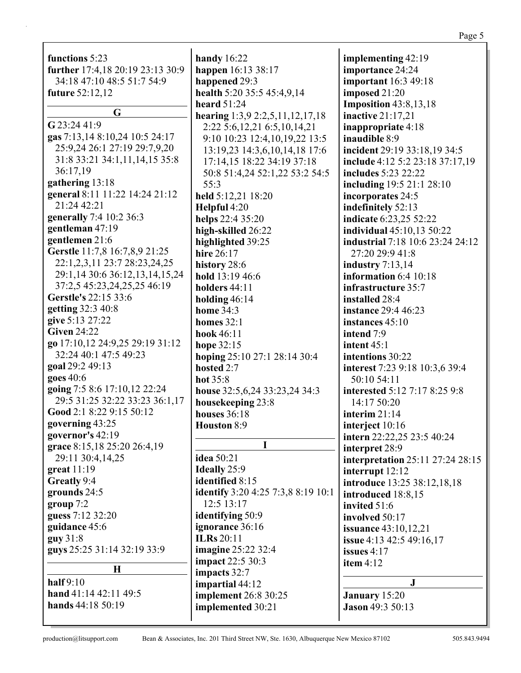| functions 5:23                   | handy $16:22$                             | implementing 42:19               |
|----------------------------------|-------------------------------------------|----------------------------------|
| further 17:4,18 20:19 23:13 30:9 | happen 16:13 38:17                        | importance 24:24                 |
| 34:18 47:10 48:5 51:7 54:9       | happened 29:3                             | <b>important</b> 16:3 49:18      |
| <b>future</b> 52:12,12           | health 5:20 35:5 45:4,9,14                | imposed 21:20                    |
| G                                | heard $51:24$                             | <b>Imposition</b> 43:8,13,18     |
|                                  | hearing $1:3,9$ $2:2,5,11,12,17,18$       | inactive $21:17,21$              |
| G 23:24 41:9                     | 2:22 5:6, 12, 21 6:5, 10, 14, 21          | inappropriate 4:18               |
| gas 7:13,14 8:10,24 10:5 24:17   | 9:10 10:23 12:4,10,19,22 13:5             | inaudible 8:9                    |
| 25:9,24 26:1 27:19 29:7,9,20     | 13:19,23 14:3,6,10,14,18 17:6             | incident 29:19 33:18,19 34:5     |
| 31:8 33:21 34:1,11,14,15 35:8    | 17:14,15 18:22 34:19 37:18                | include 4:12 5:2 23:18 37:17,19  |
| 36:17,19                         | 50:8 51:4,24 52:1,22 53:2 54:5            | includes 5:23 22:22              |
| gathering 13:18                  | 55:3                                      | including 19:5 21:1 28:10        |
| general 8:11 11:22 14:24 21:12   | held 5:12,21 18:20                        | incorporates 24:5                |
| 21:24 42:21                      | Helpful 4:20                              | indefinitely 52:13               |
| generally 7:4 10:2 36:3          | helps 22:4 35:20                          | indicate 6:23,25 52:22           |
| gentleman 47:19                  | high-skilled 26:22                        | <b>individual</b> 45:10,13 50:22 |
| gentlemen 21:6                   | highlighted 39:25                         | industrial 7:18 10:6 23:24 24:12 |
| Gerstle 11:7,8 16:7,8,9 21:25    | hire 26:17                                | 27:20 29:9 41:8                  |
| 22:1,2,3,11 23:7 28:23,24,25     | history 28:6                              | industry $7:13,14$               |
| 29:1,14 30:6 36:12,13,14,15,24   | hold 13:19 46:6                           | information 6:4 10:18            |
| 37:2,5 45:23,24,25,25 46:19      | holders 44:11                             | infrastructure 35:7              |
| Gerstle's 22:15 33:6             | holding $46:14$                           | installed 28:4                   |
| getting 32:3 40:8                | <b>home</b> 34:3                          | <b>instance</b> 29:4 46:23       |
| give 5:13 27:22                  | homes $32:1$                              | instances 45:10                  |
| <b>Given 24:22</b>               | hook 46:11                                | intend 7:9                       |
| go 17:10,12 24:9,25 29:19 31:12  | hope 32:15                                | intent $45:1$                    |
| 32:24 40:1 47:5 49:23            | hoping 25:10 27:1 28:14 30:4              | intentions 30:22                 |
| goal 29:2 49:13                  | hosted 2:7                                | interest 7:23 9:18 10:3,6 39:4   |
| goes 40:6                        | hot $35:8$                                | 50:10 54:11                      |
| going 7:5 8:6 17:10,12 22:24     | house 32:5,6,24 33:23,24 34:3             | interested 5:12 7:17 8:25 9:8    |
| 29:5 31:25 32:22 33:23 36:1,17   | housekeeping 23:8                         | 14:17 50:20                      |
| Good 2:1 8:22 9:15 50:12         | houses $36:18$                            | interim 21:14                    |
| governing 43:25                  | Houston 8:9                               | interject 10:16                  |
| governor's 42:19                 |                                           | intern 22:22,25 23:5 40:24       |
| grace 8:15,18 25:20 26:4,19      | I                                         | interpret 28:9                   |
| 29:11 30:4,14,25                 | <b>idea</b> 50:21                         | interpretation 25:11 27:24 28:15 |
| great $11:19$                    | <b>Ideally</b> 25:9                       | interrupt 12:12                  |
| Greatly 9:4                      | identified 8:15                           | introduce 13:25 38:12,18,18      |
| grounds 24:5                     | <b>identify</b> 3:20 4:25 7:3,8 8:19 10:1 | introduced 18:8,15               |
| group 7:2                        | 12:5 13:17                                | invited 51:6                     |
| guess 7:12 32:20                 | identifying 50:9                          | involved 50:17                   |
| guidance 45:6                    | ignorance 36:16                           | <b>issuance</b> 43:10,12,21      |
| guy31:8                          | <b>ILRs</b> 20:11                         | issue 4:13 42:5 49:16,17         |
| guys 25:25 31:14 32:19 33:9      | <b>imagine</b> 25:22 32:4                 | issues $4:17$                    |
|                                  | <b>impact</b> 22:5 30:3                   | item $4:12$                      |
| $\mathbf H$                      | impacts 32:7                              |                                  |
| half $9:10$                      | impartial 44:12                           | $\mathbf{J}$                     |
| hand 41:14 42:11 49:5            | implement 26:8 30:25                      | January 15:20                    |
| hands 44:18 50:19                | implemented 30:21                         | <b>Jason 49:3 50:13</b>          |
|                                  |                                           |                                  |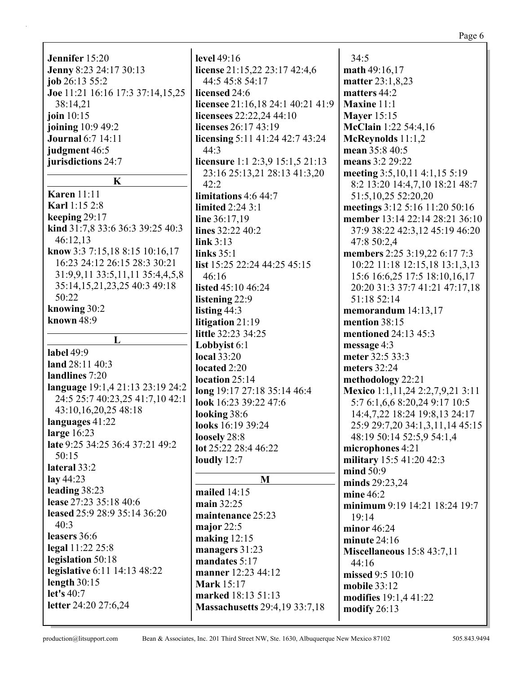|                                  |                                      | Page 6                            |
|----------------------------------|--------------------------------------|-----------------------------------|
| Jennifer 15:20                   | level 49:16                          | 34:5                              |
| Jenny 8:23 24:17 30:13           | license 21:15,22 23:17 42:4,6        | math 49:16,17                     |
| job 26:13 55:2                   | 44:5 45:8 54:17                      | matter 23:1,8,23                  |
|                                  | licensed 24:6                        | matters 44:2                      |
| Joe 11:21 16:16 17:3 37:14,15,25 |                                      |                                   |
| 38:14,21                         | licensee 21:16,18 24:1 40:21 41:9    | Maxine 11:1                       |
| join $10:15$                     | licensees 22:22,24 44:10             | <b>Mayer</b> 15:15                |
| joining 10:9 49:2                | licenses 26:17 43:19                 | McClain 1:22 54:4,16              |
| <b>Journal</b> 6:7 14:11         | licensing 5:11 41:24 42:7 43:24      | McReynolds $11:1,2$               |
| judgment 46:5                    | 44:3                                 | mean 35:8 40:5                    |
| jurisdictions 24:7               | licensure 1:1 2:3,9 15:1,5 21:13     | means 3:2 29:22                   |
| $\mathbf K$                      | 23:16 25:13,21 28:13 41:3,20         | meeting 3:5,10,11 4:1,15 5:19     |
|                                  | 42:2                                 | 8:2 13:20 14:4,7,10 18:21 48:7    |
| <b>Karen</b> 11:11               | limitations 4:6 44:7                 | 51:5, 10, 25 52: 20, 20           |
| <b>Karl 1:15 2:8</b>             | limited 2:24 3:1                     | meetings 3:12 5:16 11:20 50:16    |
| keeping $29:17$                  | line $36:17,19$                      | member 13:14 22:14 28:21 36:10    |
| kind 31:7,8 33:6 36:3 39:25 40:3 | lines 32:22 40:2                     | 37:9 38:22 42:3,12 45:19 46:20    |
| 46:12,13                         | link 3:13                            | 47:8 50:2,4                       |
| know 3:3 7:15,18 8:15 10:16,17   | links $35:1$                         | members 2:25 3:19,22 6:17 7:3     |
| 16:23 24:12 26:15 28:3 30:21     | list 15:25 22:24 44:25 45:15         | 10:22 11:18 12:15,18 13:1,3,13    |
| 31:9,9,11 33:5,11,11 35:4,4,5,8  | 46:16                                | 15:6 16:6,25 17:5 18:10,16,17     |
| 35:14,15,21,23,25 40:3 49:18     | listed 45:10 46:24                   | 20:20 31:3 37:7 41:21 47:17,18    |
| 50:22                            | listening 22:9                       | 51:18 52:14                       |
| knowing 30:2                     | listing 44:3                         | memorandum $14:13,17$             |
| known 48:9                       | litigation 21:19                     | mention 38:15                     |
| L                                | little 32:23 34:25                   | mentioned 24:13 45:3              |
|                                  | Lobbyist 6:1                         | message 4:3                       |
| label 49:9                       | <b>local</b> 33:20                   | meter 32:5 33:3                   |
| land 28:11 40:3                  | located 2:20                         | meters 32:24                      |
| landlines 7:20                   | location 25:14                       | methodology 22:21                 |
| language 19:1,4 21:13 23:19 24:2 | long 19:17 27:18 35:14 46:4          | Mexico 1:1,11,24 2:2,7,9,21 3:11  |
| 24:5 25:7 40:23,25 41:7,10 42:1  | look 16:23 39:22 47:6                | 5:7 6:1,6,6 8:20,24 9:17 10:5     |
| 43:10,16,20,25 48:18             | looking 38:6                         | 14:4,7,22 18:24 19:8,13 24:17     |
| languages 41:22                  | looks 16:19 39:24                    | 25:9 29:7,20 34:1,3,11,14 45:15   |
| large 16:23                      | loosely 28:8                         | 48:19 50:14 52:5,9 54:1,4         |
| late 9:25 34:25 36:4 37:21 49:2  | lot 25:22 28:4 46:22                 | microphones 4:21                  |
| 50:15                            | loudly $12:7$                        | military 15:5 41:20 42:3          |
| lateral 33:2                     |                                      | mind 50:9                         |
| lay $44:23$                      | M                                    | minds 29:23,24                    |
| leading 38:23                    | mailed 14:15                         | mine $46:2$                       |
| lease 27:23 35:18 40:6           | main 32:25                           | minimum 9:19 14:21 18:24 19:7     |
| leased 25:9 28:9 35:14 36:20     | maintenance 25:23                    | 19:14                             |
| 40:3                             | major $22:5$                         | minor $46:24$                     |
| leasers 36:6                     | making $12:15$                       | minute 24:16                      |
| legal 11:22 25:8                 | managers 31:23                       | <b>Miscellaneous</b> 15:8 43:7,11 |
| legislation 50:18                | mandates 5:17                        | 44:16                             |
| legislative 6:11 14:13 48:22     | manner 12:23 44:12                   | missed 9:5 10:10                  |
| length $30:15$                   | <b>Mark</b> 15:17                    | mobile 33:12                      |
| let's 40:7                       | marked 18:13 51:13                   | modifies 19:1,4 41:22             |
| letter 24:20 27:6,24             | <b>Massachusetts</b> 29:4,19 33:7,18 | modify 26:13                      |
|                                  |                                      |                                   |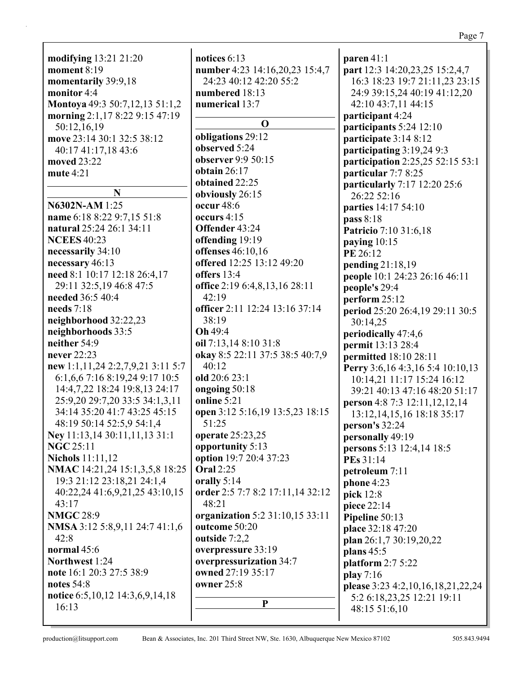|                                       |                                  | rage /                              |
|---------------------------------------|----------------------------------|-------------------------------------|
|                                       |                                  |                                     |
| modifying 13:21 21:20                 | notices 6:13                     | paren 41:1                          |
| moment $8:19$                         | number 4:23 14:16,20,23 15:4,7   | part 12:3 14:20,23,25 15:2,4,7      |
| momentarily 39:9,18                   | 24:23 40:12 42:20 55:2           | 16:3 18:23 19:7 21:11,23 23:15      |
| monitor 4:4                           | numbered 18:13                   | 24:9 39:15,24 40:19 41:12,20        |
| Montoya 49:3 50:7,12,13 51:1,2        | numerical 13:7                   | 42:10 43:7,11 44:15                 |
| morning 2:1,17 8:22 9:15 47:19        |                                  | participant 4:24                    |
| 50:12,16,19                           | $\mathbf 0$                      | participants 5:24 12:10             |
| move 23:14 30:1 32:5 38:12            | obligations 29:12                | participate 3:14 8:12               |
| 40:17 41:17,18 43:6                   | observed 5:24                    | participating 3:19,24 9:3           |
| moved 23:22                           | observer 9:9 50:15               | participation 2:25,25 52:15 53:1    |
| mute $4:21$                           | obtain $26:17$                   | particular 7:7 8:25                 |
|                                       | obtained 22:25                   | particularly 7:17 12:20 25:6        |
| N                                     | obviously 26:15                  | 26:22 52:16                         |
| N6302N-AM 1:25                        | occur 48:6                       | parties 14:17 54:10                 |
| name 6:18 8:22 9:7,15 51:8            | occurs 4:15                      | pass 8:18                           |
| natural 25:24 26:1 34:11              | Offender 43:24                   | <b>Patricio</b> 7:10 31:6,18        |
| <b>NCEES</b> 40:23                    | offending 19:19                  | paying $10:15$                      |
| necessarily 34:10                     | offenses 46:10,16                | PE 26:12                            |
| necessary 46:13                       | offered 12:25 13:12 49:20        | pending 21:18,19                    |
| need 8:1 10:17 12:18 26:4,17          | offers 13:4                      | people 10:1 24:23 26:16 46:11       |
| 29:11 32:5,19 46:8 47:5               | office 2:19 6:4,8,13,16 28:11    | people's 29:4                       |
| needed 36:5 40:4                      | 42:19                            | perform 25:12                       |
| needs $7:18$                          | officer 2:11 12:24 13:16 37:14   | period 25:20 26:4,19 29:11 30:5     |
| neighborhood 32:22,23                 | 38:19                            | 30:14,25                            |
| neighborhoods 33:5                    | Oh 49:4                          | periodically 47:4,6                 |
| neither 54:9                          | oil 7:13,14 8:10 31:8            |                                     |
| never 22:23                           | okay 8:5 22:11 37:5 38:5 40:7,9  | permit 13:13 28:4                   |
| new 1:1,11,24 2:2,7,9,21 3:11 5:7     | 40:12                            | <b>permitted</b> 18:10 28:11        |
| 6:1,6,6 7:16 8:19,24 9:17 10:5        | old 20:6 23:1                    | Perry 3:6, 16 4:3, 16 5:4 10:10, 13 |
| 14:4,7,22 18:24 19:8,13 24:17         | ongoing 50:18                    | 10:14,21 11:17 15:24 16:12          |
| 25:9,20 29:7,20 33:5 34:1,3,11        | online 5:21                      | 39:21 40:13 47:16 48:20 51:17       |
| 34:14 35:20 41:7 43:25 45:15          | open 3:12 5:16,19 13:5,23 18:15  | person 4:8 7:3 12:11, 12, 12, 14    |
| 48:19 50:14 52:5,9 54:1,4             | 51:25                            | 13:12, 14, 15, 16 18:18 35:17       |
| Ney 11:13,14 30:11,11,13 31:1         | operate 25:23,25                 | person's 32:24                      |
| <b>NGC 25:11</b>                      | opportunity 5:13                 | personally 49:19                    |
| <b>Nichols</b> 11:11,12               | option 19:7 20:4 37:23           | persons 5:13 12:4,14 18:5           |
| NMAC 14:21,24 15:1,3,5,8 18:25        | <b>Oral</b> 2:25                 | <b>PEs</b> 31:14                    |
| 19:3 21:12 23:18,21 24:1,4            |                                  | petroleum 7:11                      |
|                                       | orally 5:14                      | phone 4:23                          |
| 40:22,24 41:6,9,21,25 43:10,15        | order 2:5 7:7 8:2 17:11,14 32:12 | pick 12:8                           |
| 43:17                                 | 48:21                            | piece 22:14                         |
| <b>NMGC 28:9</b>                      | organization 5:2 31:10,15 33:11  | Pipeline 50:13                      |
| NMSA 3:12 5:8,9,11 24:7 41:1,6        | outcome 50:20                    | place 32:18 47:20                   |
| 42:8                                  | outside 7:2,2                    | plan 26:1,7 30:19,20,22             |
| normal $45:6$                         | overpressure 33:19               | plans $45:5$                        |
| Northwest 1:24                        | overpressurization 34:7          | platform $2:75:22$                  |
| note 16:1 20:3 27:5 38:9              | owned 27:19 35:17                | play 7:16                           |
| notes $54:8$                          | owner $25:8$                     | please 3:23 4:2,10,16,18,21,22,24   |
| notice 6:5, 10, 12 14:3, 6, 9, 14, 18 | ${\bf P}$                        | 5:2 6:18,23,25 12:21 19:11          |
| 16:13                                 |                                  | 48:15 51:6,10                       |
|                                       |                                  |                                     |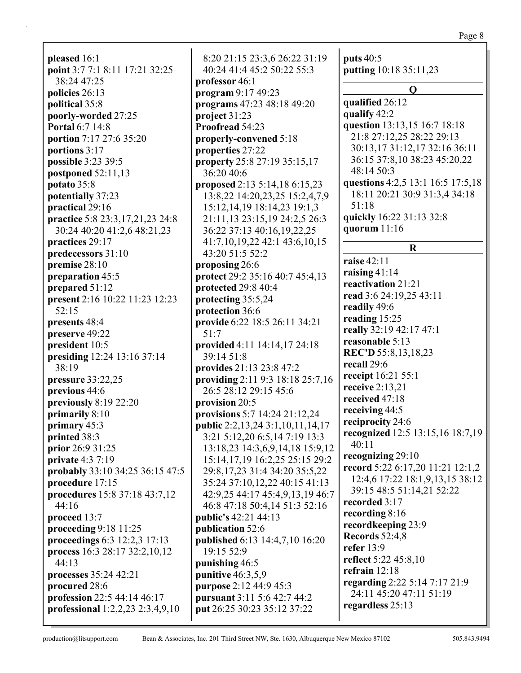Page 8

**pleased** 16:1 **point** 3:7 7:1 8:11 17:21 32:25 38:24 47:25 **policies** 26:13 **political** 35:8 **poorly-worded** 27:25 **Portal** 6:7 14:8 **portion** 7:17 27:6 35:20 **portions** 3:17 **possible** 3:23 39:5 **postponed** 52:11,13 **potato** 35:8 **potentially** 37:23 **practical** 29:16 **practice** 5:8 23:3,17,21,23 24:8 30:24 40:20 41:2,6 48:21,23 **practices** 29:17 **predecessors** 31:10 **premise** 28:10 **preparation** 45:5 **prepared** 51:12 **present** 2:16 10:22 11:23 12:23 52:15 **presents** 48:4 **preserve** 49:22 **president** 10:5 **presiding** 12:24 13:16 37:14 38:19 **pressure** 33:22,25 **previous** 44:6 **previously** 8:19 22:20 **primarily** 8:10 **primary** 45:3 **printed** 38:3 **prior** 26:9 31:25 **private** 4:3 7:19 **probably** 33:10 34:25 36:15 47:5 **procedure** 17:15 **procedures** 15:8 37:18 43:7,12 44:16 **proceed** 13:7 **proceeding** 9:18 11:25 **proceedings** 6:3 12:2,3 17:13 **process** 16:3 28:17 32:2,10,12 44:13 **processes** 35:24 42:21 **procured** 28:6 **profession** 22:5 44:14 46:17 **professional** 1:2,2,23 2:3,4,9,10

8:20 21:15 23:3,6 26:22 31:19 40:24 41:4 45:2 50:22 55:3 **professor** 46:1 **program** 9:17 49:23 **programs** 47:23 48:18 49:20 **project** 31:23 **Proofread** 54:23 **properly-convened** 5:18 **properties** 27:22 **property** 25:8 27:19 35:15,17 36:20 40:6 **proposed** 2:13 5:14,18 6:15,23 13:8,22 14:20,23,25 15:2,4,7,9 15:12,14,19 18:14,23 19:1,3 21:11,13 23:15,19 24:2,5 26:3 36:22 37:13 40:16,19,22,25 41:7,10,19,22 42:1 43:6,10,15 43:20 51:5 52:2 **proposing** 26:6 **protect** 29:2 35:16 40:7 45:4,13 **protected** 29:8 40:4 **protecting** 35:5,24 **protection** 36:6 **provide** 6:22 18:5 26:11 34:21 51:7 **provided** 4:11 14:14,17 24:18 39:14 51:8 **provides** 21:13 23:8 47:2 **providing** 2:11 9:3 18:18 25:7,16 26:5 28:12 29:15 45:6 **provision** 20:5 **provisions** 5:7 14:24 21:12,24 **public** 2:2,13,24 3:1,10,11,14,17 3:21 5:12,20 6:5,14 7:19 13:3 13:18,23 14:3,6,9,14,18 15:9,12 15:14,17,19 16:2,25 25:15 29:2 29:8,17,23 31:4 34:20 35:5,22 35:24 37:10,12,22 40:15 41:13 42:9,25 44:17 45:4,9,13,19 46:7 46:8 47:18 50:4,14 51:3 52:16 **public's** 42:21 44:13 **publication** 52:6 **published** 6:13 14:4,7,10 16:20 19:15 52:9 **punishing** 46:5 **punitive** 46:3,5,9 **purpose** 2:12 44:9 45:3 **pursuant** 3:11 5:6 42:7 44:2 **put** 26:25 30:23 35:12 37:22

**puts** 40:5 **putting** 10:18 35:11,23 **Q qualified** 26:12 **qualify** 42:2 **question** 13:13,15 16:7 18:18 21:8 27:12,25 28:22 29:13 30:13,17 31:12,17 32:16 36:11 36:15 37:8,10 38:23 45:20,22 48:14 50:3 **questions** 4:2,5 13:1 16:5 17:5,18 18:11 20:21 30:9 31:3,4 34:18 51:18 **quickly** 16:22 31:13 32:8 **quorum** 11:16 **R raise** 42:11 **raising** 41:14 **reactivation** 21:21 **read** 3:6 24:19,25 43:11 **readily** 49:6 **reading** 15:25 **really** 32:19 42:17 47:1 **reasonable** 5:13 **REC'D** 55:8,13,18,23 **recall** 29:6 **receipt** 16:21 55:1 **receive** 2:13,21 **received** 47:18 **receiving** 44:5 **reciprocity** 24:6 **recognized** 12:5 13:15,16 18:7,19 40:11 **recognizing** 29:10 **record** 5:22 6:17,20 11:21 12:1,2 12:4,6 17:22 18:1,9,13,15 38:12 39:15 48:5 51:14,21 52:22 **recorded** 3:17 **recording** 8:16 **recordkeeping** 23:9 **Records** 52:4,8 **refer** 13:9 **reflect** 5:22 45:8,10 **refrain** 12:18 **regarding** 2:22 5:14 7:17 21:9 24:11 45:20 47:11 51:19 **regardless** 25:13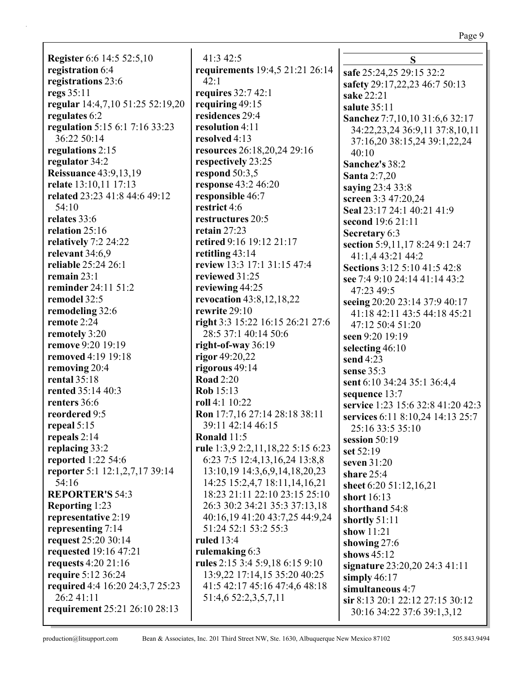#### Page 9

**Register** 6:6 14:5 52:5,10 **registration** 6:4 **registrations** 23:6 **regs** 35:11 **regular** 14:4,7,10 51:25 52:19,20 **regulates** 6:2 **regulation** 5:15 6:1 7:16 33:23 36:22 50:14 **regulations** 2:15 **regulator** 34:2 **Reissuance** 43:9,13,19 **relate** 13:10,11 17:13 **related** 23:23 41:8 44:6 49:12 54:10 **relates** 33:6 **relation** 25:16 **relatively** 7:2 24:22 **relevant** 34:6,9 **reliable** 25:24 26:1 **remain** 23:1 **reminder** 24:11 51:2 **remodel** 32:5 **remodeling** 32:6 **remote** 2:24 **remotely** 3:20 **remove** 9:20 19:19 **removed** 4:19 19:18 **removing** 20:4 **rental** 35:18 **rented** 35:14 40:3 **renters** 36:6 **reordered** 9:5 **repeal** 5:15 **repeals** 2:14 **replacing** 33:2 **reported** 1:22 54:6 **reporter** 5:1 12:1,2,7,17 39:14 54:16 **REPORTER'S** 54:3 **Reporting** 1:23 **representative** 2:19 **representing** 7:14 **request** 25:20 30:14 **requested** 19:16 47:21 **requests** 4:20 21:16 **require** 5:12 36:24 **required** 4:4 16:20 24:3,7 25:23 26:2 41:11 **requirement** 25:21 26:10 28:13

41:3 42:5 **requirements** 19:4,5 21:21 26:14 42:1 **requires** 32:7 42:1 **requiring** 49:15 **residences** 29:4 **resolution** 4:11 **resolved** 4:13 **resources** 26:18,20,24 29:16 **respectively** 23:25 **respond** 50:3,5 **response** 43:2 46:20 **responsible** 46:7 **restrict** 4:6 **restructures** 20:5 **retain** 27:23 **retired** 9:16 19:12 21:17 **retitling** 43:14 **review** 13:3 17:1 31:15 47:4 **reviewed** 31:25 **reviewing** 44:25 **revocation** 43:8,12,18,22 **rewrite** 29:10 **right** 3:3 15:22 16:15 26:21 27:6 28:5 37:1 40:14 50:6 **right-of-way** 36:19 **rigor** 49:20,22 **rigorous** 49:14 **Road** 2:20 **Rob** 15:13 **roll** 4:1 10:22 **Ron** 17:7,16 27:14 28:18 38:11 39:11 42:14 46:15 **Ronald** 11:5 **rule** 1:3,9 2:2,11,18,22 5:15 6:23 6:23 7:5 12:4,13,16,24 13:8,8 13:10,19 14:3,6,9,14,18,20,23 14:25 15:2,4,7 18:11,14,16,21 18:23 21:11 22:10 23:15 25:10 26:3 30:2 34:21 35:3 37:13,18 40:16,19 41:20 43:7,25 44:9,24 51:24 52:1 53:2 55:3 **ruled** 13:4 **rulemaking** 6:3 **rules** 2:15 3:4 5:9,18 6:15 9:10 13:9,22 17:14,15 35:20 40:25 41:5 42:17 45:16 47:4,6 48:18 51:4,6 52:2,3,5,7,11

**S safe** 25:24,25 29:15 32:2 **safety** 29:17,22,23 46:7 50:13 **sake** 22:21 **salute** 35:11 **Sanchez** 7:7,10,10 31:6,6 32:17 34:22,23,24 36:9,11 37:8,10,11 37:16,20 38:15,24 39:1,22,24  $40:10$ **Sanchez's** 38:2 **Santa** 2:7,20 **saying** 23:4 33:8 **screen** 3:3 47:20,24 **Seal** 23:17 24:1 40:21 41:9 **second** 19:6 21:11 **Secretary** 6:3 **section** 5:9,11,17 8:24 9:1 24:7 41:1,4 43:21 44:2 **Sections** 3:12 5:10 41:5 42:8 **see** 7:4 9:10 24:14 41:14 43:2 47:23 49:5 **seeing** 20:20 23:14 37:9 40:17 41:18 42:11 43:5 44:18 45:21 47:12 50:4 51:20 **seen** 9:20 19:19 **selecting** 46:10 **send** 4:23 **sense** 35:3 **sent** 6:10 34:24 35:1 36:4,4 **sequence** 13:7 **service** 1:23 15:6 32:8 41:20 42:3 **services** 6:11 8:10,24 14:13 25:7 25:16 33:5 35:10 **session** 50:19 **set** 52:19 **seven** 31:20 **share** 25:4 **sheet** 6:20 51:12,16,21 **short** 16:13 **shorthand** 54:8 **shortly** 51:11 **show** 11:21 **showing** 27:6 **shows** 45:12 **signature** 23:20,20 24:3 41:11 **simply** 46:17 **simultaneous** 4:7 **sir** 8:13 20:1 22:12 27:15 30:12 30:16 34:22 37:6 39:1,3,12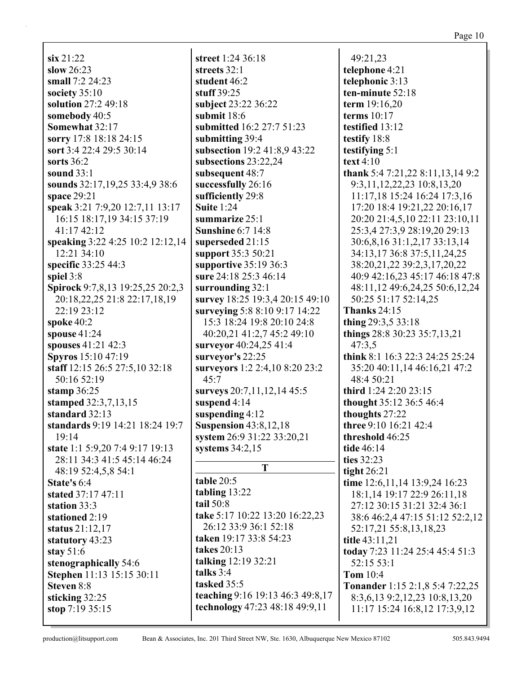**six** 21:22 **slow** 26:23 **small** 7:2 24:23 **society** 35:10 **solution** 27:2 49:18 **somebody** 40:5 **Somewhat** 32:17 **sorry** 17:8 18:18 24:15 **sort** 3:4 22:4 29:5 30:14 **sorts** 36:2 **sound** 33:1 **sounds** 32:17,19,25 33:4,9 38:6 **space** 29:21 **speak** 3:21 7:9,20 12:7,11 13:17 16:15 18:17,19 34:15 37:19 41:17 42:12 **speaking** 3:22 4:25 10:2 12:12,14 12:21 34:10 **specific** 33:25 44:3 **spiel** 3:8 **Spirock** 9:7,8,13 19:25,25 20:2,3 20:18,22,25 21:8 22:17,18,19 22:19 23:12 **spoke** 40:2 **spouse** 41:24 **spouses** 41:21 42:3 **Spyros** 15:10 47:19 **staff** 12:15 26:5 27:5,10 32:18 50:16 52:19 **stamp** 36:25 **stamped** 32:3,7,13,15 **standard** 32:13 **standards** 9:19 14:21 18:24 19:7 19:14 **state** 1:1 5:9,20 7:4 9:17 19:13 28:11 34:3 41:5 45:14 46:24 48:19 52:4,5,8 54:1 **State's** 6:4 **stated** 37:17 47:11 **station** 33:3 **stationed** 2:19 **status** 21:12,17 **statutory** 43:23 **stay** 51:6 **stenographically** 54:6 **Stephen** 11:13 15:15 30:11 **Steven** 8:8 **sticking** 32:25 **stop** 7:19 35:15

**street** 1:24 36:18 **streets** 32:1 **student** 46:2 **stuff** 39:25 **subject** 23:22 36:22 **submit** 18:6 **submitted** 16:2 27:7 51:23 **submitting** 39:4 **subsection** 19:2 41:8,9 43:22 **subsections** 23:22,24 **subsequent** 48:7 **successfully** 26:16 **sufficiently** 29:8 **Suite** 1:24 **summarize** 25:1 **Sunshine** 6:7 14:8 **superseded** 21:15 **support** 35:3 50:21 **supportive** 35:19 36:3 **sure** 24:18 25:3 46:14 **surrounding** 32:1 **survey** 18:25 19:3,4 20:15 49:10 **surveying** 5:8 8:10 9:17 14:22 15:3 18:24 19:8 20:10 24:8 40:20,21 41:2,7 45:2 49:10 **surveyor** 40:24,25 41:4 **surveyor's** 22:25 **surveyors** 1:2 2:4,10 8:20 23:2 45:7 **surveys** 20:7,11,12,14 45:5 **suspend** 4:14 **suspending** 4:12 **Suspension** 43:8,12,18 **system** 26:9 31:22 33:20,21 **systems** 34:2,15 **T table** 20:5 **tabling** 13:22 **tail** 50:8 **take** 5:17 10:22 13:20 16:22,23 26:12 33:9 36:1 52:18 **taken** 19:17 33:8 54:23 **takes** 20:13 **talking** 12:19 32:21 **talks** 3:4 **tasked** 35:5 **teaching** 9:16 19:13 46:3 49:8,17 **technology** 47:23 48:18 49:9,11

49:21,23 **telephone** 4:21 **telephonic** 3:13 **ten-minute** 52:18 **term** 19:16,20 **terms** 10:17 **testified** 13:12 **testify** 18:8 **testifying** 5:1 **text** 4:10 **thank** 5:4 7:21,22 8:11,13,14 9:2 9:3,11,12,22,23 10:8,13,20 11:17,18 15:24 16:24 17:3,16 17:20 18:4 19:21,22 20:16,17 20:20 21:4,5,10 22:11 23:10,11 25:3,4 27:3,9 28:19,20 29:13 30:6,8,16 31:1,2,17 33:13,14 34:13,17 36:8 37:5,11,24,25 38:20,21,22 39:2,3,17,20,22 40:9 42:16,23 45:17 46:18 47:8 48:11,12 49:6,24,25 50:6,12,24 50:25 51:17 52:14,25 **Thanks** 24:15 **thing** 29:3,5 33:18 **things** 28:8 30:23 35:7,13,21 47:3,5 **think** 8:1 16:3 22:3 24:25 25:24 35:20 40:11,14 46:16,21 47:2 48:4 50:21 **third** 1:24 2:20 23:15 **thought** 35:12 36:5 46:4 **thoughts** 27:22 **three** 9:10 16:21 42:4 **threshold** 46:25 **tide** 46:14 **ties** 32:23 **tight** 26:21 **time** 12:6,11,14 13:9,24 16:23 18:1,14 19:17 22:9 26:11,18 27:12 30:15 31:21 32:4 36:1 38:6 46:2,4 47:15 51:12 52:2,12 52:17,21 55:8,13,18,23 **title** 43:11,21 **today** 7:23 11:24 25:4 45:4 51:3 52:15 53:1 **Tom** 10:4 **Tonander** 1:15 2:1,8 5:4 7:22,25 8:3,6,13 9:2,12,23 10:8,13,20 11:17 15:24 16:8,12 17:3,9,12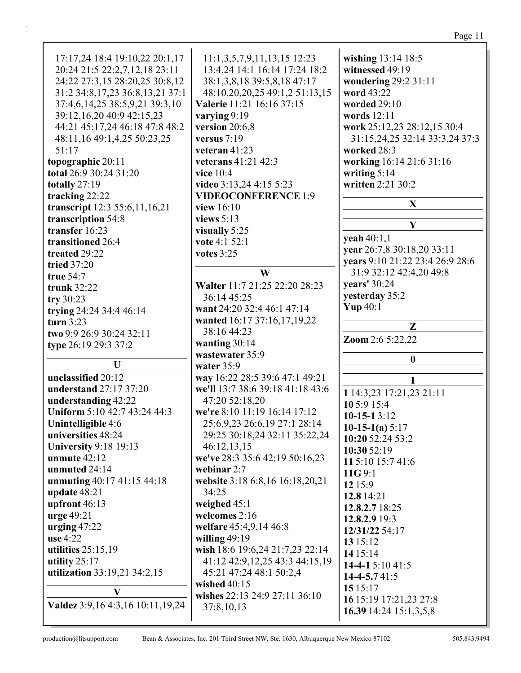| 17:17,24 18:4 19:10,22 20:1,17<br>20:24 21:5 22:2,7,12,18 23:11<br>24:22 27:3,15 28:20,25 30:8,12<br>31:2 34:8, 17, 23 36:8, 13, 21 37:1<br>37:4,6,14,25 38:5,9,21 39:3,10<br>39:12,16,20 40:9 42:15,23<br>44:21 45:17,24 46:18 47:8 48:2<br>48:11,16 49:1,4,25 50:23,25<br>51:17<br>topographic 20:11<br>total 26:9 30:24 31:20 | $11:1,3,5,7,9,11,13,15$ 12:23<br>13:4,24 14:1 16:14 17:24 18:2<br>38:1,3,8,18 39:5,8,18 47:17<br>48:10,20,20,25 49:1,2 51:13,15<br>Valerie 11:21 16:16 37:15<br>varying 9:19<br>version 20:6,8<br>versus 7:19<br>veteran $41:23$<br>veterans 41:21 42:3<br>vice 10:4 | wishing 13:14 18:5<br>witnessed 49:19<br>wondering 29:2 31:11<br>word 43:22<br>worded 29:10<br>words 12:11<br>work 25:12,23 28:12,15 30:4<br>31:15,24,25 32:14 33:3,24 37:3<br>worked 28:3<br>working 16:14 21:6 31:16<br>writing $5:14$ |
|----------------------------------------------------------------------------------------------------------------------------------------------------------------------------------------------------------------------------------------------------------------------------------------------------------------------------------|----------------------------------------------------------------------------------------------------------------------------------------------------------------------------------------------------------------------------------------------------------------------|------------------------------------------------------------------------------------------------------------------------------------------------------------------------------------------------------------------------------------------|
| totally 27:19                                                                                                                                                                                                                                                                                                                    | video 3:13,24 4:15 5:23                                                                                                                                                                                                                                              | written 2:21 30:2                                                                                                                                                                                                                        |
| tracking 22:22                                                                                                                                                                                                                                                                                                                   | <b>VIDEOCONFERENCE 1:9</b>                                                                                                                                                                                                                                           |                                                                                                                                                                                                                                          |
| transcript 12:3 55:6,11,16,21                                                                                                                                                                                                                                                                                                    | view $16:10$                                                                                                                                                                                                                                                         | X                                                                                                                                                                                                                                        |
| transcription 54:8                                                                                                                                                                                                                                                                                                               | views $5:13$                                                                                                                                                                                                                                                         | Y                                                                                                                                                                                                                                        |
| transfer 16:23                                                                                                                                                                                                                                                                                                                   | visually 5:25                                                                                                                                                                                                                                                        | yeah 40:1,1                                                                                                                                                                                                                              |
| transitioned 26:4                                                                                                                                                                                                                                                                                                                | vote 4:1 52:1                                                                                                                                                                                                                                                        | year 26:7,8 30:18,20 33:11                                                                                                                                                                                                               |
| treated 29:22                                                                                                                                                                                                                                                                                                                    | votes 3:25                                                                                                                                                                                                                                                           | years 9:10 21:22 23:4 26:9 28:6                                                                                                                                                                                                          |
| tried 37:20                                                                                                                                                                                                                                                                                                                      | W                                                                                                                                                                                                                                                                    | 31:9 32:12 42:4,20 49:8                                                                                                                                                                                                                  |
| true 54:7                                                                                                                                                                                                                                                                                                                        | Walter 11:7 21:25 22:20 28:23                                                                                                                                                                                                                                        | years' 30:24                                                                                                                                                                                                                             |
| trunk 32:22                                                                                                                                                                                                                                                                                                                      | 36:14 45:25                                                                                                                                                                                                                                                          | yesterday 35:2                                                                                                                                                                                                                           |
| try $30:23$<br>trying 24:24 34:4 46:14                                                                                                                                                                                                                                                                                           | want 24:20 32:4 46:1 47:14                                                                                                                                                                                                                                           | Yup $40:1$                                                                                                                                                                                                                               |
| turn $3:23$                                                                                                                                                                                                                                                                                                                      | wanted 16:17 37:16,17,19,22                                                                                                                                                                                                                                          |                                                                                                                                                                                                                                          |
| two 9:9 26:9 30:24 32:11                                                                                                                                                                                                                                                                                                         | 38:16 44:23                                                                                                                                                                                                                                                          | Z                                                                                                                                                                                                                                        |
| type 26:19 29:3 37:2                                                                                                                                                                                                                                                                                                             | wanting 30:14                                                                                                                                                                                                                                                        | Zoom 2:6 5:22,22                                                                                                                                                                                                                         |
|                                                                                                                                                                                                                                                                                                                                  | wastewater 35:9                                                                                                                                                                                                                                                      |                                                                                                                                                                                                                                          |
| U                                                                                                                                                                                                                                                                                                                                | water 35:9                                                                                                                                                                                                                                                           | $\boldsymbol{0}$                                                                                                                                                                                                                         |
| unclassified 20:12                                                                                                                                                                                                                                                                                                               | way 16:22 28:5 39:6 47:1 49:21                                                                                                                                                                                                                                       | 1                                                                                                                                                                                                                                        |
| understand 27:17 37:20                                                                                                                                                                                                                                                                                                           | we'll 13:7 38:6 39:18 41:18 43:6                                                                                                                                                                                                                                     | 1 14:3,23 17:21,23 21:11                                                                                                                                                                                                                 |
| understanding 42:22                                                                                                                                                                                                                                                                                                              | 47:20 52:18,20                                                                                                                                                                                                                                                       | 10 5:9 15:4                                                                                                                                                                                                                              |
| Uniform 5:10 42:7 43:24 44:3                                                                                                                                                                                                                                                                                                     | we're 8:10 11:19 16:14 17:12                                                                                                                                                                                                                                         | $10-15-13:12$                                                                                                                                                                                                                            |
| Unintelligible 4:6                                                                                                                                                                                                                                                                                                               | 25:6,9,23 26:6,19 27:1 28:14                                                                                                                                                                                                                                         | 10-15-1(a) $5:17$                                                                                                                                                                                                                        |
| universities 48:24                                                                                                                                                                                                                                                                                                               | 29:25 30:18,24 32:11 35:22,24                                                                                                                                                                                                                                        | 10:20 52:24 53:2                                                                                                                                                                                                                         |
| <b>University 9:18 19:13</b>                                                                                                                                                                                                                                                                                                     | 46:12,13,15                                                                                                                                                                                                                                                          | 10:3052:19                                                                                                                                                                                                                               |
| unmute $42:12$                                                                                                                                                                                                                                                                                                                   | we've 28:3 35:6 42:19 50:16,23                                                                                                                                                                                                                                       | 11 5:10 15:7 41:6                                                                                                                                                                                                                        |
| unmuted 24:14                                                                                                                                                                                                                                                                                                                    | webinar 2:7                                                                                                                                                                                                                                                          | $11G$ 9:1                                                                                                                                                                                                                                |
| unmuting 40:17 41:15 44:18                                                                                                                                                                                                                                                                                                       | website 3:18 6:8,16 16:18,20,21                                                                                                                                                                                                                                      | 12 15:9                                                                                                                                                                                                                                  |
| update 48:21                                                                                                                                                                                                                                                                                                                     | 34:25                                                                                                                                                                                                                                                                | 12.8 14:21                                                                                                                                                                                                                               |
| upfront $46:13$                                                                                                                                                                                                                                                                                                                  | weighed $45:1$                                                                                                                                                                                                                                                       | 12.8.2.7 18:25                                                                                                                                                                                                                           |
| $ urge 49:21$                                                                                                                                                                                                                                                                                                                    | welcomes 2:16                                                                                                                                                                                                                                                        | 12.8.2.9 19:3                                                                                                                                                                                                                            |
| urging $47:22$                                                                                                                                                                                                                                                                                                                   | welfare 45:4,9,14 46:8                                                                                                                                                                                                                                               | 12/31/22 54:17                                                                                                                                                                                                                           |
| use 4:22                                                                                                                                                                                                                                                                                                                         | willing $49:19$                                                                                                                                                                                                                                                      | 13 15:12                                                                                                                                                                                                                                 |
| utilities $25:15,19$                                                                                                                                                                                                                                                                                                             | wish 18:6 19:6,24 21:7,23 22:14                                                                                                                                                                                                                                      | 14 15:14                                                                                                                                                                                                                                 |
| utility $25:17$<br>utilization 33:19,21 34:2,15                                                                                                                                                                                                                                                                                  | 41:12 42:9,12,25 43:3 44:15,19<br>45:21 47:24 48:1 50:2,4                                                                                                                                                                                                            | 14-4-1 5:10 41:5                                                                                                                                                                                                                         |
|                                                                                                                                                                                                                                                                                                                                  | wished $40:15$                                                                                                                                                                                                                                                       | $14-4-5.741:5$                                                                                                                                                                                                                           |
| V                                                                                                                                                                                                                                                                                                                                | wishes 22:13 24:9 27:11 36:10                                                                                                                                                                                                                                        | 1515:17                                                                                                                                                                                                                                  |
| Valdez 3:9,16 4:3,16 10:11,19,24                                                                                                                                                                                                                                                                                                 | 37:8,10,13                                                                                                                                                                                                                                                           | 16 15:19 17:21,23 27:8                                                                                                                                                                                                                   |
|                                                                                                                                                                                                                                                                                                                                  |                                                                                                                                                                                                                                                                      | 16.39 14:24 15:1,3,5,8                                                                                                                                                                                                                   |

Page 11